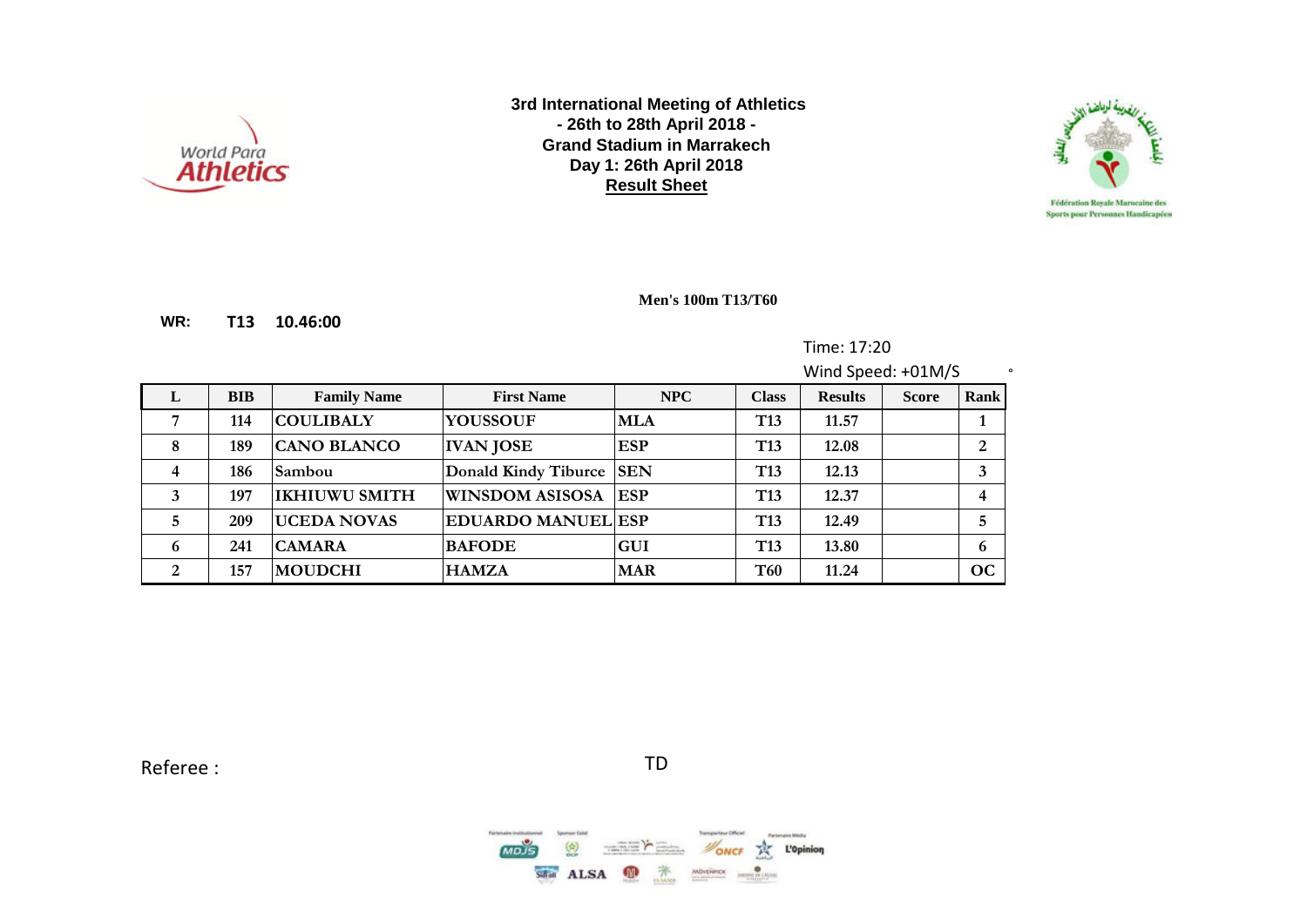



**WR: T13 10.46:00**

**Men's 100m T13/T60**

Time: 17:20

Wind Speed: +01M/S  $\cdot$ **L BIB Family Name First Name NPC Class Results Score Rank 7 114 COULIBALY YOUSSOUF MLA T13 11.57 1 8 189 CANO BLANCO IVAN JOSE ESP T13 12.08 2 4 186 Sambou Donald Kindy Tiburce SEN T13 12.13 3 3 197 IKHIUWU SMITH WINSDOM ASISOSA ESP T13 12.37 4 5 209 UCEDA NOVAS EDUARDO MANUEL ESP T13 12.49 5 6 241 CAMARA BAFODE GUI T13 13.80 6 2 157 MOUDCHI HAMZA MAR T60 11.24 OC**

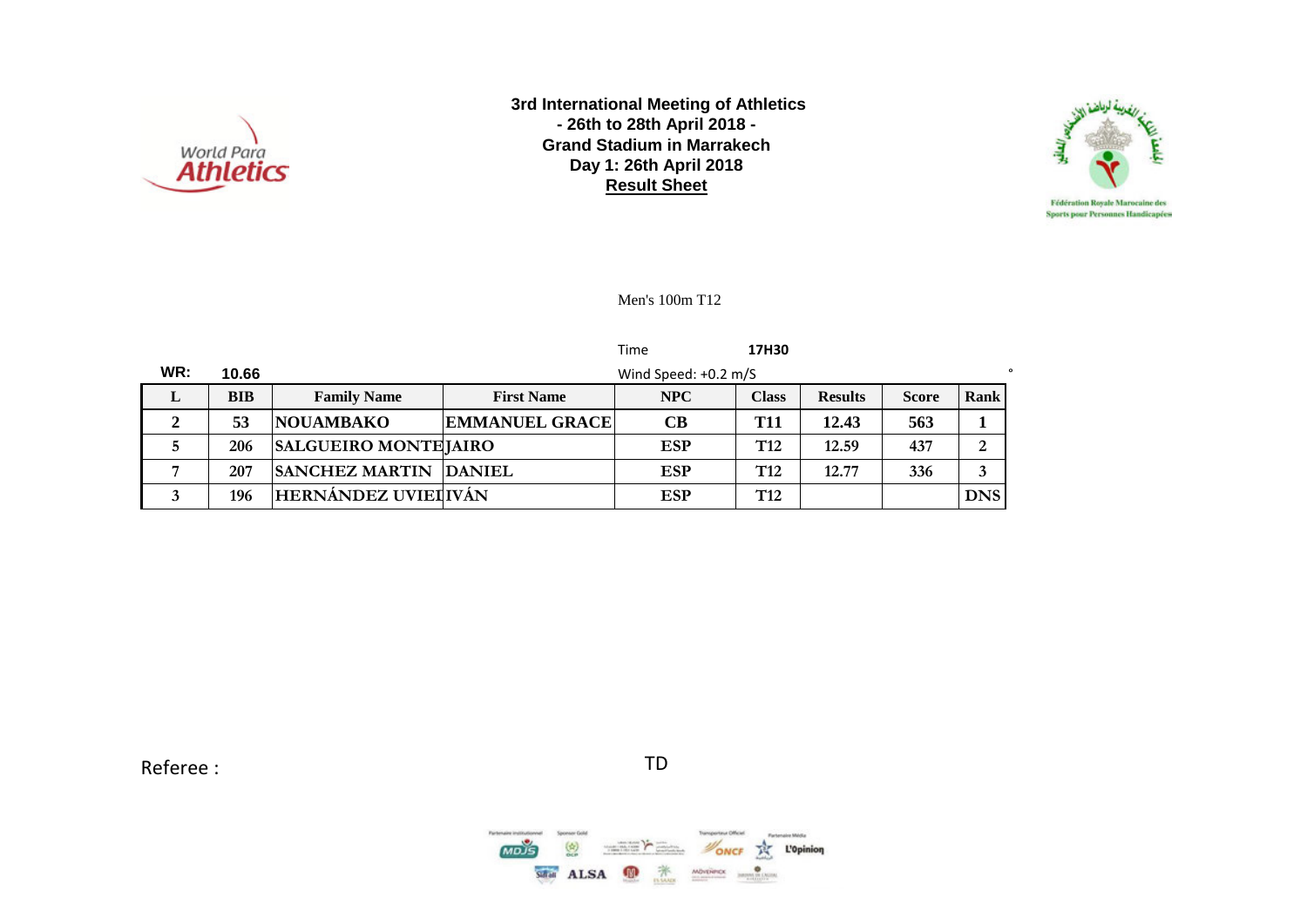



Men's 100m T12

|     |            |                             |                       | Time                   | 17H30           |                |              |             |
|-----|------------|-----------------------------|-----------------------|------------------------|-----------------|----------------|--------------|-------------|
| WR: | 10.66      |                             |                       | Wind Speed: $+0.2$ m/S |                 |                |              |             |
| L   | <b>BIB</b> | <b>Family Name</b>          | <b>First Name</b>     | NPC                    | <b>Class</b>    | <b>Results</b> | <b>Score</b> | <b>Rank</b> |
| 2   | 53         | <b>NOUAMBAKO</b>            | <b>EMMANUEL GRACE</b> | <b>CB</b>              | <b>T11</b>      | 12.43          | 563          |             |
|     | 206        | <b>SALGUEIRO MONTEJAIRO</b> |                       | <b>ESP</b>             | T <sub>12</sub> | 12.59          | 437          | 2           |
|     | 207        | <b>SANCHEZ MARTIN</b>       | <b>DANIEL</b>         | <b>ESP</b>             | T <sub>12</sub> | 12.77          | 336          | 3           |
|     | 196        | HERNÁNDEZ UVIEI IVÁN        |                       | <b>ESP</b>             | T <sub>12</sub> |                |              | <b>DNS</b>  |

Referee : TD

 $MODS$  $\binom{4}{2}$ **NONCE THE L'Opinion**  $\frac{1}{\sqrt{2}}\left( \frac{1}{\sqrt{2}}\right) \left( \frac{1}{\sqrt{2}}\right) \left( \frac{1}{\sqrt{2}}\right) \left( \frac{1}{\sqrt{2}}\right) \left( \frac{1}{\sqrt{2}}\right) \left( \frac{1}{\sqrt{2}}\right) \left( \frac{1}{\sqrt{2}}\right) \left( \frac{1}{\sqrt{2}}\right) \left( \frac{1}{\sqrt{2}}\right) \left( \frac{1}{\sqrt{2}}\right) \left( \frac{1}{\sqrt{2}}\right) \left( \frac{1}{\sqrt{2}}\right) \left( \frac{1}{\sqrt{2}}\right) \left$ SHAI ALSA **D X**  $MOPEPECC$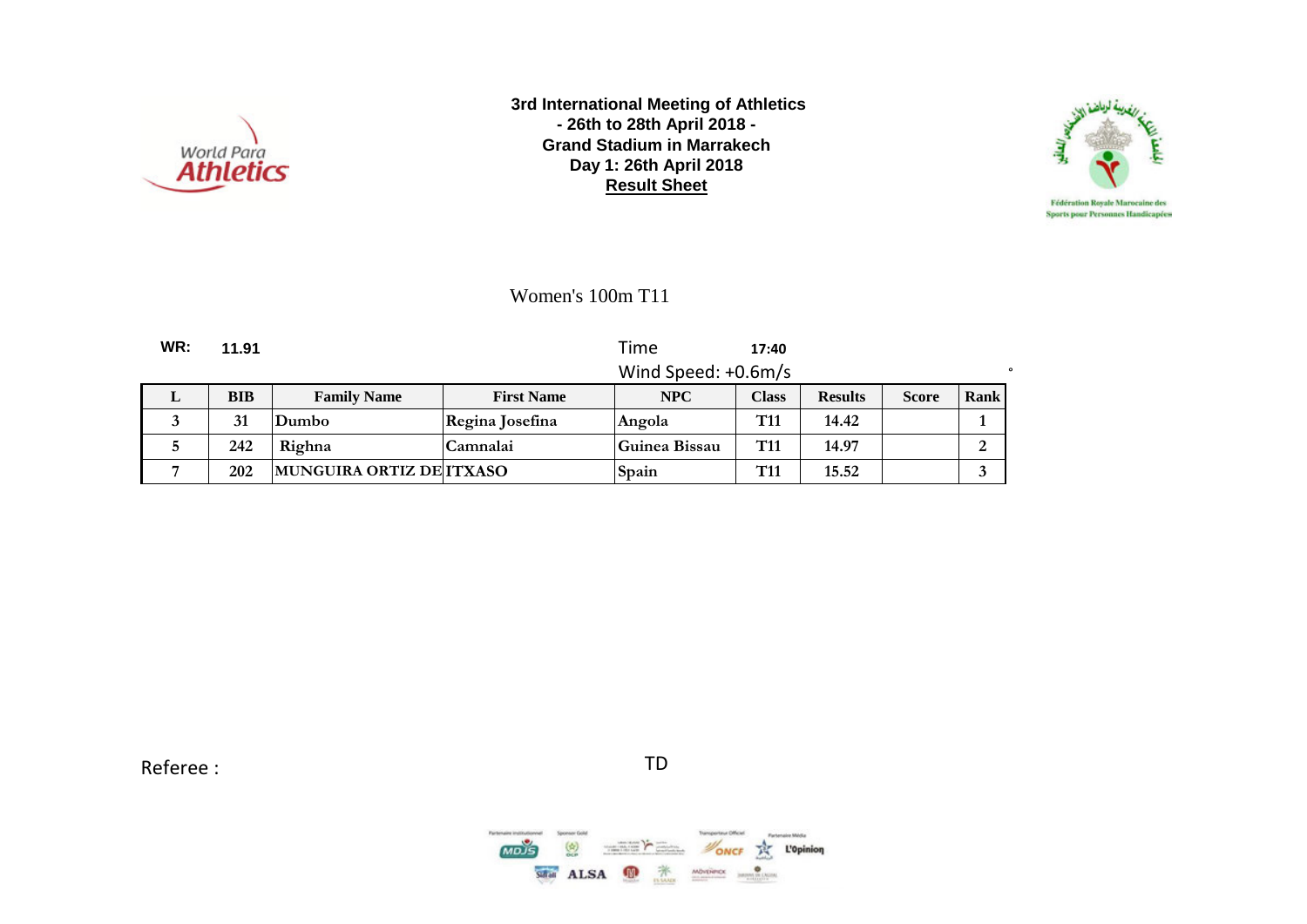



Women's 100m T11

**WR: 11.91** Time **17:40** Wind Speed: +0.6m/s

|  | BIB | <b>Family Name</b>             | <b>First Name</b> | <b>NPC</b>    | <b>Class</b>    | <b>Results</b> | <b>Score</b> | Rank |
|--|-----|--------------------------------|-------------------|---------------|-----------------|----------------|--------------|------|
|  | 31  | Dumbo                          | Regina Josefina   | Angola        | T <sub>11</sub> | 14.42          |              |      |
|  | 242 | Righna                         | Camnalai          | Guinea Bissau | T <sub>11</sub> | 14.97          |              |      |
|  | 202 | <b>MUNGUIRA ORTIZ DEITXASO</b> |                   | Spain         | T11             | 15.52          |              |      |

Referee : TD

 $MDIS$  $\binom{k}{n}$ **NONCE THE L'Opinion**  $\frac{1}{2}$ Salar ALSA <sup>19</sup> MOVERIDE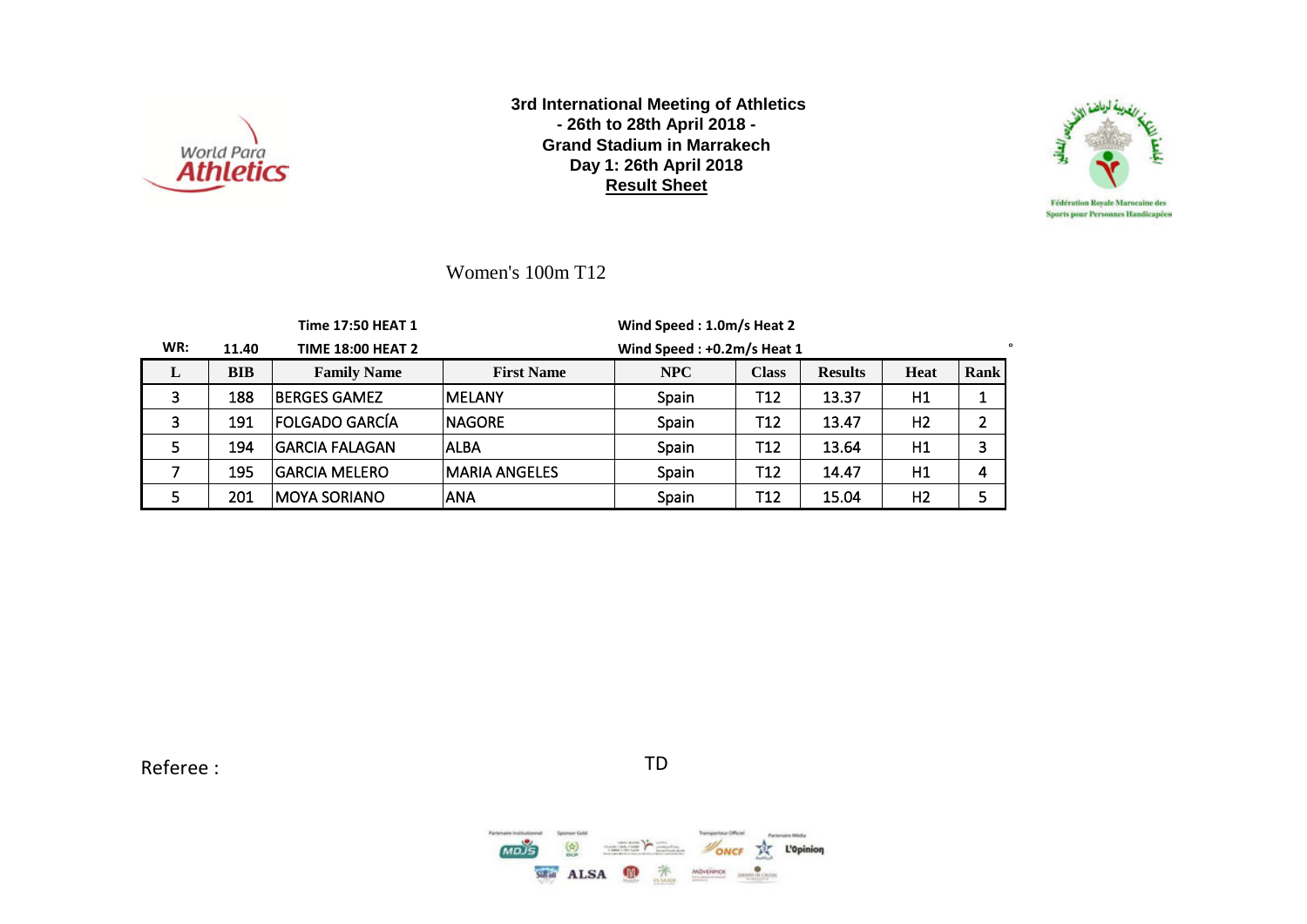



Women's 100m T12

|     |            | Time 17:50 HEAT 1        |                   | Wind Speed: 1.0m/s Heat 2  |              |                |                |                |
|-----|------------|--------------------------|-------------------|----------------------------|--------------|----------------|----------------|----------------|
| WR: | 11.40      | <b>TIME 18:00 HEAT 2</b> |                   | Wind Speed: +0.2m/s Heat 1 |              |                |                |                |
| L   | <b>BIB</b> | <b>Family Name</b>       | <b>First Name</b> | NPC                        | <b>Class</b> | <b>Results</b> | <b>Heat</b>    | Rank           |
| 3   | 188        | <b>BERGES GAMEZ</b>      | MELANY            | <b>Spain</b>               | T12          | 13.37          | H1             |                |
| 3   | 191        | FOLGADO GARCÍA           | <b>NAGORE</b>     | Spain                      | T12          | 13.47          | H <sub>2</sub> | $\overline{2}$ |
| 5   | 194        | <b>GARCIA FALAGAN</b>    | <b>ALBA</b>       | Spain                      | T12          | 13.64          | H1             | 3              |
|     | 195        | <b>GARCIA MELERO</b>     | lMARIA ANGELES    | Spain                      | T12          | 14.47          | H1             | 4              |
|     | 201        | IMOYA SORIANO            | <b>ANA</b>        | Spain                      | T12          | 15.04          | H <sub>2</sub> | 5              |

Referee : TD

 $\binom{h}{b}$ **NONCE THE L'Opinion**  $\sum_{i=1}^n\frac{1}{(i-1)!}\sum_{i=1}^n\frac{1}{(i-1)!}\sum_{i=1}^n\frac{1}{(i-1)!}\sum_{i=1}^n\frac{1}{(i-1)!}\sum_{i=1}^n\frac{1}{(i-1)!}\sum_{i=1}^n\frac{1}{(i-1)!}\sum_{i=1}^n\frac{1}{(i-1)!}\sum_{i=1}^n\frac{1}{(i-1)!}\sum_{i=1}^n\frac{1}{(i-1)!}\sum_{i=1}^n\frac{1}{(i-1)!}\sum_{i=1}^n\frac{1}{(i-1)!}\sum_{i=1}^n\frac$ SHAI ALSA <sup>1</sup>  $\begin{array}{c} \text{M\"{o}v\'{e}recx} \\ \hline \end{array}$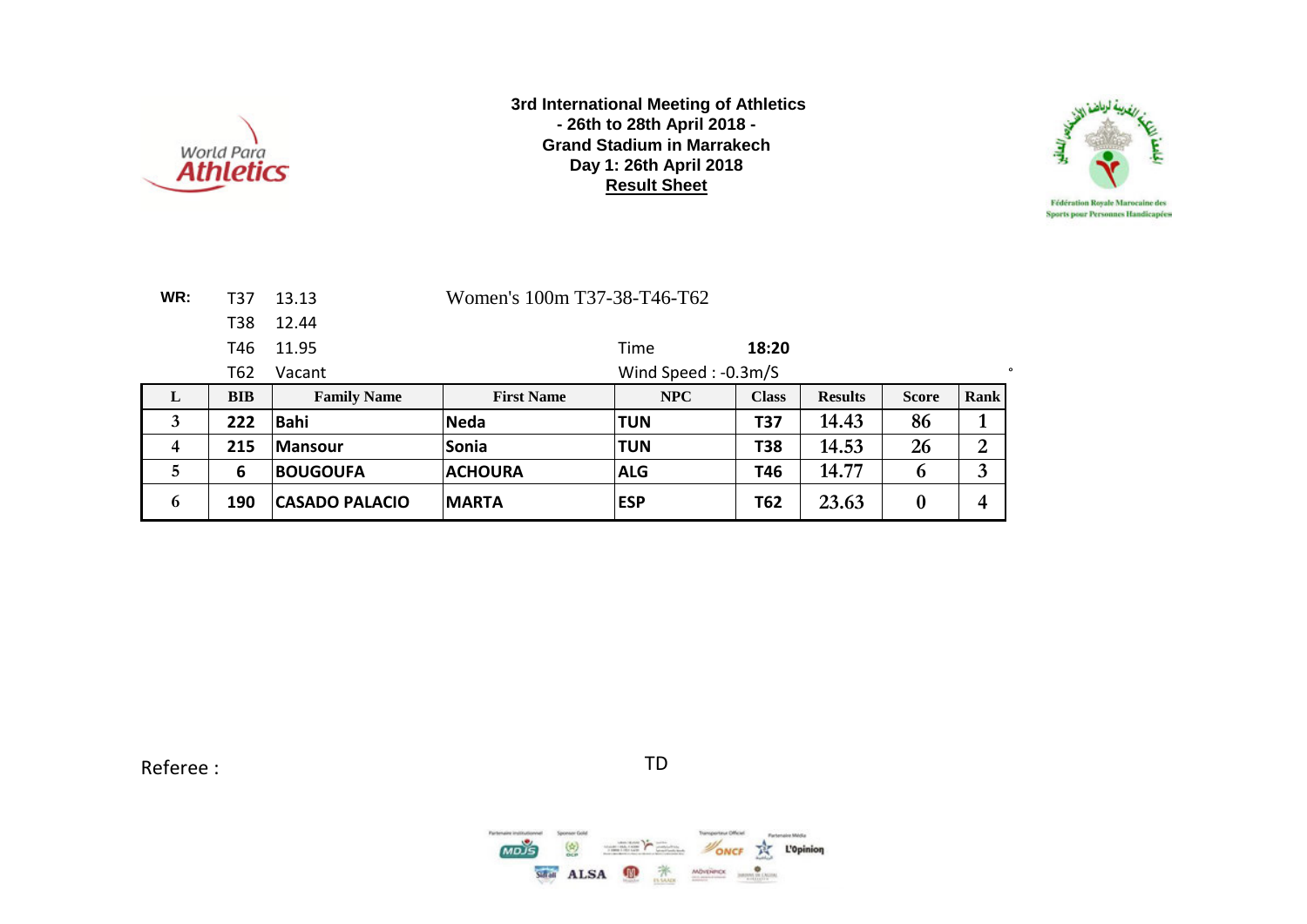



| WR: | T37        | 13.13                 | Women's 100m T37-38-T46-T62 |                     |              |                |                  |                |
|-----|------------|-----------------------|-----------------------------|---------------------|--------------|----------------|------------------|----------------|
|     | <b>T38</b> | 12.44                 |                             |                     |              |                |                  |                |
|     | T46        | 11.95                 |                             | Time                | 18:20        |                |                  |                |
|     | T62        | Vacant                |                             | Wind Speed: -0.3m/S |              |                |                  | $\bullet$      |
| L   | <b>BIB</b> | <b>Family Name</b>    | <b>First Name</b>           | <b>NPC</b>          | <b>Class</b> | <b>Results</b> | <b>Score</b>     | <b>Rank</b>    |
| 3   | 222        | <b>Bahi</b>           | <b>Neda</b>                 | <b>TUN</b>          | <b>T37</b>   | 14.43          | 86               | 1              |
| 4   | 215        | <b>Mansour</b>        | <b>Sonia</b>                | <b>TUN</b>          | <b>T38</b>   | 14.53          | 26               | $\overline{2}$ |
| 5   | 6          | <b>BOUGOUFA</b>       | <b>ACHOURA</b>              | <b>ALG</b>          | T46          | 14.77          | 6                | 3              |
| 6   | 190        | <b>CASADO PALACIO</b> | <b>IMARTA</b>               | <b>ESP</b>          | <b>T62</b>   | 23.63          | $\boldsymbol{0}$ | 4              |

Referee : TD

 $MODS$  $\binom{h}{k}$ **NONCE THE L'Opinion**  $\sum_{\substack{1\leq m\leq 1, \ldots, m-1\\ m\equiv 1, \ldots, m-1}}\sum_{\substack{m\equiv 1, \ldots, m-1\\ m\equiv 1, \ldots, m-1}}\frac{1}{m!}\sum_{\substack{m\equiv 1, \ldots, m-1\\ m\equiv 1, \ldots, m-1}}\frac{1}{m!}\sum_{\substack{m\equiv 1, \ldots, m-1\\ m\equiv 1, \ldots, m-1}}\frac{1}{m!}\sum_{\substack{m\equiv 1, \ldots, m-1\\ m\equiv 1, \ldots, m-1}}\frac{1}{m!}\sum_{\substack{m\equiv 1$  $\frac{1}{\sqrt{2}}$  ALSA  $\frac{1}{\sqrt{2}}$  $\begin{array}{cc}\n\mathbf{M}\mathbf{D}\mathbf{v}\mathbf{D}\mathbf{H}\mathbf{D}\mathbf{C}\mathbf{X} & \mathbf{0} & \mathbf{0} & \mathbf{0} & \mathbf{0} & \mathbf{0} & \mathbf{0} & \mathbf{0} & \mathbf{0} & \mathbf{0} & \mathbf{0} & \mathbf{0} & \mathbf{0} & \mathbf{0} & \mathbf{0} & \mathbf{0} & \mathbf{0} & \mathbf{0} & \mathbf{0} & \mathbf{0} & \mathbf{0} & \mathbf{0} & \mathbf{0} & \mathbf{0} & \mathbf{0} & \math$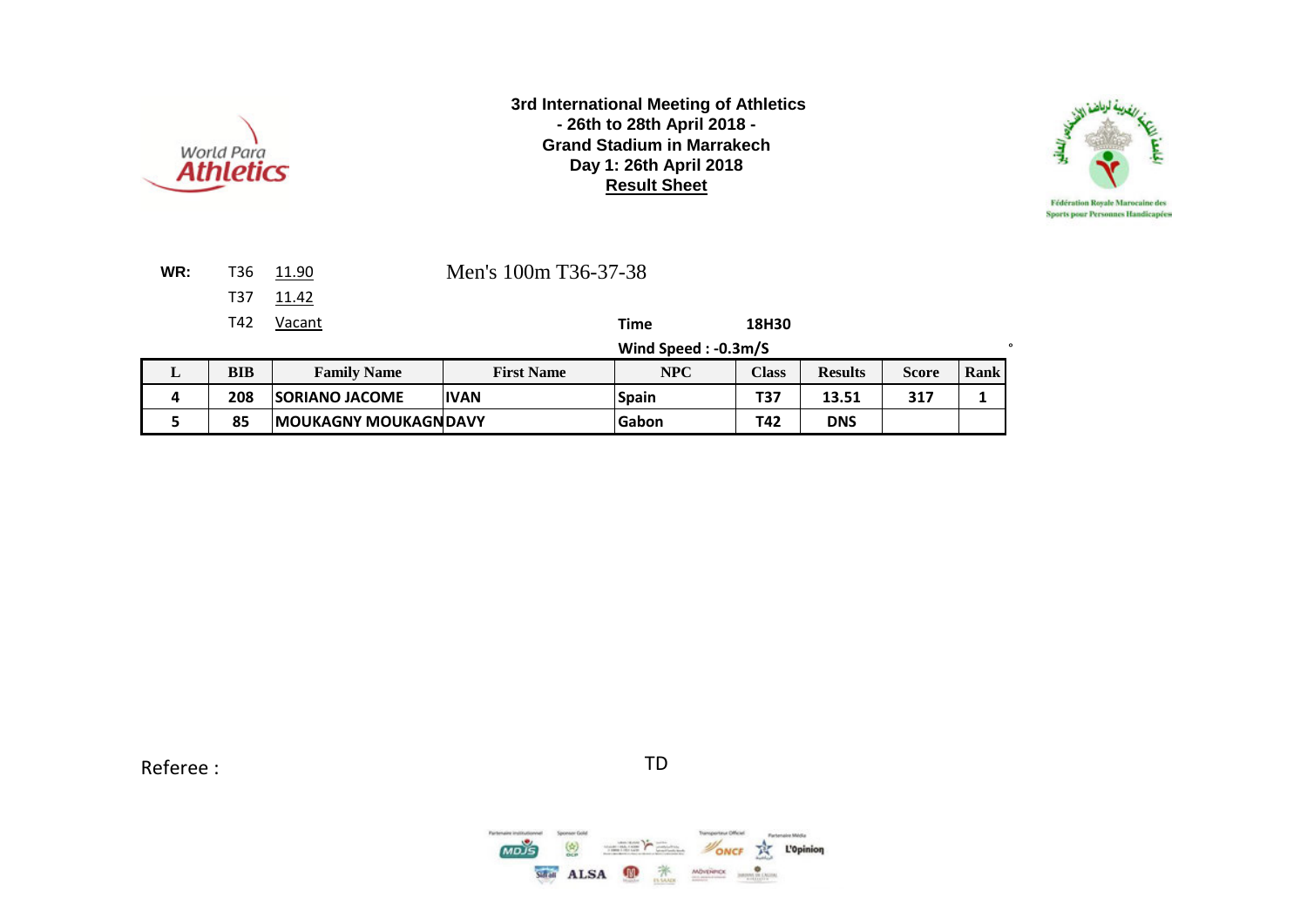



| WR: | T36 11.90 | Men's 100m T36-37-38 |
|-----|-----------|----------------------|
|     | T37 11.42 |                      |

T42 Vacant **Time 18H30**

**Wind Speed : -0.3m/S** °

| . . | BIB | <b>Family Name</b>           | <b>First Name</b> | NPC          | Class | <b>Results</b> | Score | Rank |
|-----|-----|------------------------------|-------------------|--------------|-------|----------------|-------|------|
|     | 208 | <b>SORIANO JACOME</b>        | <b>IVAN</b>       | <b>Spain</b> | T37   | 13.51          | 317   |      |
|     | 85  | <b>IMOUKAGNY MOUKAGNDAVY</b> |                   | Gabon        | T42   | <b>DNS</b>     |       |      |

Referee : TD

மக்  $\binom{k}{n}$ ONCE THE L'Opinion  $\frac{1}{2} \left( \frac{1}{2} \right)^{2} \left( \frac{1}{2} \right)^{2} \left( \frac{1}{2} \right)^{2} \left( \frac{1}{2} \right)^{2} \left( \frac{1}{2} \right)^{2}$ SHAI ALSA **D X** MOVERIDE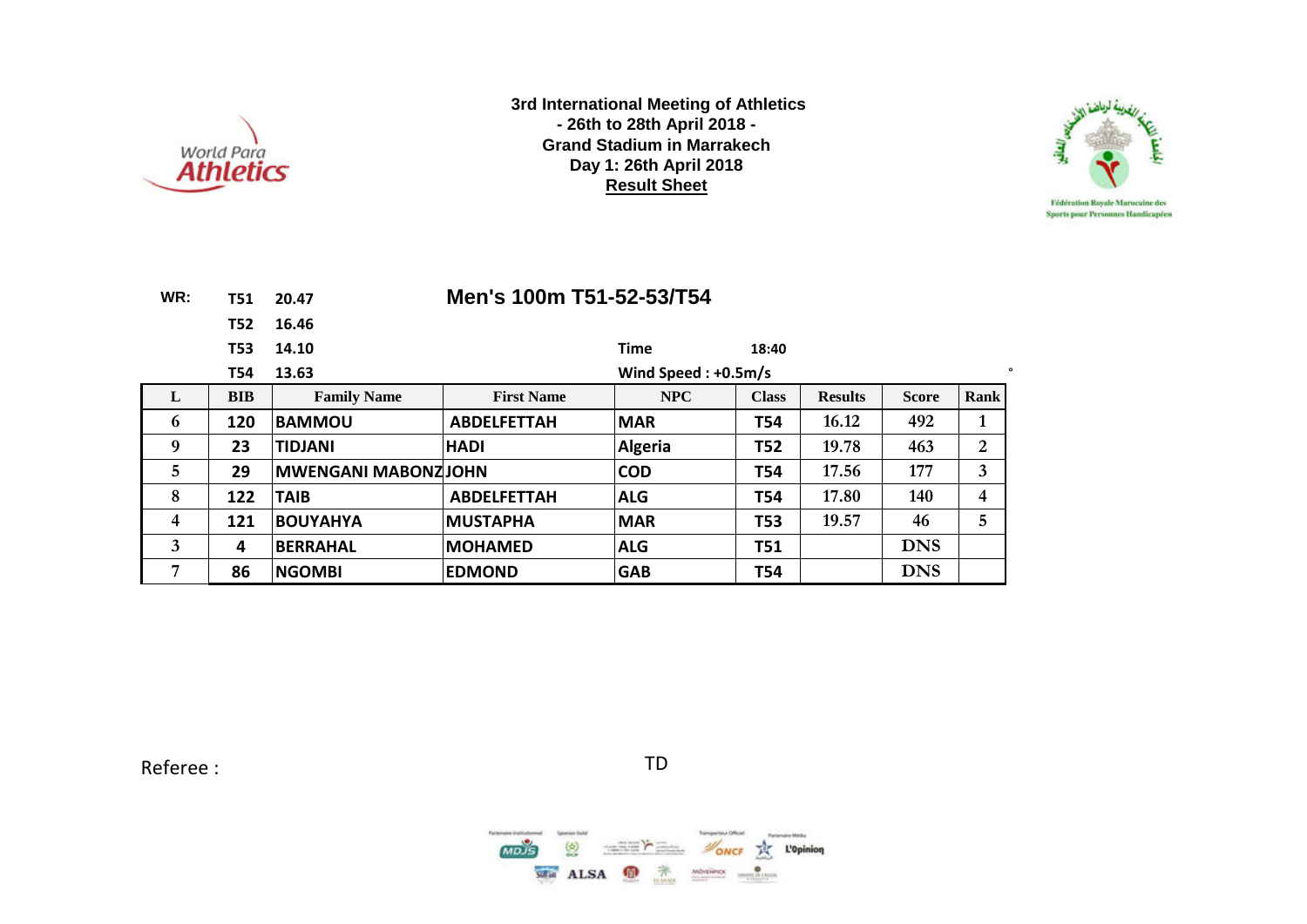



| WR: | T51.       | 20.47                      | Men's 100m T51-52-53/T54 |                       |              |                |              |                |
|-----|------------|----------------------------|--------------------------|-----------------------|--------------|----------------|--------------|----------------|
|     | T52        | 16.46                      |                          |                       |              |                |              |                |
|     | T53        | 14.10                      |                          | <b>Time</b>           | 18:40        |                |              |                |
|     | T54        | 13.63                      |                          | Wind Speed: $+0.5m/s$ |              |                |              | $\bullet$      |
| L   | <b>BIB</b> | <b>Family Name</b>         | <b>First Name</b>        | <b>NPC</b>            | <b>Class</b> | <b>Results</b> | <b>Score</b> | Rank           |
| 6   | 120        | <b>BAMMOU</b>              | <b>ABDELFETTAH</b>       | <b>MAR</b>            | <b>T54</b>   | 16.12          | 492          | 1              |
| 9   | 23         | <b>TIDJANI</b>             | <b>HADI</b>              | <b>Algeria</b>        | <b>T52</b>   | 19.78          | 463          | $\overline{2}$ |
| 5   | 29         | <b>MWENGANI MABONZJOHN</b> |                          | <b>COD</b>            | <b>T54</b>   | 17.56          | 177          | 3              |
| 8   | 122        | <b>TAIB</b>                | <b>ABDELFETTAH</b>       | <b>ALG</b>            | T54          | 17.80          | 140          | 4              |
| 4   | 121        | <b>BOUYAHYA</b>            | <b>MUSTAPHA</b>          | <b>MAR</b>            | <b>T53</b>   | 19.57          | 46           | 5              |
| 3   | 4          | <b>BERRAHAL</b>            | <b>MOHAMED</b>           | <b>ALG</b>            | <b>T51</b>   |                | <b>DNS</b>   |                |
| 7   | 86         | <b>NGOMBI</b>              | <b>EDMOND</b>            | <b>GAB</b>            | T54          |                | <b>DNS</b>   |                |

Referee : TD

 $MODS$  $\binom{h}{k}$ **NONCE THE L'Opinion**  $\sum_{\substack{1\leq m\leq 1, \ldots, m-1\\ m\equiv 1, \ldots, m-1}}\sum_{\substack{m\equiv 1, \ldots, m-1\\ m\equiv 1, \ldots, m-1}}\frac{1}{m!}\sum_{\substack{m\equiv 1, \ldots, m-1\\ m\equiv 1, \ldots, m-1}}\frac{1}{m!}\sum_{\substack{m\equiv 1, \ldots, m-1\\ m\equiv 1, \ldots, m-1}}\frac{1}{m!}\sum_{\substack{m\equiv 1, \ldots, m-1\\ m\equiv 1, \ldots, m-1}}\frac{1}{m!}\sum_{\substack{m\equiv 1$  $\frac{1}{\sqrt{2}}$  ALSA  $\frac{1}{\sqrt{2}}$  $\begin{array}{cc}\n\mathbf{M}\mathbf{D}\mathbf{v}\mathbf{D}\mathbf{H}\mathbf{D}\mathbf{C}\mathbf{X} & \mathbf{0} & \mathbf{0} & \mathbf{0} & \mathbf{0} & \mathbf{0} & \mathbf{0} & \mathbf{0} & \mathbf{0} & \mathbf{0} & \mathbf{0} & \mathbf{0} & \mathbf{0} & \mathbf{0} & \mathbf{0} & \mathbf{0} & \mathbf{0} & \mathbf{0} & \mathbf{0} & \mathbf{0} & \mathbf{0} & \mathbf{0} & \mathbf{0} & \mathbf{0} & \mathbf{0} & \math$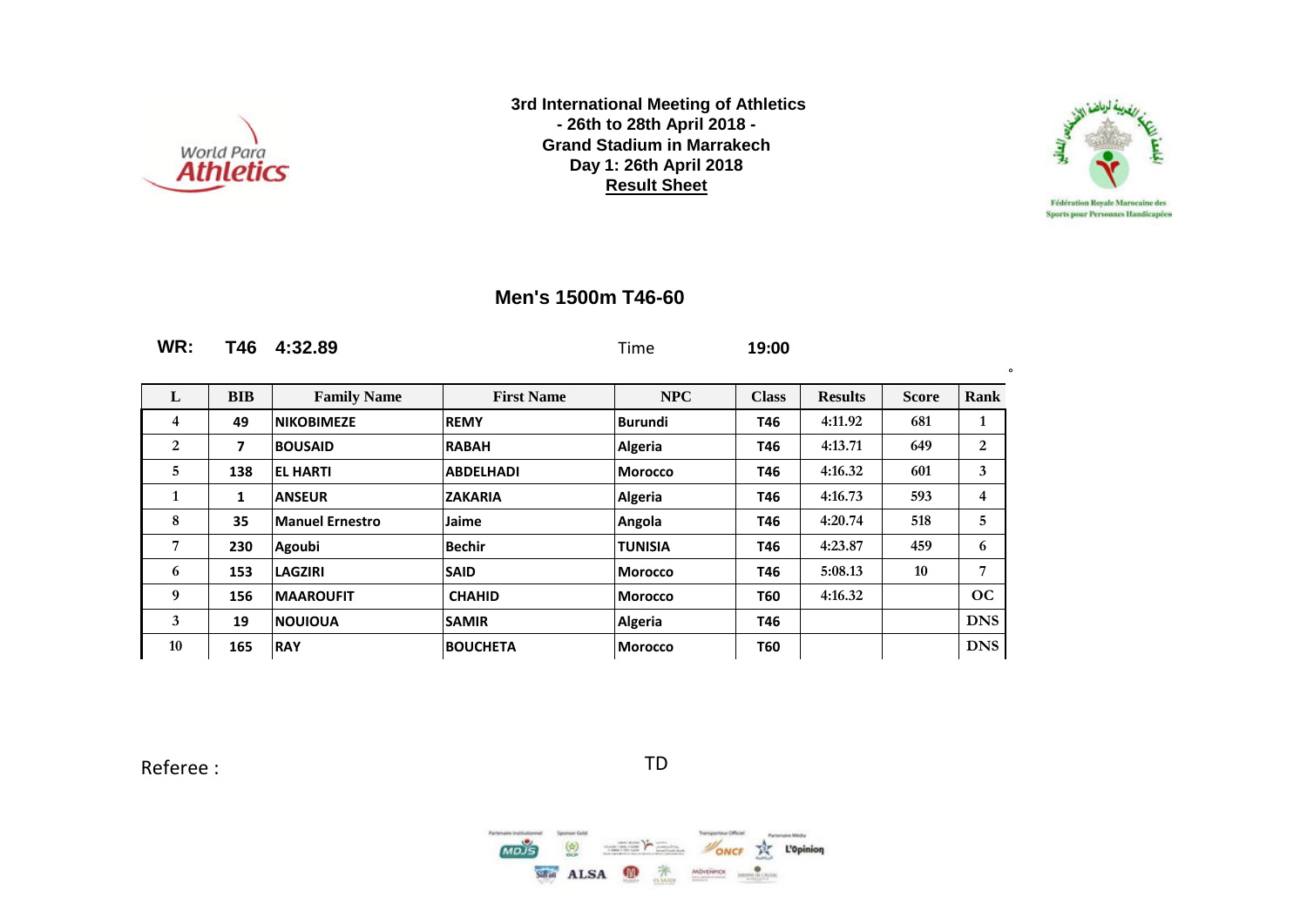



∫ o

### **Men's 1500m T46-60**

| WR:            | T46          | 4:32.89                |                   | Time           | 19:00        |                |              |            |
|----------------|--------------|------------------------|-------------------|----------------|--------------|----------------|--------------|------------|
| L              | <b>BIB</b>   | <b>Family Name</b>     | <b>First Name</b> | <b>NPC</b>     | <b>Class</b> | <b>Results</b> | <b>Score</b> | Rank       |
| 4              | 49           | <b>NIKOBIMEZE</b>      | <b>REMY</b>       | <b>Burundi</b> | T46          | 4:11.92        | 681          | 1          |
| $\overline{2}$ | 7            | <b>BOUSAID</b>         | <b>RABAH</b>      | <b>Algeria</b> | T46          | 4:13.71        | 649          | 2          |
| 5              | 138          | <b>EL HARTI</b>        | <b>ABDELHADI</b>  | <b>Morocco</b> | T46          | 4:16.32        | 601          | 3          |
| 1              | $\mathbf{1}$ | <b>ANSEUR</b>          | <b>ZAKARIA</b>    | <b>Algeria</b> | T46          | 4:16.73        | 593          | 4          |
| 8              | 35           | <b>Manuel Ernestro</b> | Jaime             | Angola         | T46          | 4:20.74        | 518          | 5          |
| 7              | 230          | Agoubi                 | <b>Bechir</b>     | <b>TUNISIA</b> | T46          | 4:23.87        | 459          | 6          |
| 6              | 153          | <b>LAGZIRI</b>         | <b>SAID</b>       | <b>Morocco</b> | T46          | 5:08.13        | 10           | 7          |
| 9              | 156          | <b>MAAROUFIT</b>       | <b>CHAHID</b>     | <b>Morocco</b> | T60          | 4:16.32        |              | OC         |
| 3              | 19           | <b>INOUIOUA</b>        | <b>SAMIR</b>      | <b>Algeria</b> | T46          |                |              | <b>DNS</b> |
| 10             | 165          | <b>RAY</b>             | <b>BOUCHETA</b>   | Morocco        | T60          |                |              | <b>DNS</b> |

Referee : TD

 $MDS$  $\binom{4}{2}$ ONCE TK L'Opinion SHAI ALSA **D X** MOVERIDE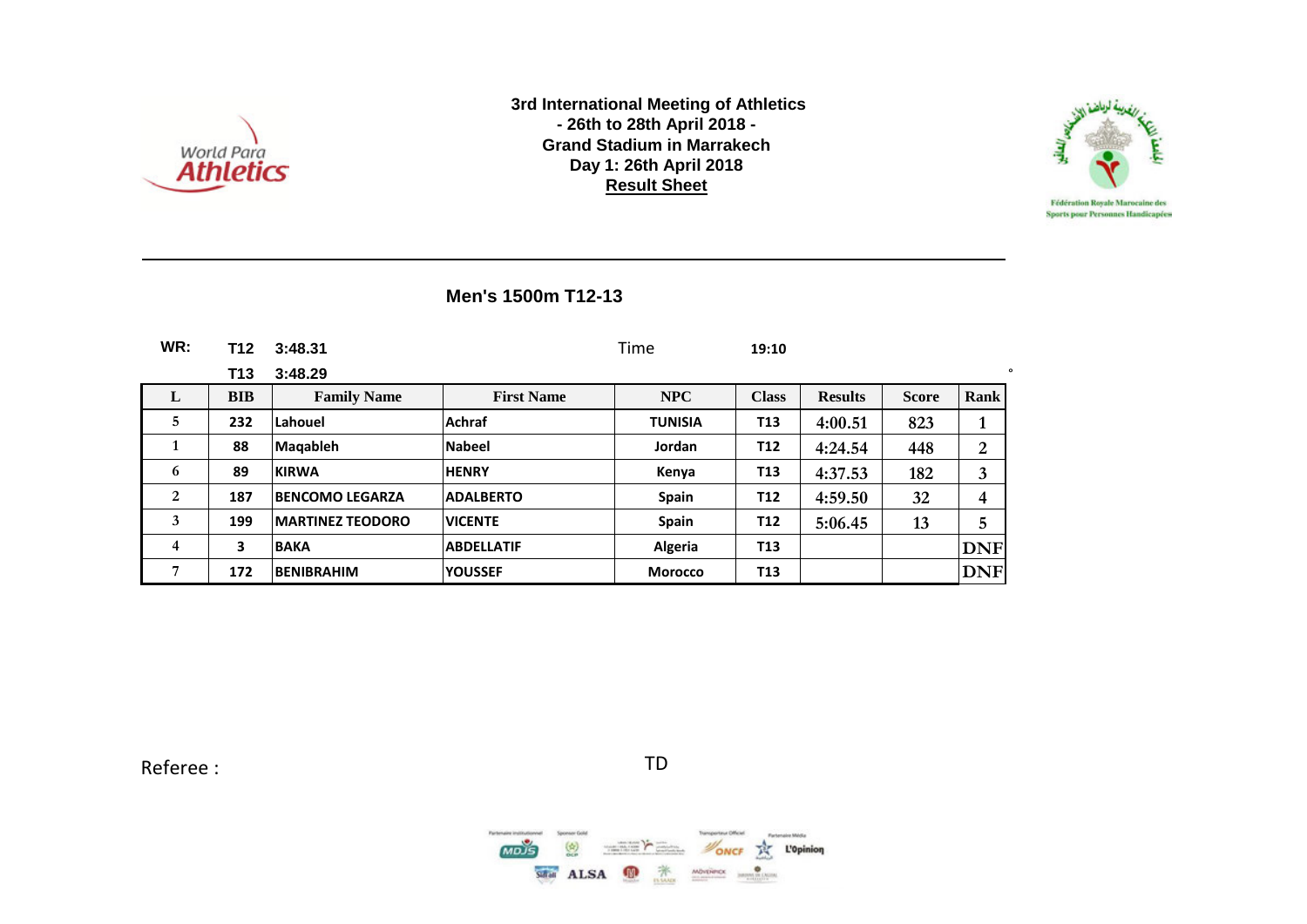



### **Men's 1500m T12-13**

| WR: | T12        | 3:48.31                  |                   | Time           | 19:10           |                |              |            |
|-----|------------|--------------------------|-------------------|----------------|-----------------|----------------|--------------|------------|
|     | T13        | 3:48.29                  |                   |                |                 |                |              | $\circ$    |
| L   | <b>BIB</b> | <b>Family Name</b>       | <b>First Name</b> | <b>NPC</b>     | <b>Class</b>    | <b>Results</b> | <b>Score</b> | Rank       |
| 5   | 232        | Lahouel                  | <b>Achraf</b>     | <b>TUNISIA</b> | T <sub>13</sub> | 4:00.51        | 823          | 1          |
|     | 88         | <b>Magableh</b>          | <b>Nabeel</b>     | Jordan         | T <sub>12</sub> | 4:24.54        | 448          | 2          |
| 6   | 89         | <b>KIRWA</b>             | <b>HENRY</b>      | Kenya          | T <sub>13</sub> | 4:37.53        | 182          | 3          |
| 2   | 187        | <b>BENCOMO LEGARZA</b>   | <b>ADALBERTO</b>  | Spain          | T <sub>12</sub> | 4:59.50        | 32           | 4          |
| 3   | 199        | <b>IMARTINEZ TEODORO</b> | <b>VICENTE</b>    | <b>Spain</b>   | T <sub>12</sub> | 5:06.45        | 13           | 5          |
| 4   | 3          | <b>BAKA</b>              | <b>ABDELLATIF</b> | Algeria        | T <sub>13</sub> |                |              | <b>DNF</b> |
| 7   | 172        | <b>BENIBRAHIM</b>        | <b>YOUSSEF</b>    | <b>Morocco</b> | T <sub>13</sub> |                |              | <b>DNF</b> |

Referee : TD

 $MDS$  $\binom{k}{n}$ **NONCE** THE L'Opinion  $\begin{picture}(130,10) \put(0,0){\line(1,0){10}} \put(0,0){\line(1,0){10}} \put(0,0){\line(1,0){10}} \put(0,0){\line(1,0){10}} \put(0,0){\line(1,0){10}} \put(0,0){\line(1,0){10}} \put(0,0){\line(1,0){10}} \put(0,0){\line(1,0){10}} \put(0,0){\line(1,0){10}} \put(0,0){\line(1,0){10}} \put(0,0){\line(1,0){10}} \put(0,0){\line(1,0){10}} \put(0$ Safan ALSA 萧 MÖNTHINX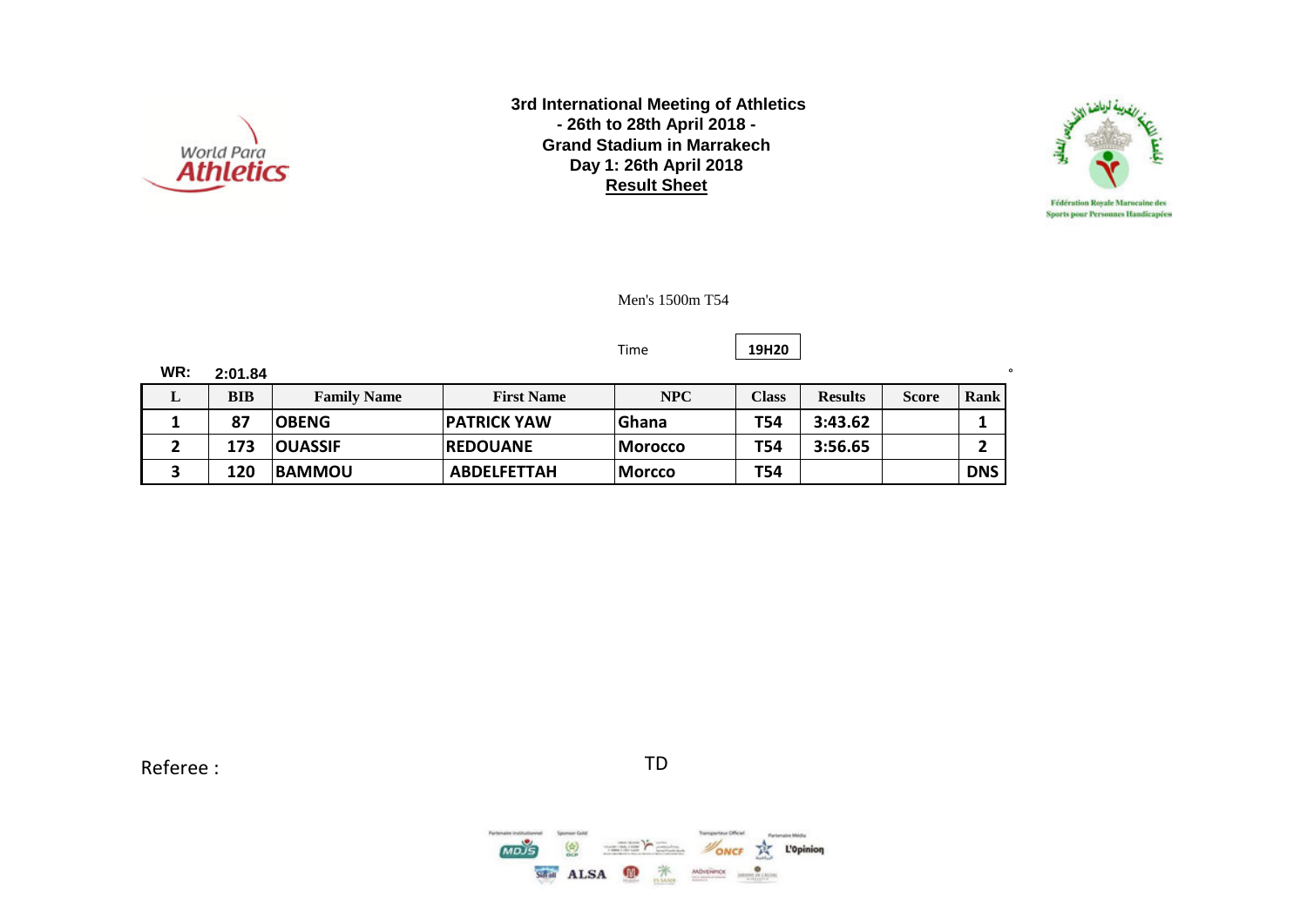



Men's 1500m T54

#### Time **19H20**

| WR: | 2:01.84 |                    |                     |                |              |                |              |            |
|-----|---------|--------------------|---------------------|----------------|--------------|----------------|--------------|------------|
| ≖   | BIB     | <b>Family Name</b> | <b>First Name</b>   | NPC            | <b>Class</b> | <b>Results</b> | <b>Score</b> | Rank       |
|     | 87      | <b>OBENG</b>       | <b>IPATRICK YAW</b> | <b>IGhana</b>  | T54          | 3:43.62        |              |            |
|     | 173     | <b>OUASSIF</b>     | <b>IREDOUANE</b>    | Morocco        | <b>T54</b>   | 3:56.65        |              | ∼          |
|     | 120     | <b>BAMMOU</b>      | <b>ABDELFETTAH</b>  | <b> Morcco</b> | <b>T54</b>   |                |              | <b>DNS</b> |

Referee : TD

 $\binom{4}{2}$ **NONCE** THE L'Opinion  $\frac{1}{2} \left( \frac{1}{2} \frac{1}{2} \frac{1}{2} \frac{1}{2} \frac{1}{2} \frac{1}{2} \frac{1}{2} \frac{1}{2} \frac{1}{2} \frac{1}{2} \frac{1}{2} \frac{1}{2} \frac{1}{2} \frac{1}{2} \frac{1}{2} \frac{1}{2} \frac{1}{2} \frac{1}{2} \frac{1}{2} \frac{1}{2} \frac{1}{2} \frac{1}{2} \frac{1}{2} \frac{1}{2} \frac{1}{2} \frac{1}{2} \frac{1}{2} \frac{1}{2} \frac{1}{2} \frac{1}{2}$ Safar ALSA <sup>1</sup> MOVERIDE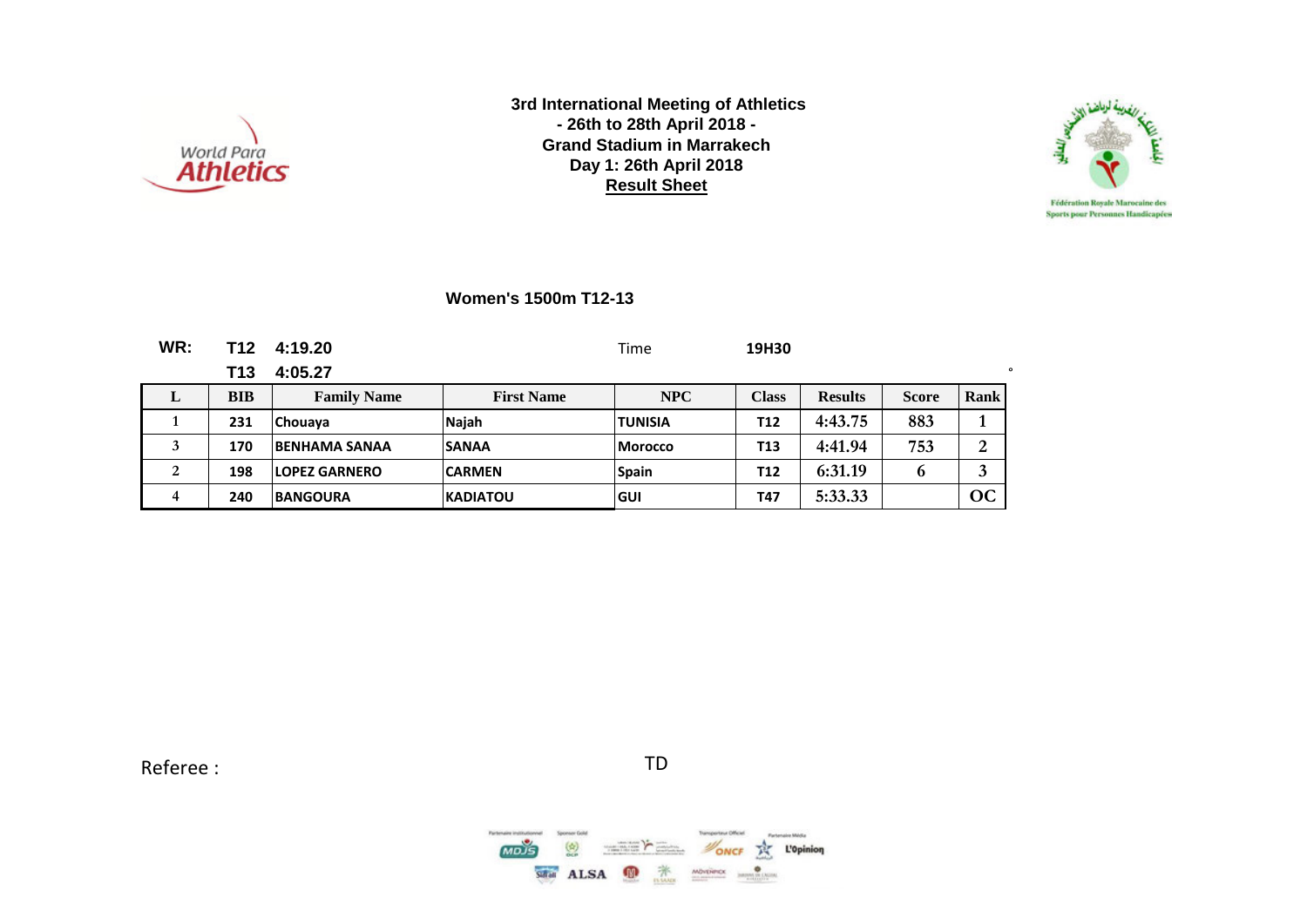



**Women's 1500m T12-13**

| WR: | T12        | 4:19.20               |                   | Time           | 19H30        |                |              |                |
|-----|------------|-----------------------|-------------------|----------------|--------------|----------------|--------------|----------------|
|     | T13        | 4:05.27               |                   |                |              |                |              | $\circ$        |
| L   | <b>BIB</b> | <b>Family Name</b>    | <b>First Name</b> | NPC            | <b>Class</b> | <b>Results</b> | <b>Score</b> | Rank           |
|     | 231        | <b>Chouaya</b>        | Najah             | <b>TUNISIA</b> | T12          | 4:43.75        | 883          |                |
| 3   | 170        | <b>IBENHAMA SANAA</b> | <b>SANAA</b>      | <b>Morocco</b> | T13          | 4:41.94        | 753          | $\overline{2}$ |
| 2   | 198        | <b>ILOPEZ GARNERO</b> | <b>CARMEN</b>     | <b>Spain</b>   | <b>T12</b>   | 6:31.19        | 6            | 3              |
| 4   | 240        | <b>BANGOURA</b>       | <b>KADIATOU</b>   | lGUI           | T47          | 5:33.33        |              | OC             |

Referee : TD

 $\overline{MDIS}$  $\begin{pmatrix} k \\ 0 \\ 0 \\ 0 \end{pmatrix}$ **NONCE THE L'Opinion**  $\frac{1}{\sqrt{2}}$ SHAI ALSA <sup>1</sup>  $MDFPCC$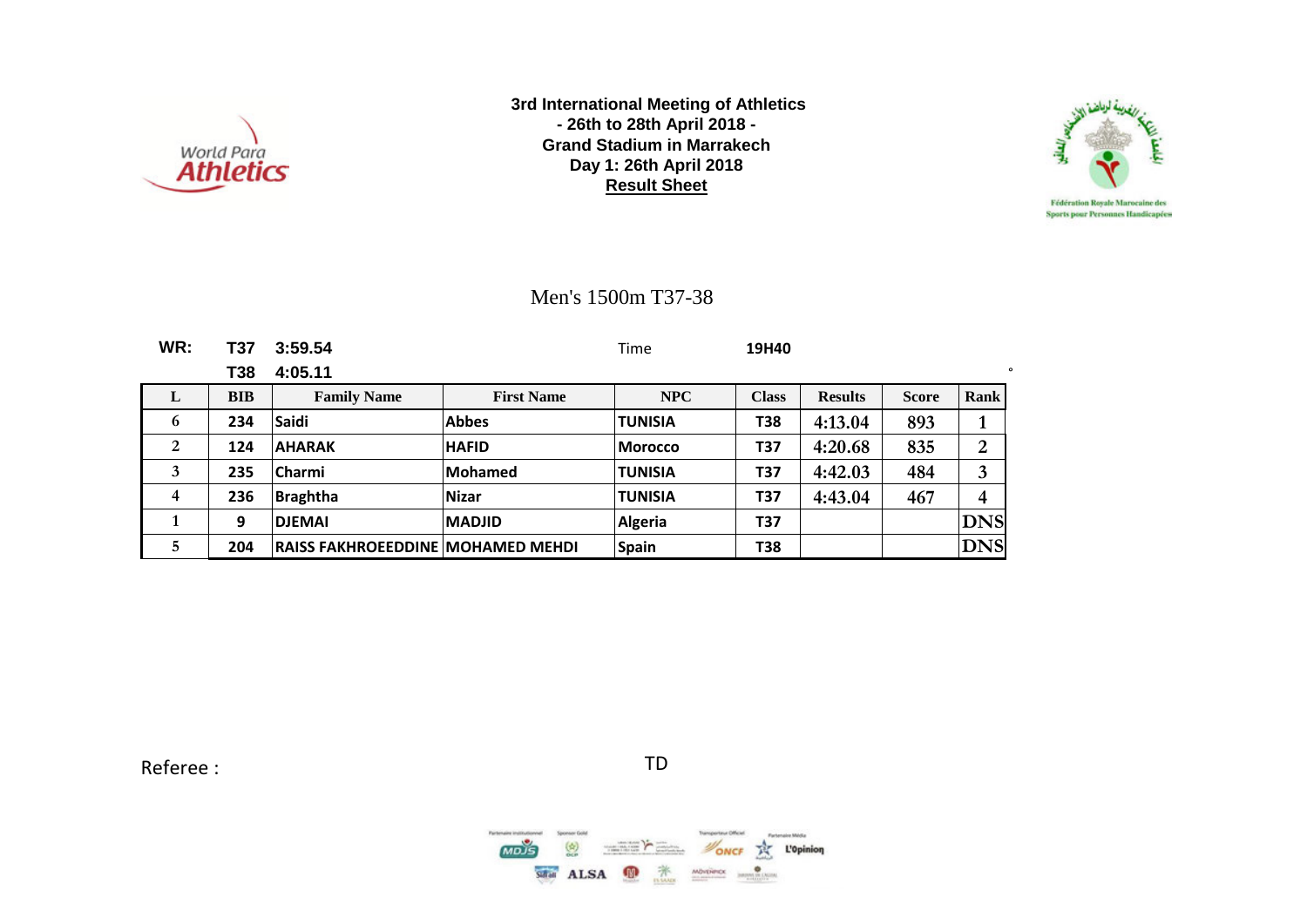



### Men's 1500m T37-38

| WR: | <b>T37</b> | 3:59.54                                  |                   | Time           | 19H40        |                |              |                         |
|-----|------------|------------------------------------------|-------------------|----------------|--------------|----------------|--------------|-------------------------|
|     | T38        | 4:05.11                                  |                   |                |              |                |              | o                       |
| L   | <b>BIB</b> | <b>Family Name</b>                       | <b>First Name</b> | <b>NPC</b>     | <b>Class</b> | <b>Results</b> | <b>Score</b> | Rank                    |
| 6   | 234        | Saidi                                    | <b>Abbes</b>      | <b>TUNISIA</b> | <b>T38</b>   | 4:13.04        | 893          | $\mathbf 1$             |
| 2   | 124        | <b>AHARAK</b>                            | <b>HAFID</b>      | Morocco        | T37          | 4:20.68        | 835          | $\overline{2}$          |
| 3   | 235        | <b>Charmi</b>                            | Mohamed           | <b>TUNISIA</b> | T37          | 4:42.03        | 484          | 3                       |
| 4   | 236        | <b>Braghtha</b>                          | <b>Nizar</b>      | <b>TUNISIA</b> | T37          | 4:43.04        | 467          | $\overline{\mathbf{4}}$ |
|     | 9          | <b>DJEMAI</b>                            | <b>IMADJID</b>    | <b>Algeria</b> | T37          |                |              | <b>DNS</b>              |
| 5   | 204        | <b>RAISS FAKHROEEDDINE MOHAMED MEHDI</b> |                   | <b>Spain</b>   | <b>T38</b>   |                |              | <b>DNS</b>              |

Referee : TD

 $MDS$  $\binom{k}{n}$ **NONCE** THE L'Opinion **MARKETING COMPANY** Safat ALSA 萧 MÖNTHINX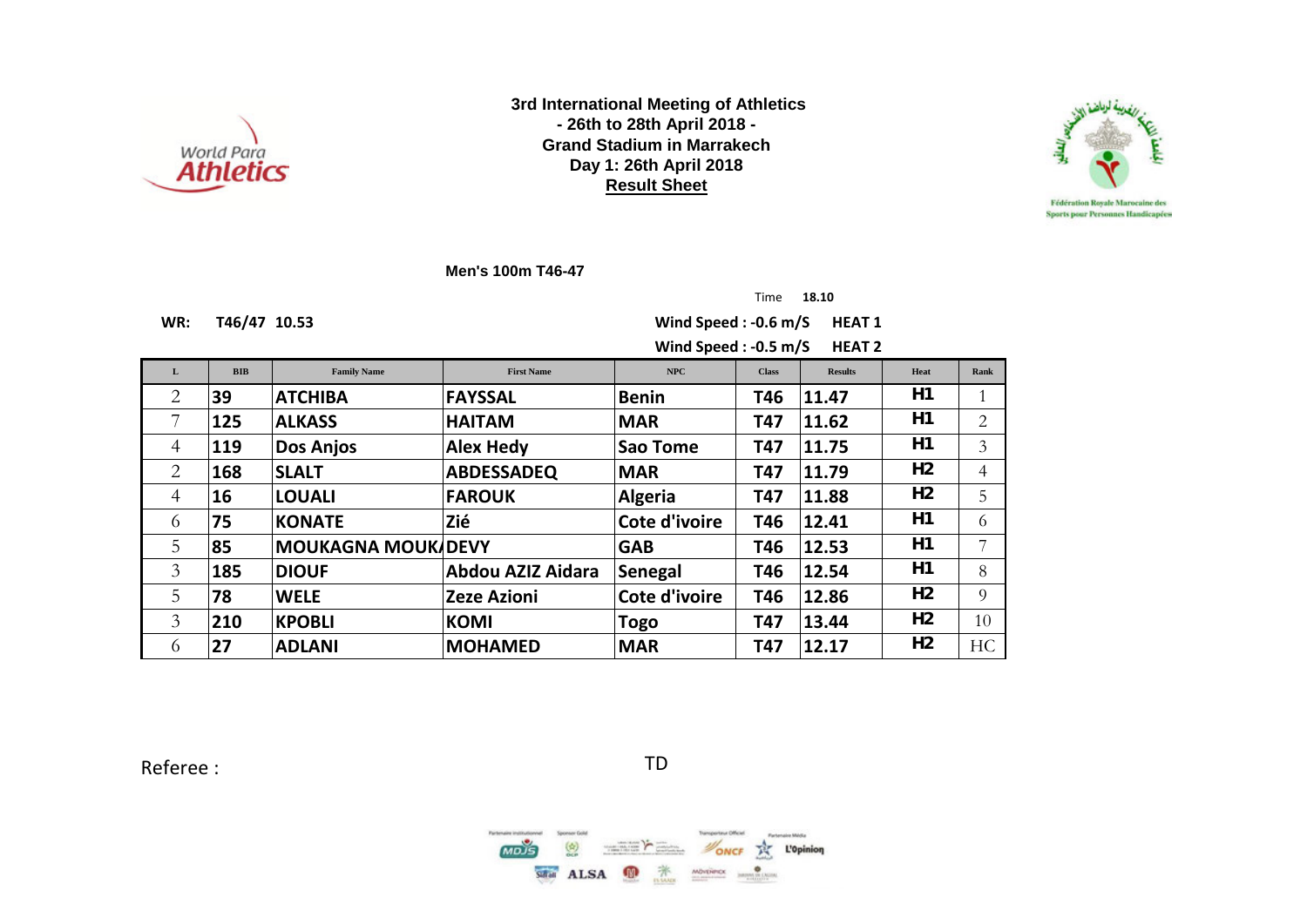



**Men's 100m T46-47**

Time **18.10**

**WR: T46/47 10.53 Wind Speed : -0.6 m/S HEAT 1**

Wind Speed : -0.5 m/S HEAT 2

| L        | <b>BIB</b> | <b>Family Name</b>        | <b>First Name</b>  | NPC            | <b>Class</b> | <b>Results</b> | Heat           | Rank                        |
|----------|------------|---------------------------|--------------------|----------------|--------------|----------------|----------------|-----------------------------|
| 2        | 39         | <b>ATCHIBA</b>            | <b>FAYSSAL</b>     | <b>Benin</b>   | T46          | 11.47          | H1             |                             |
|          | 125        | <b>ALKASS</b>             | <b>HAITAM</b>      | <b>MAR</b>     | T47          | 11.62          | H1             | $\mathcal{D}_{\mathcal{L}}$ |
| 4        | 119        | <b>Dos Anjos</b>          | <b>Alex Hedy</b>   | Sao Tome       | T47          | 11.75          | H1             | 3                           |
| 2        | 168        | <b>SLALT</b>              | <b>ABDESSADEQ</b>  | <b>MAR</b>     | T47          | 11.79          | H <sub>2</sub> | 4                           |
| 4        | 16         | <b>LOUALI</b>             | <b>FAROUK</b>      | <b>Algeria</b> | <b>T47</b>   | 11.88          | H <sub>2</sub> | 5                           |
| 6        | 75         | <b>KONATE</b>             | Zié                | Cote d'ivoire  | T46          | 12.41          | H1             | 6                           |
| 5        | 85         | <b>MOUKAGNA MOUK/DEVY</b> |                    | <b>GAB</b>     | T46          | 12.53          | H1             | $\overline{7}$              |
| 3        | 185        | <b>DIOUF</b>              | Abdou AZIZ Aidara  | <b>Senegal</b> | T46          | 12.54          | H1             | 8                           |
| 5        | 78         | <b>WELE</b>               | <b>Zeze Azioni</b> | Cote d'ivoire  | T46          | 12.86          | H <sub>2</sub> | $\Omega$                    |
| 3        | 210        | <b>KPOBLI</b>             | <b>KOMI</b>        | Togo           | <b>T47</b>   | 13.44          | H <sub>2</sub> | 10                          |
| $\sigma$ | 27         | <b>ADLANI</b>             | <b>MOHAMED</b>     | <b>MAR</b>     | <b>T47</b>   | 12.17          | H <sub>2</sub> | <b>HC</b>                   |

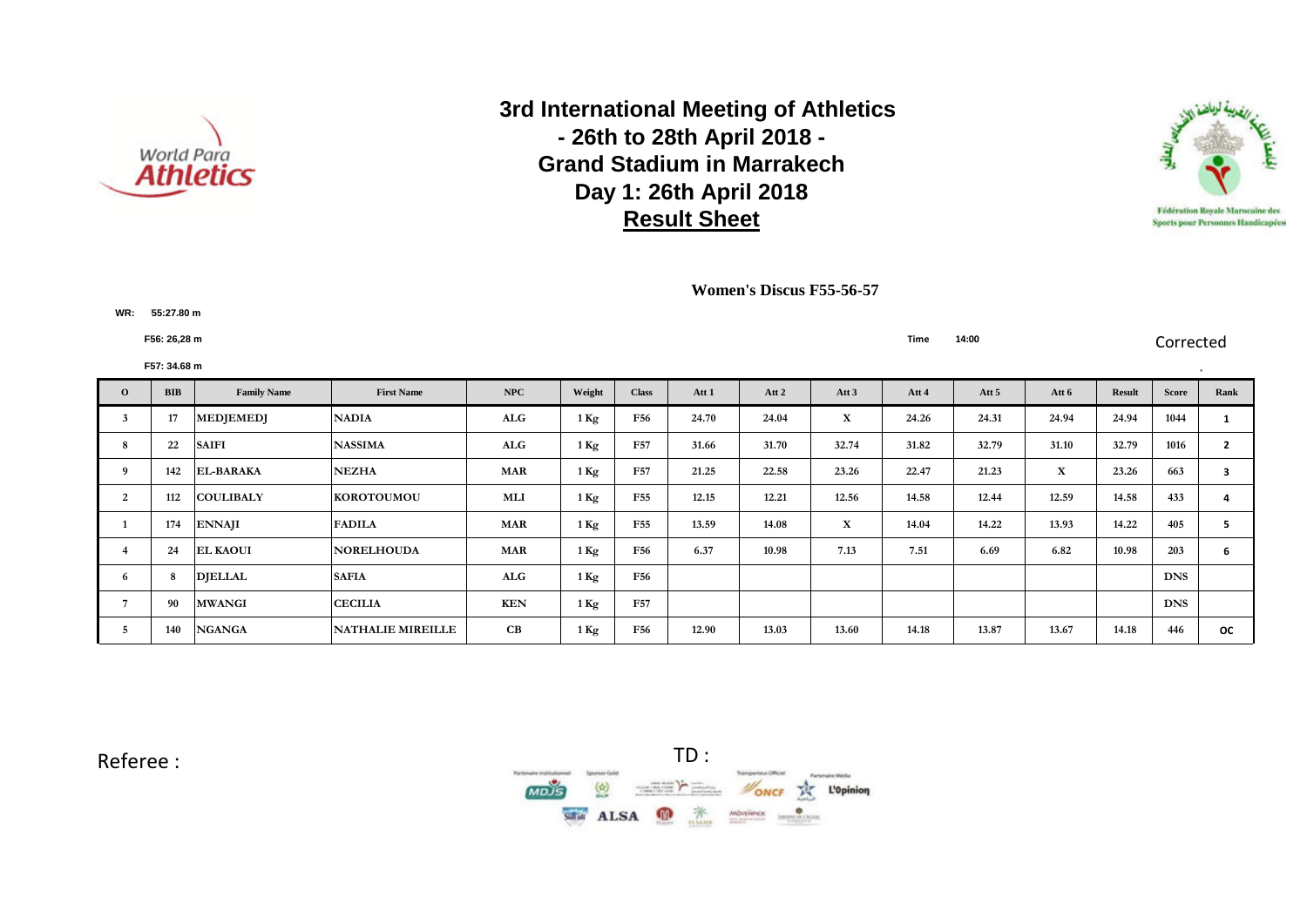



**Women's Discus F55-56-57**

**F56: 26,28 m Time 14:00** Corrected

**WR: F55:27.80 m**

|              | F57: 34.68 m |                    |                          |            |                   |                 |       |       |                  |       |         |             |               |              |                         |
|--------------|--------------|--------------------|--------------------------|------------|-------------------|-----------------|-------|-------|------------------|-------|---------|-------------|---------------|--------------|-------------------------|
| $\mathbf{o}$ | <b>BIB</b>   | <b>Family Name</b> | <b>First Name</b>        | NPC        | Weight            | <b>Class</b>    | Att 1 | Att 2 | Att <sub>3</sub> | Att 4 | Att $5$ | Att 6       | <b>Result</b> | <b>Score</b> | Rank                    |
|              | 17           | <b>MEDJEMEDJ</b>   | <b>NADIA</b>             | ALG        | $1$ Kg            | F56             | 24.70 | 24.04 | $\mathbf X$      | 24.26 | 24.31   | 24.94       | 24.94         | 1044         |                         |
|              | 22           | <b>SAIFI</b>       | <b>NASSIMA</b>           | ALG        | $1 \,\mathrm{Kg}$ | F57             | 31.66 | 31.70 | 32.74            | 31.82 | 32.79   | 31.10       | 32.79         | 1016         | $\overline{2}$          |
|              | 142          | <b>EL-BARAKA</b>   | <b>NEZHA</b>             | <b>MAR</b> | $1\,\mathrm{Kg}$  | <b>F57</b>      | 21.25 | 22.58 | 23.26            | 22.47 | 21.23   | $\mathbf X$ | 23.26         | 663          | $\overline{\mathbf{3}}$ |
|              | 112          | <b>COULIBALY</b>   | <b>KOROTOUMOU</b>        | MLI        | $1 \,\mathrm{Kg}$ | F <sub>55</sub> | 12.15 | 12.21 | 12.56            | 14.58 | 12.44   | 12.59       | 14.58         | 433          | 4                       |
|              | 174          | <b>ENNAJI</b>      | <b>FADILA</b>            | <b>MAR</b> | $1\,\mathrm{Kg}$  | F <sub>55</sub> | 13.59 | 14.08 | $\mathbf x$      | 14.04 | 14.22   | 13.93       | 14.22         | 405          | 5                       |
|              | 24           | <b>EL KAOUI</b>    | <b>NORELHOUDA</b>        | <b>MAR</b> | $1 \,\mathrm{Kg}$ | F56             | 6.37  | 10.98 | 7.13             | 7.51  | 6.69    | 6.82        | 10.98         | 203          | 6                       |
| 6            |              | <b>DIELLAL</b>     | <b>SAFIA</b>             | ALG        | $1 \,\mathrm{Kg}$ | <b>F56</b>      |       |       |                  |       |         |             |               | <b>DNS</b>   |                         |
|              | 90           | <b>MWANGI</b>      | <b>CECILIA</b>           | KEN        | $1 \,\mathrm{Kg}$ | <b>F57</b>      |       |       |                  |       |         |             |               | <b>DNS</b>   |                         |
|              | 140          | <b>NGANGA</b>      | <b>NATHALIE MIREILLE</b> | CB         | $1\,\mathrm{Kg}$  | F56             | 12.90 | 13.03 | 13.60            | 14.18 | 13.87   | 13.67       | 14.18         | 446          | <b>OC</b>               |

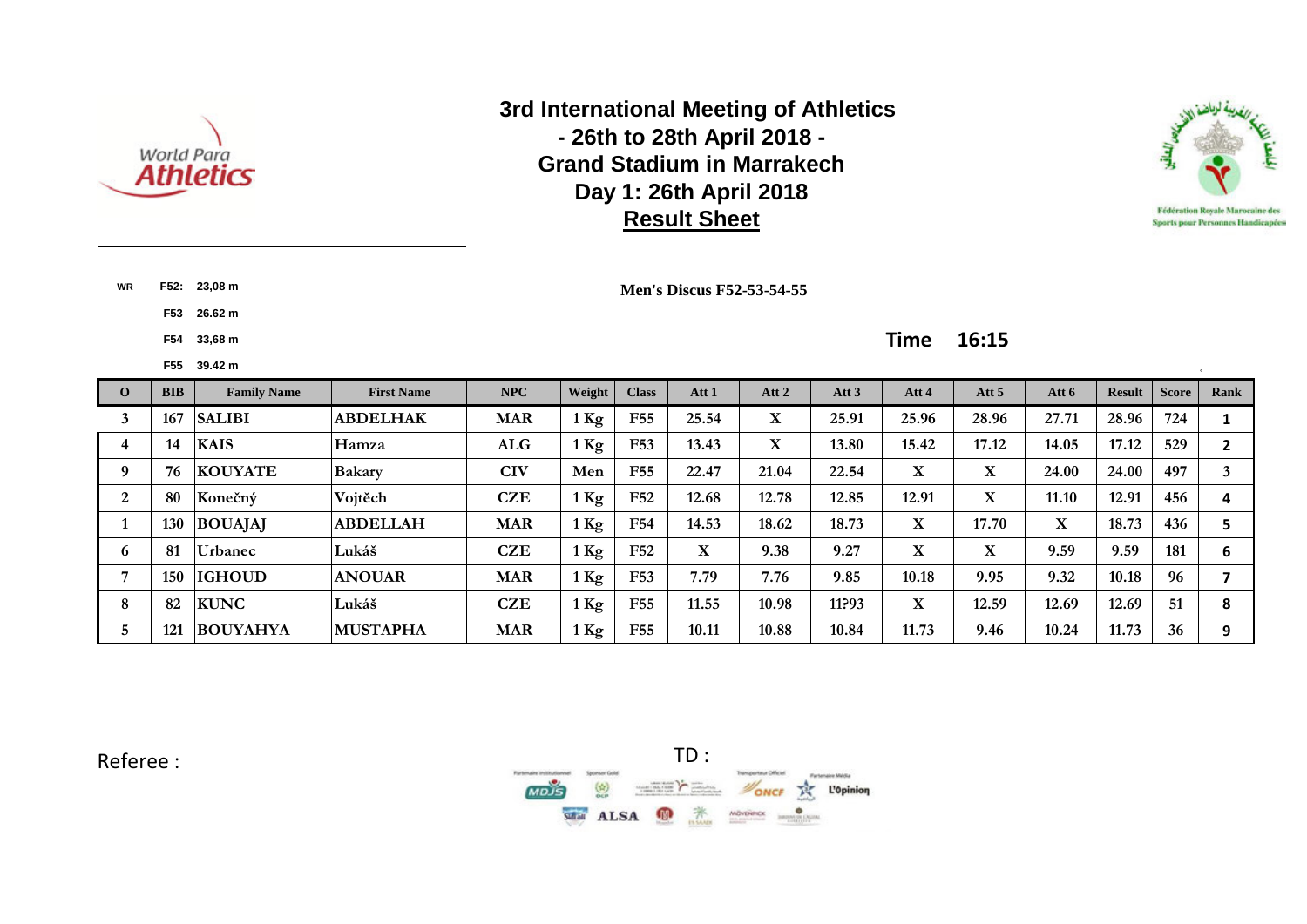



**WR F52: 23,08 m**

**F53 26.62 m**

### **Men's Discus F52-53-54-55**

### **F54 33,68 m Time 16:15**

|              | F55        | 39.42 m            |                   |            |                  |                 |              |       |         |             |                  |       |               |              |      |
|--------------|------------|--------------------|-------------------|------------|------------------|-----------------|--------------|-------|---------|-------------|------------------|-------|---------------|--------------|------|
| $\mathbf{O}$ | <b>BIB</b> | <b>Family Name</b> | <b>First Name</b> | <b>NPC</b> | Weight           | <b>Class</b>    | Att 1        | Att 2 | Att $3$ | Att 4       | Att <sub>5</sub> | Att 6 | <b>Result</b> | <b>Score</b> | Rank |
|              | 167        | <b>SALIBI</b>      | <b>ABDELHAK</b>   | <b>MAR</b> | $1$ Kg           | F <sub>55</sub> | 25.54        | X     | 25.91   | 25.96       | 28.96            | 27.71 | 28.96         | 724          |      |
| 4            | 14         | <b>KAIS</b>        | Hamza             | ALG        | $1$ Kg           | F53             | 13.43        | X     | 13.80   | 15.42       | 17.12            | 14.05 | 17.12         | 529          |      |
| 9            | 76         | <b>KOUYATE</b>     | Bakary            | <b>CIV</b> | Men              | F <sub>55</sub> | 22.47        | 21.04 | 22.54   | X           | X                | 24.00 | 24.00         | 497          |      |
| 2            | 80         | Konečný            | Vojtěch           | CZE        | $1$ Kg           | F52             | 12.68        | 12.78 | 12.85   | 12.91       | X                | 11.10 | 12.91         | 456          | 4    |
|              | <b>130</b> | <b>BOUAJAJ</b>     | <b>ABDELLAH</b>   | <b>MAR</b> | $1$ Kg           | F54             | 14.53        | 18.62 | 18.73   | $\mathbf X$ | 17.70            | X     | 18.73         | 436          | 5    |
| 6            | 81         | Urbanec            | Lukáš             | CZE        | $1$ Kg           | F52             | $\mathbf{X}$ | 9.38  | 9.27    | $\mathbf X$ | X                | 9.59  | 9.59          | 181          | 6    |
|              | 150        | <b>IGHOUD</b>      | <b>ANOUAR</b>     | <b>MAR</b> | $1$ Kg           | F53             | 7.79         | 7.76  | 9.85    | 10.18       | 9.95             | 9.32  | 10.18         | 96           |      |
| 8            | 82         | <b>KUNC</b>        | Lukáš             | <b>CZE</b> | $1$ Kg           | F55             | 11.55        | 10.98 | 11?93   | $\mathbf X$ | 12.59            | 12.69 | 12.69         | 51           | 8    |
| b.           | 121        | <b>BOUYAHYA</b>    | <b>MUSTAPHA</b>   | <b>MAR</b> | $1\,\mathrm{Kg}$ | F55             | 10.11        | 10.88 | 10.84   | 11.73       | 9.46             | 10.24 | 11.73         | 36           | 9    |

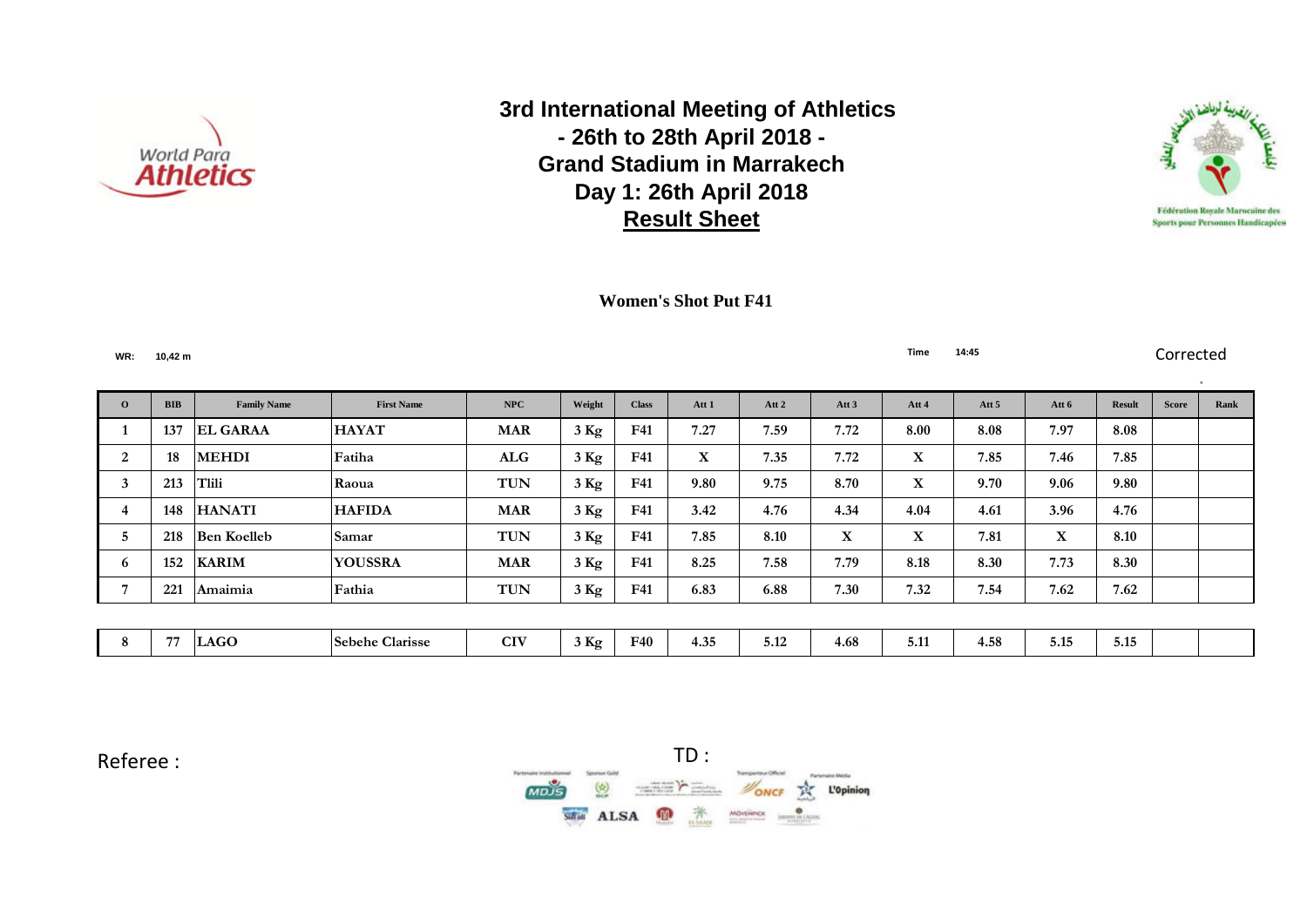



 **Women's Shot Put F41**

**WR: 10,42 m Time 14:45** Corrected

° **O BIB Family Name First Name NPC Weight Class Att 1 Att 2 Att 3 Att 4 Att 5 Att 6 Result Score Rank 137 EL GARAA HAYAT MAR 3 Kg F41 7.27 7.59 7.72 8.00 8.08 7.97 8.08 18 MEHDI Fatiha ALG 3 Kg F41 X 7.35 7.72 X 7.85 7.46 7.85 213 Tlili Raoua TUN 3 Kg F41 9.80 9.75 8.70 X 9.70 9.06 9.80 148 HANATI HAFIDA MAR 3 Kg F41 3.42 4.76 4.34 4.04 4.61 3.96 4.76 218 Ben Koelleb Samar TUN 3 Kg F41 7.85 8.10 X X 7.81 X 8.10 152 KARIM YOUSSRA MAR 3 Kg F41 8.25 7.58 7.79 8.18 8.30 7.73 8.30 221 Amaimia Fathia TUN 3 Kg F41 6.83 6.88 7.30 7.32 7.54 7.62 7.62 77 LAGO Sebehe Clarisse CIV 3 Kg F40 4.35 5.12 4.68 5.11 4.58 5.15 5.15**

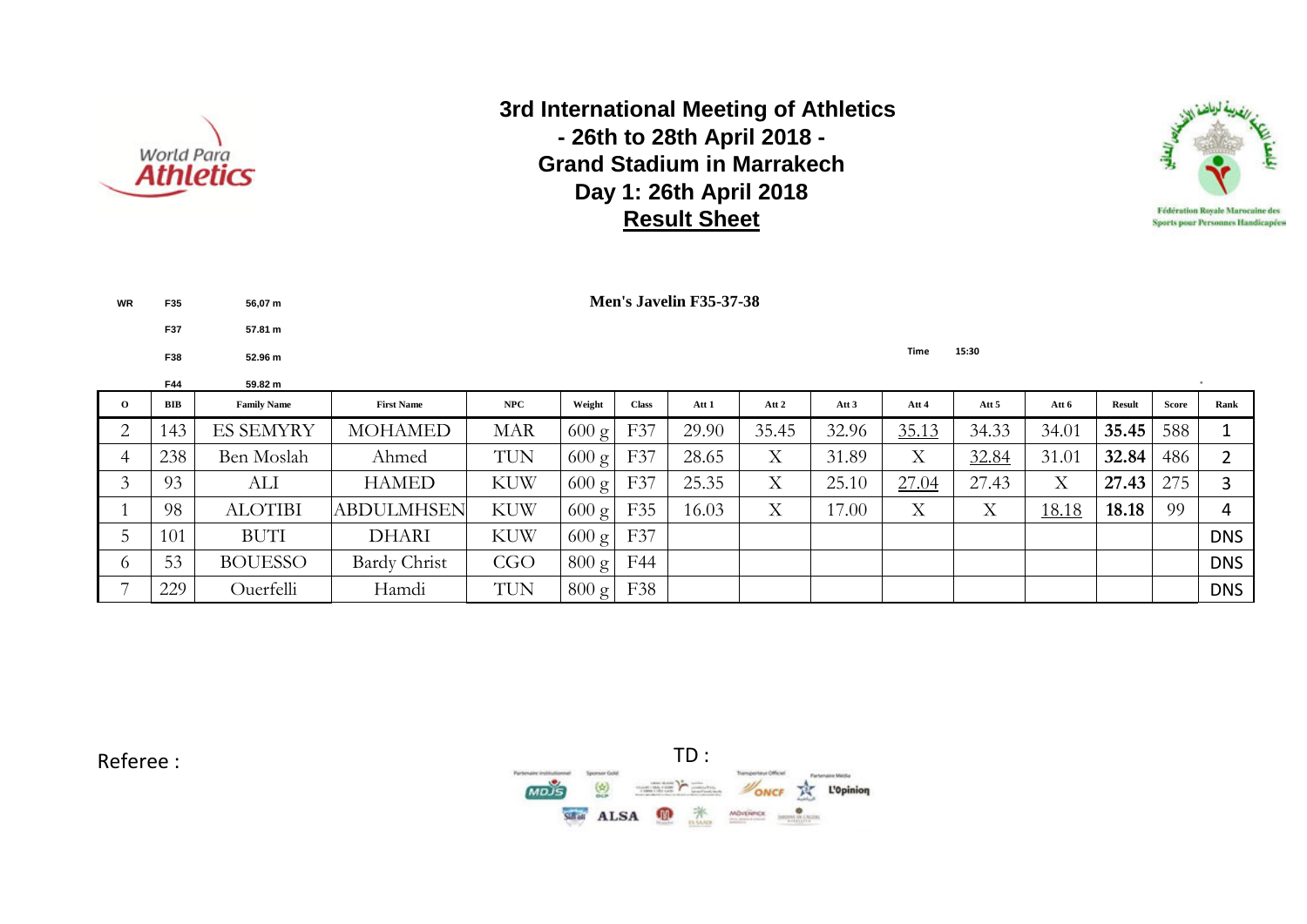

**WR F35 56,07 m**

**F37 57.81 m**

 **3rd International Meeting of Athletics - 26th to 28th April 2018 - Grand Stadium in Marrakech Day 1: 26th April 2018 Result Sheet**



|                    | F38 | 52.96 m            |                   |            |                 |              |       |       |                  | <b>Time</b> | 15:30 |       |               |              |            |
|--------------------|-----|--------------------|-------------------|------------|-----------------|--------------|-------|-------|------------------|-------------|-------|-------|---------------|--------------|------------|
|                    | F44 | 59.82 m            |                   |            |                 |              |       |       |                  |             |       |       |               |              |            |
| $\mathbf{o}$       | BIB | <b>Family Name</b> | <b>First Name</b> | NPC        | Weight          | <b>Class</b> | Att 1 | Att 2 | Att <sub>3</sub> | Att 4       | Att 5 | Att 6 | <b>Result</b> | <b>Score</b> | Rank       |
| $\sim$             | 143 | <b>ES SEMYRY</b>   | <b>MOHAMED</b>    | <b>MAR</b> | $600 \text{ g}$ | F37          | 29.90 | 35.45 | 32.96            | 35.13       | 34.33 | 34.01 | 35.45         | 588          |            |
| 4                  | 238 | Ben Moslah         | Ahmed             | <b>TUN</b> | $600 \text{ g}$ | F37          | 28.65 | X     | 31.89            | X           | 32.84 | 31.01 | 32.84         | 486          |            |
| $\mathbf{\hat{z}}$ | 93  | ALI                | <b>HAMED</b>      | <b>KUW</b> | $600 \text{ g}$ | F37          | 25.35 | X     | 25.10            | 27.04       | 27.43 | X     | 27.43         | 275          |            |
|                    | 98  | <b>ALOTIBI</b>     | <b>ABDULMHSEN</b> | <b>KUW</b> | $600 \text{ g}$ | F35          | 16.03 | X     | 17.00            | X           | Χ     | 18.18 | 18.18         | 99           | 4          |
|                    | 101 | <b>BUTI</b>        | <b>DHARI</b>      | <b>KUW</b> | $600 \text{ g}$ | F37          |       |       |                  |             |       |       |               |              | <b>DNS</b> |
| $\sigma$           | 53  | <b>BOUESSO</b>     | Bardy Christ      | CGO        | $800 \text{ g}$ | F44          |       |       |                  |             |       |       |               |              | <b>DNS</b> |
| ⇁                  | 229 | Ouerfelli          | Hamdi             | TUN        | $800 \text{ g}$ | F38          |       |       |                  |             |       |       |               |              | <b>DNS</b> |

**Men's Javelin F35-37-38**

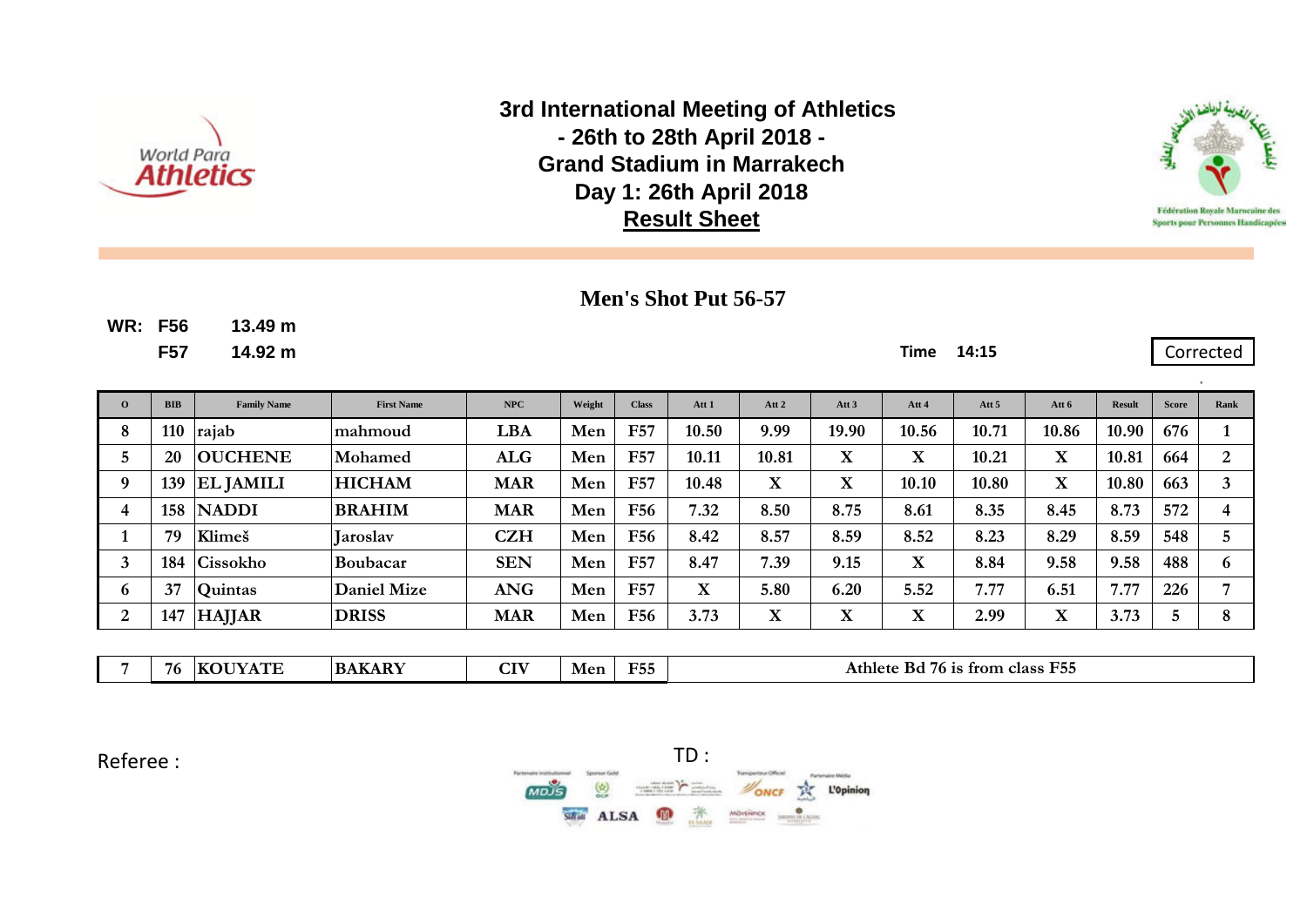



Corrected

## **Men's Shot Put 56-57**

**WR: F56 13.49 m**

**F57 14.92 m Time 14:15**

| $\overline{0}$ | <b>BIB</b> | <b>Family Name</b> | <b>First Name</b>  | NPC        | Weight | <b>Class</b> | Att 1       | Att 2       | Att <sub>3</sub>        | Att 4                   | Att <sub>5</sub> | Att 6       | <b>Result</b> | <b>Score</b> | Rank |
|----------------|------------|--------------------|--------------------|------------|--------|--------------|-------------|-------------|-------------------------|-------------------------|------------------|-------------|---------------|--------------|------|
| 8              | 110        | rajab              | lmahmoud           | LBA        | Men    | <b>F57</b>   | 10.50       | 9.99        | 19.90                   | 10.56                   | 10.71            | 10.86       | 10.90         | 676          |      |
| 5              | 20         | <b>OUCHENE</b>     | <b>Mohamed</b>     | <b>ALG</b> | Men    | <b>F57</b>   | 10.11       | 10.81       | $\mathbf X$             | $\mathbf X$             | 10.21            | $\mathbf X$ | 10.81         | 664          | 2    |
| g.             | 139        | <b>EL JAMILI</b>   | <b>HICHAM</b>      | <b>MAR</b> | Men    | F57          | 10.48       | $\mathbf X$ | $\overline{\mathbf{X}}$ | 10.10                   | 10.80            | X           | 10.80         | 663          | 3    |
|                | 158        | <b>NADDI</b>       | <b>BRAHIM</b>      | <b>MAR</b> | Men    | <b>F56</b>   | 7.32        | 8.50        | 8.75                    | 8.61                    | 8.35             | 8.45        | 8.73          | 572          | 4    |
|                | 79         | Klimeš             | <b>Laroslav</b>    | <b>CZH</b> | Men    | <b>F56</b>   | 8.42        | 8.57        | 8.59                    | 8.52                    | 8.23             | 8.29        | 8.59          | 548          | 5    |
|                | 184        | Cissokho           | Boubacar           | <b>SEN</b> | Men    | <b>F57</b>   | 8.47        | 7.39        | 9.15                    | $\mathbf X$             | 8.84             | 9.58        | 9.58          | 488          | 6    |
| 6              | 37         | Quintas            | <b>Daniel Mize</b> | <b>ANG</b> | Men    | <b>F57</b>   | $\mathbf X$ | 5.80        | 6.20                    | 5.52                    | 7.77             | 6.51        | 7.77          | 226          | 7    |
| 2              | 147        | <b>HAJJAR</b>      | <b>DRISS</b>       | <b>MAR</b> | Men    | F56          | 3.73        | $\mathbf X$ | $\overline{\textbf{X}}$ | $\overline{\mathbf{X}}$ | 2.99             | X           | 3.73          | 5            | 8    |
|                |            |                    |                    |            |        |              |             |             |                         |                         |                  |             |               |              |      |

| $T = 1$<br>E5<br>$\sim$ $\sim$ $\sim$ $\sim$<br>. DT<br>76.<br><b>HER</b><br>Athlete<br>trom<br><b>Class</b><br>ĸа<br>76 IS<br>Mer<br>mв<br>n<br>.<br>.<br>1 JJ<br>. ຸ |  |
|------------------------------------------------------------------------------------------------------------------------------------------------------------------------|--|
|------------------------------------------------------------------------------------------------------------------------------------------------------------------------|--|

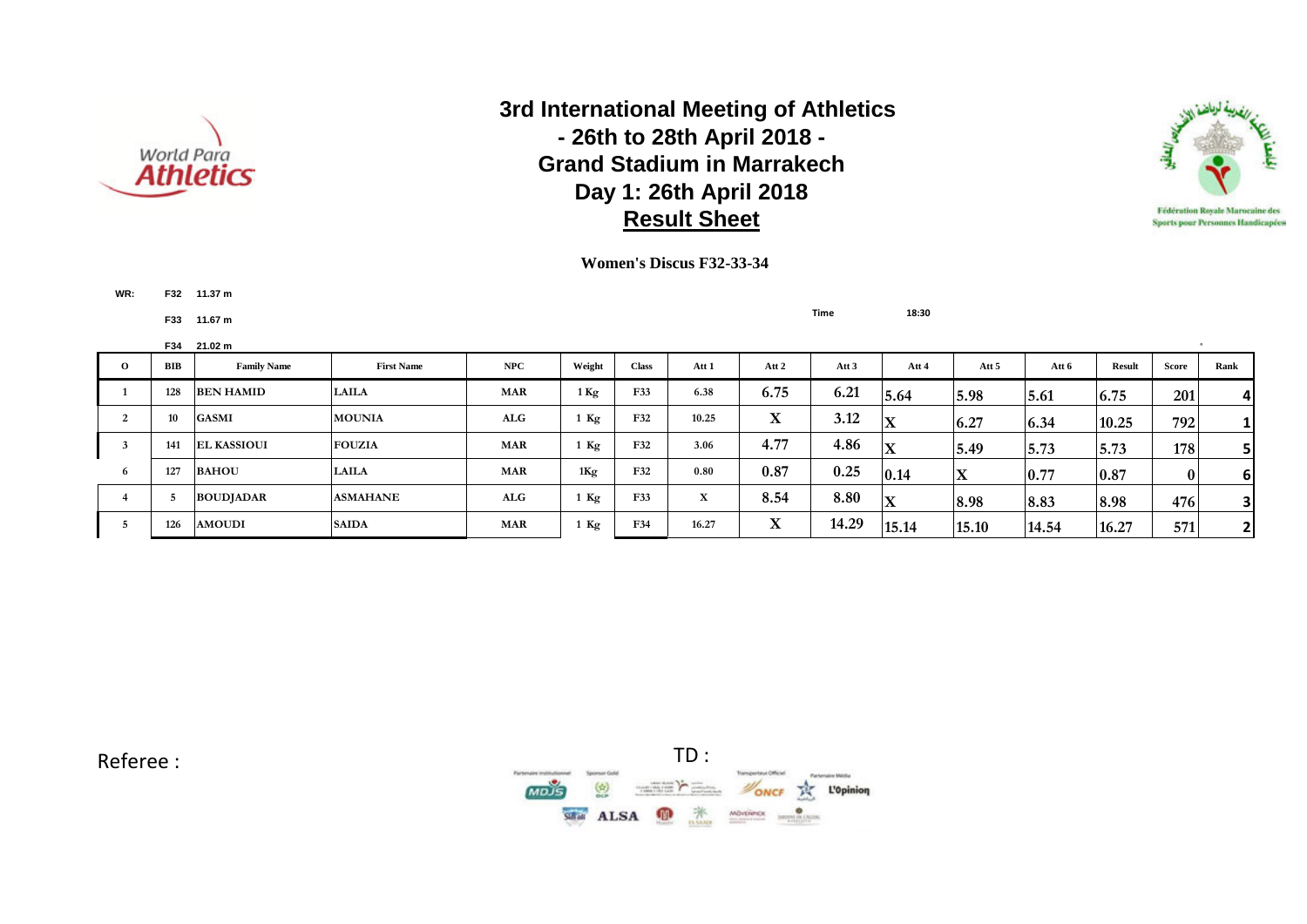



**WR: F32 11.37 m**

**F33 11.67 m Time 18:30**

|          | F34 | 21.02 m            |                   |            |        |              |              |        |                  |             |       |       |               |              |                         |
|----------|-----|--------------------|-------------------|------------|--------|--------------|--------------|--------|------------------|-------------|-------|-------|---------------|--------------|-------------------------|
| $\Omega$ | BIB | <b>Family Name</b> | <b>First Name</b> | NPC        | Weight | <b>Class</b> | Att 1        | Att 2  | Att <sub>3</sub> | Att 4       | Att 5 | Att 6 | <b>Result</b> | Score        | Rank                    |
|          | 128 | <b>BEN HAMID</b>   | <b>LAILA</b>      | <b>MAR</b> | $1$ Kg | F33          | 6.38         | 6.75   | 6.21             | 5.64        | 5.98  | 5.61  | 6.75          | 201          | $\overline{a}$          |
|          | 10  | <b>GASMI</b>       | <b>MOUNIA</b>     | ALG        | Kg     | F32          | 10.25        | v<br>л | 3.12             | X           | 6.27  | 6.34  | 10.25         | 792          | $1\vert$                |
|          | 141 | <b>EL KASSIOUI</b> | <b>FOUZIA</b>     | <b>MAR</b> | Kg     | F32          | 3.06         | 4.77   | 4.86             | X           | 5.49  | 5.73  | 5.73          | 178          |                         |
|          | 127 | <b>BAHOU</b>       | <b>LAILA</b>      | <b>MAR</b> | 1Kg    | F32          | 0.80         | 0.87   | 0.25             | 0.14        | X     | 0.77  | 0.87          | $\mathbf{0}$ | 6                       |
|          |     | <b>BOUDJADAR</b>   | <b>ASMAHANE</b>   | ALG        | Kg     | F33          | $\mathbf{v}$ | 8.54   | 8.80             | $\mathbf X$ | 8.98  | 8.83  | 8.98          | 476          | $\overline{\mathbf{3}}$ |
|          | 126 | <b>AMOUDI</b>      | <b>SAIDA</b>      | <b>MAR</b> | Kg     | F34          | 16.27        | A      | 14.29            | 15.14       | 15.10 | 14.54 | 16.27         | 571          | $\mathbf{2}$            |

**Women's Discus F32-33-34**

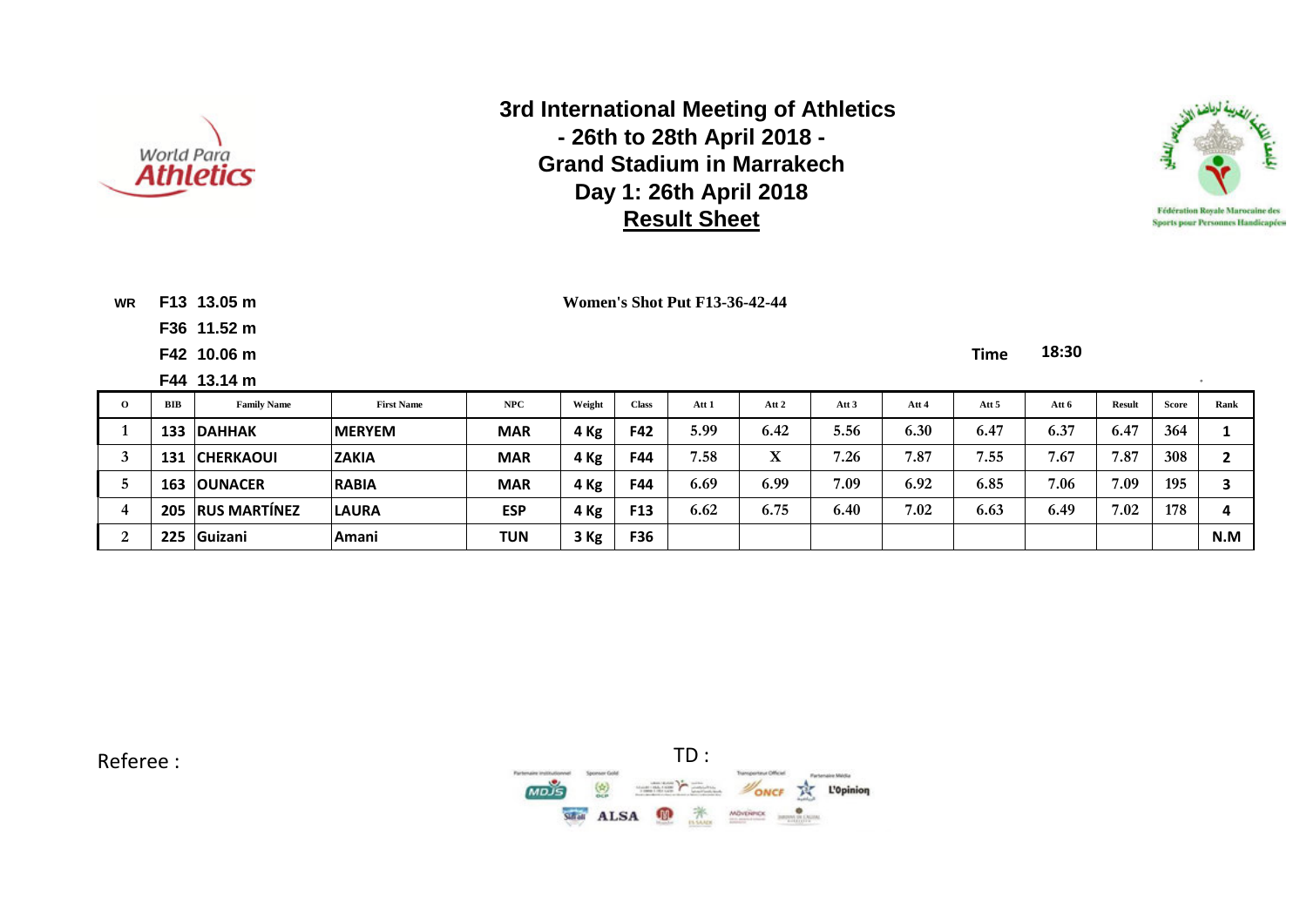



**WR F13 13.05 m**

**F36 11.52 m**

**Women's Shot Put F13-36-42-44**

**F42 10.06 m Time 18:30**

|          |            | F44 13.14 m         |                   |            |        |                 |       |       |                  |       |       |       |               |       |      |
|----------|------------|---------------------|-------------------|------------|--------|-----------------|-------|-------|------------------|-------|-------|-------|---------------|-------|------|
| $\Omega$ | <b>BIB</b> | <b>Family Name</b>  | <b>First Name</b> | NPC        | Weight | <b>Class</b>    | Att 1 | Att 2 | Att <sub>3</sub> | Att 4 | Att 5 | Att 6 | <b>Result</b> | Score | Rank |
|          | 133        | <b>DAHHAK</b>       | <b>IMERYEM</b>    | <b>MAR</b> | 4 Kg   | F42             | 5.99  | 6.42  | 5.56             | 6.30  | 6.47  | 6.37  | 6.47          | 364   |      |
|          | 131        | <b>CHERKAOUI</b>    | <b>ZAKIA</b>      | <b>MAR</b> | 4 Kg   | F44             | 7.58  | X     | 7.26             | 7.87  | 7.55  | 7.67  | 7.87          | 308   |      |
|          | 163        | <b>OUNACER</b>      | <b>RABIA</b>      | <b>MAR</b> | 4 Kg   | F44             | 6.69  | 6.99  | 7.09             | 6.92  | 6.85  | 7.06  | 7.09          | 195   |      |
|          | 205        | <b>RUS MARTÍNEZ</b> | <b>LAURA</b>      | <b>ESP</b> | 4 Kg   | F <sub>13</sub> | 6.62  | 6.75  | 6.40             | 7.02  | 6.63  | 6.49  | 7.02          | 178   | л    |
|          | 225        | <b>Guizani</b>      | Amani             | <b>TUN</b> | 3 Kg   | F36             |       |       |                  |       |       |       |               |       | N.M  |

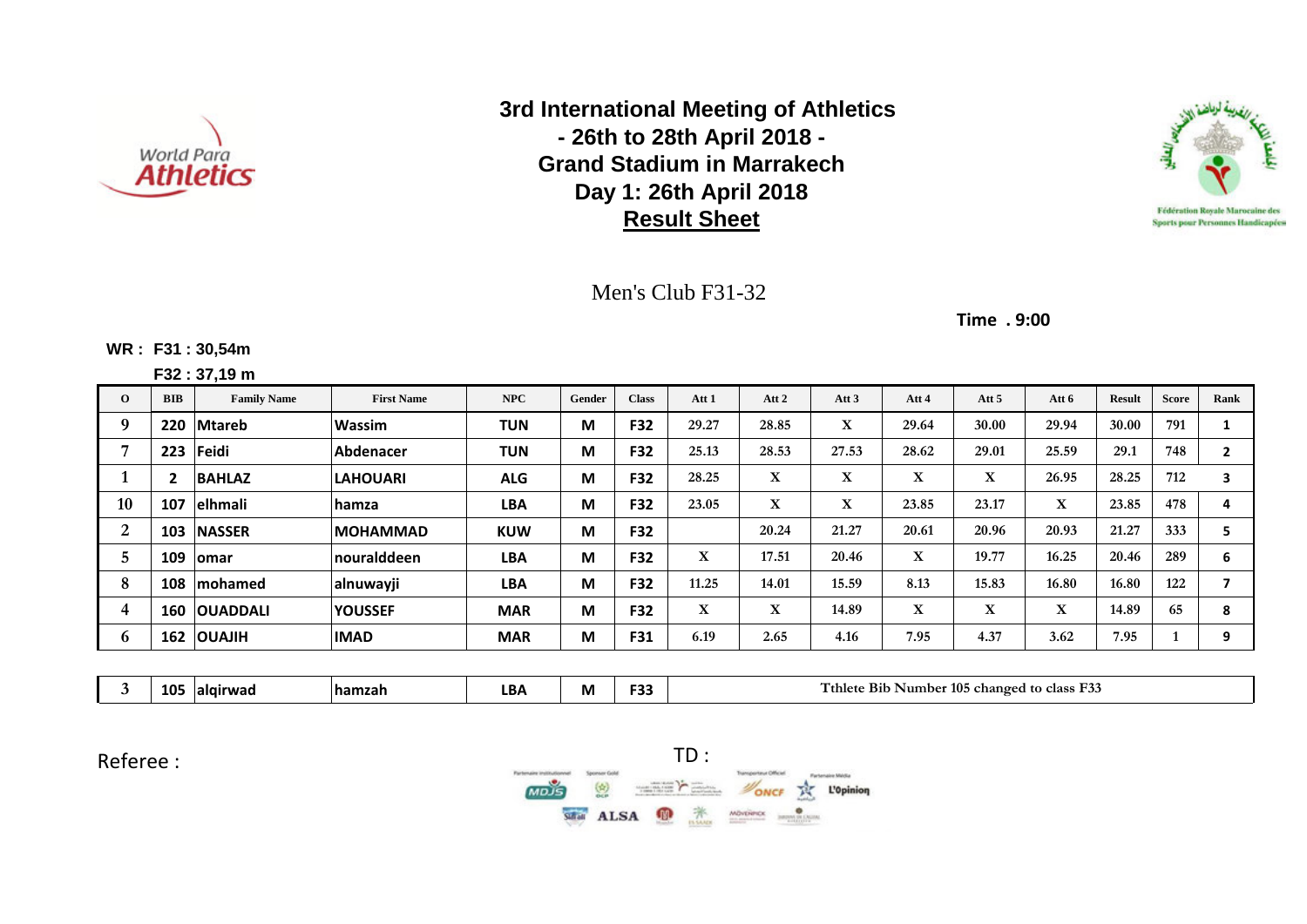



### Men's Club F31-32

**Time . 9:00**

#### **WR : F31 : 30,54m**

**F32 : 37,19 m**

| $\Omega$              | <b>BIB</b> | <b>Family Name</b>  | <b>First Name</b> | <b>NPC</b> | Gender | <b>Class</b> | Att 1 | Att 2 | Att $3$ | Att 4 | Att 5 | Att 6 | <b>Result</b> | <b>Score</b> | Rank |
|-----------------------|------------|---------------------|-------------------|------------|--------|--------------|-------|-------|---------|-------|-------|-------|---------------|--------------|------|
|                       | 220        | <b>Mtareb</b>       | <b>Wassim</b>     | <b>TUN</b> | M      | F32          | 29.27 | 28.85 | X       | 29.64 | 30.00 | 29.94 | 30.00         | 791          |      |
|                       | 223        | Feidi               | Abdenacer         | <b>TUN</b> | М      | F32          | 25.13 | 28.53 | 27.53   | 28.62 | 29.01 | 25.59 | 29.1          | 748          |      |
|                       |            | <b>BAHLAZ</b>       | <b>LAHOUARI</b>   | <b>ALG</b> | M      | F32          | 28.25 | X     | X       | X     | X     | 26.95 | 28.25         | 712          | 3    |
| 10                    | 107        | elhmali             | <b>lhamza</b>     | <b>LBA</b> | M      | <b>F32</b>   | 23.05 | X     | X       | 23.85 | 23.17 | X     | 23.85         | 478          |      |
| $\mathbf{2}^{\prime}$ | 103        | <b>NASSER</b>       | <b>IMOHAMMAD</b>  | <b>KUW</b> | M      | <b>F32</b>   |       | 20.24 | 21.27   | 20.61 | 20.96 | 20.93 | 21.27         | 333          |      |
|                       | 109        | <b>lomar</b>        | nouralddeen       | <b>LBA</b> | M      | <b>F32</b>   | X     | 17.51 | 20.46   | X     | 19.77 | 16.25 | 20.46         | 289          | 6    |
| 8                     | 108        | <b>Imohamed</b>     | alnuwayji         | <b>LBA</b> | M      | F32          | 11.25 | 14.01 | 15.59   | 8.13  | 15.83 | 16.80 | 16.80         | 122          |      |
| 4                     |            | <b>160 OUADDALI</b> | <b>YOUSSEF</b>    | <b>MAR</b> | M      | F32          | X     | X     | 14.89   | X     | X     | X     | 14.89         | 65           | 8    |
| O                     |            | 162   OUAJIH        | <b>IMAD</b>       | <b>MAR</b> | М      | F31          | 6.19  | 2.65  | 4.16    | 7.95  | 4.37  | 3.62  | 7.95          |              | 9    |

**3 105 alqirwad hamzah LBA M F33 Tthlete Bib Number 105 changed to class F33**

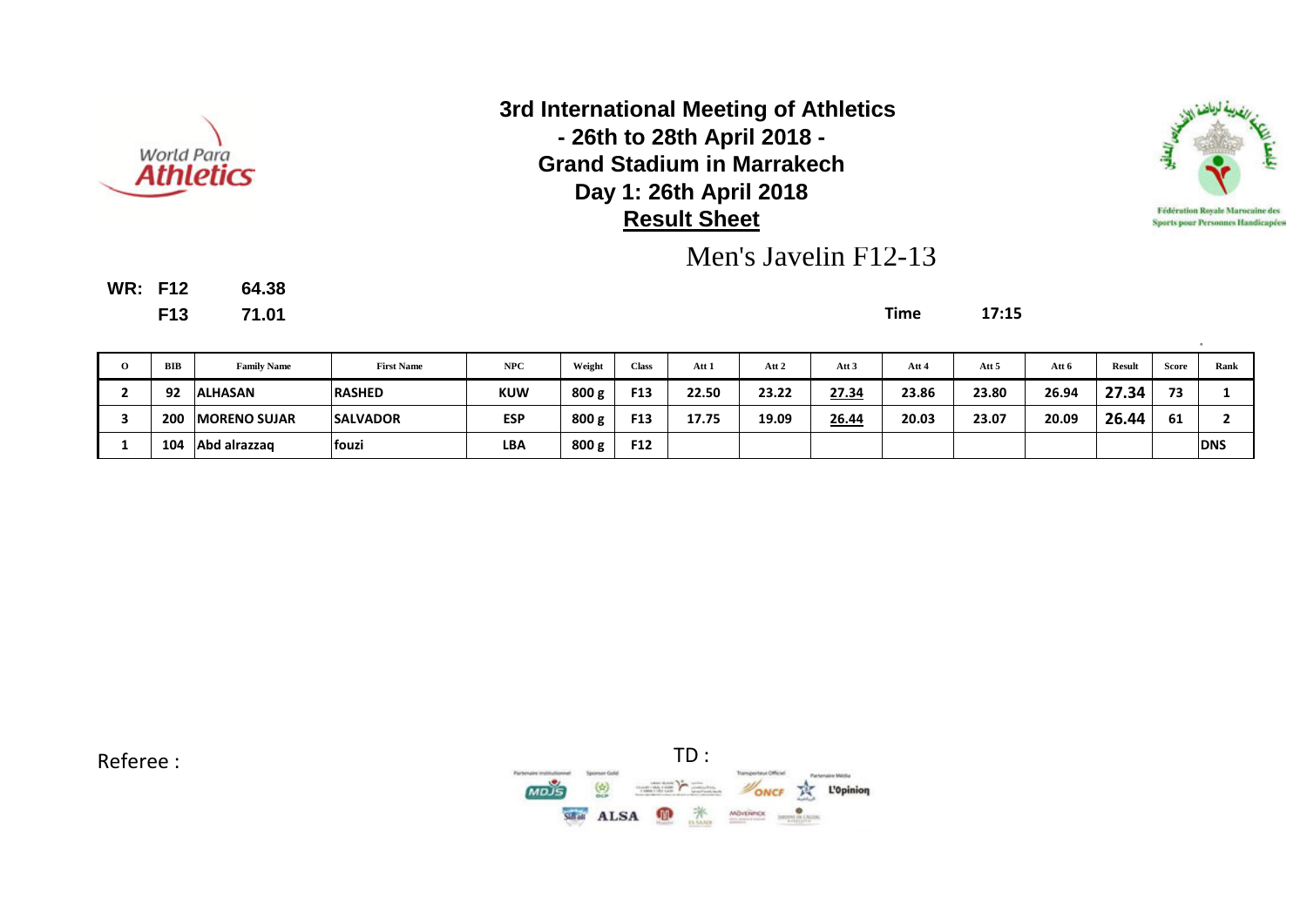



Men's Javelin F12-13

**WR: F12 64.38**

**F13 71.01 Time 17:15**

| $\Omega$ | BIB | <b>Family Name</b>   | <b>First Name</b> | NPC        | Weight | <b>Class</b> | Att 1 | Att 2 | Att <sub>3</sub> | Att 4 | Att 5 | Att 6 | <b>Result</b> | <b>Score</b> | Rank       |
|----------|-----|----------------------|-------------------|------------|--------|--------------|-------|-------|------------------|-------|-------|-------|---------------|--------------|------------|
|          | 92  | <b>ALHASAN</b>       | <b>RASHED</b>     | <b>KUW</b> | 800 g  | F13          | 22.50 | 23.22 | 27.34            | 23.86 | 23.80 | 26.94 | 27.34         | 72           |            |
|          | 200 | <b>IMORENO SUJAR</b> | <b>SALVADOR</b>   | <b>ESP</b> | 800 g  | F13          | 17.75 | 19.09 | 26.44            | 20.03 | 23.07 | 20.09 | 26.44         | 61           |            |
|          | 104 | Abd alrazzag         | fouzi             | <b>LBA</b> | 800 g  | F12          |       |       |                  |       |       |       |               |              | <b>DNS</b> |

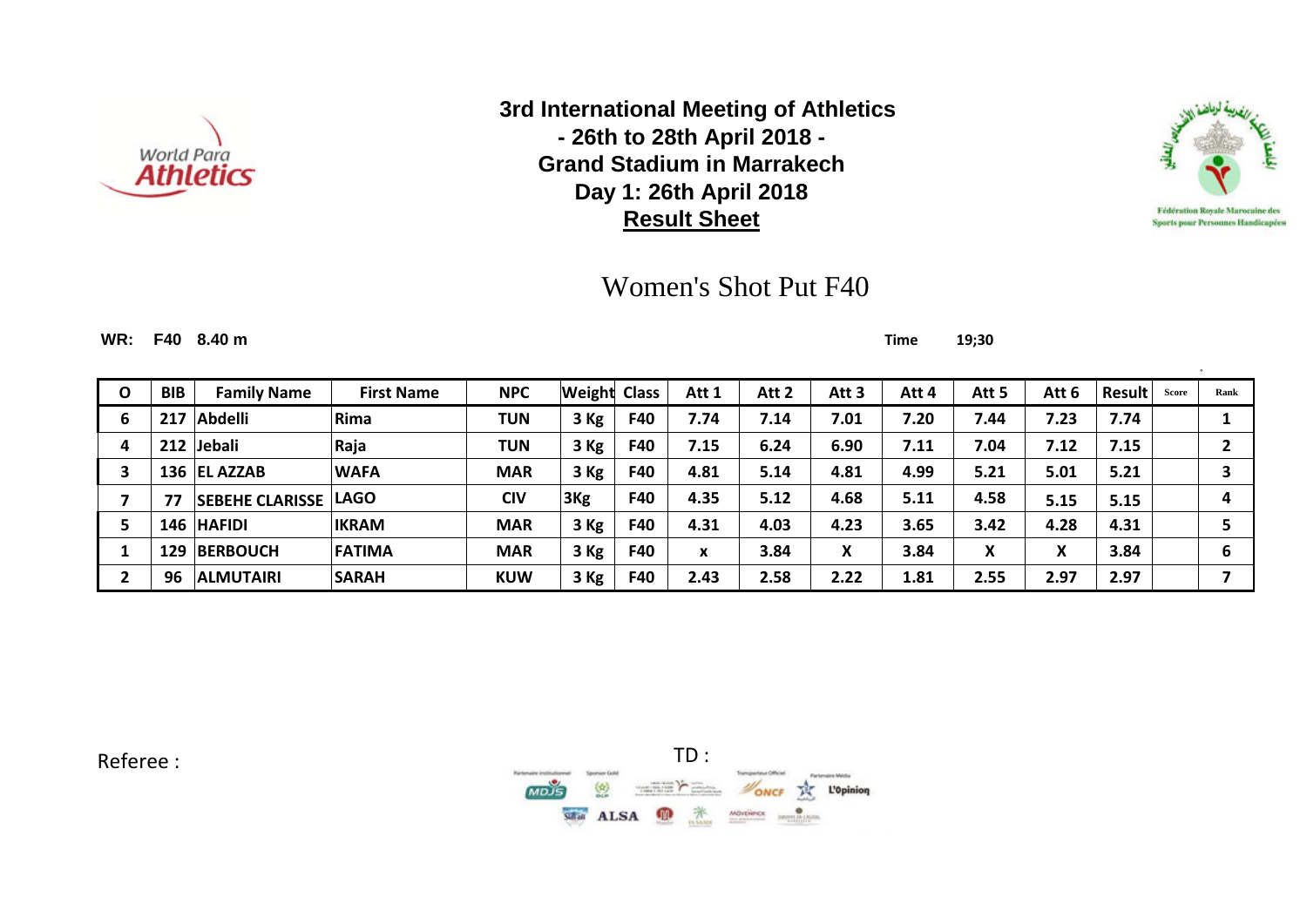



# Women's Shot Put F40

**WR: F40 8.40 m Time 19;30**

| O | <b>BIB</b> | <b>Family Name</b>          | <b>First Name</b> | <b>NPC</b> | Weight          | <b>Class</b> | Att 1 | Att 2 | Att 3 | Att 4 | Att 5          | Att 6 | <b>Result</b> | Score | Rank |
|---|------------|-----------------------------|-------------------|------------|-----------------|--------------|-------|-------|-------|-------|----------------|-------|---------------|-------|------|
| 6 |            | Abdelli                     | Rima              | <b>TUN</b> | 3 Kg            | F40          | 7.74  | 7.14  | 7.01  | 7.20  | 7.44           | 7.23  | 7.74          |       |      |
| 4 | 212        | <b>Jebali</b>               | Raja              | TUN        | 3 Kg            | F40          | 7.15  | 6.24  | 6.90  | 7.11  | 7.04           | 7.12  | 7.15          |       |      |
|   |            | 136 EL AZZAB                | <b>WAFA</b>       | <b>MAR</b> | 3 Kg            | F40          | 4.81  | 5.14  | 4.81  | 4.99  | 5.21           | 5.01  | 5.21          |       |      |
|   |            | <b>SEBEHE CLARISSE LAGO</b> |                   | <b>CIV</b> | 3 <sub>Kg</sub> | F40          | 4.35  | 5.12  | 4.68  | 5.11  | 4.58           | 5.15  | 5.15          |       | 4    |
|   |            | 146 HAFIDI                  | <b>IKRAM</b>      | <b>MAR</b> | $3$ Kg          | F40          | 4.31  | 4.03  | 4.23  | 3.65  | 3.42           | 4.28  | 4.31          |       |      |
|   | 129        | <b>BERBOUCH</b>             | <b>FATIMA</b>     | <b>MAR</b> | 3 Kg            | F40          | X     | 3.84  | X     | 3.84  | v<br>$\lambda$ | X     | 3.84          |       | 6    |
|   | 96         | <b>ALMUTAIRI</b>            | <b>SARAH</b>      | <b>KUW</b> | $3$ Kg          | F40          | 2.43  | 2.58  | 2.22  | 1.81  | 2.55           | 2.97  | 2.97          |       |      |

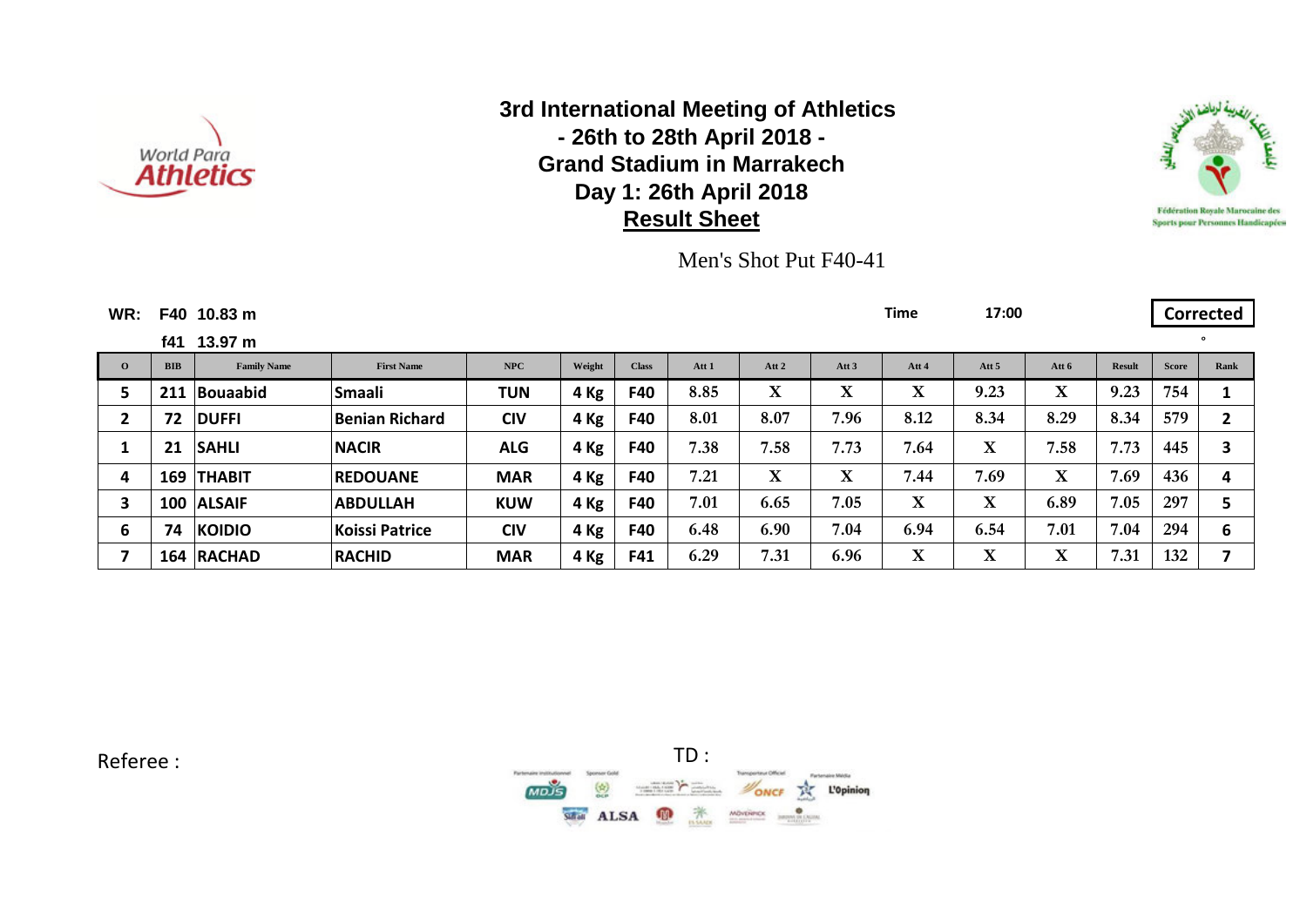



Men's Shot Put F40-41

| WR:          |            | F40 10.83 m        |                   |            |        |              |       |             |                  | Time              | 17:00            |                         |               |              | <b>Corrected</b> |
|--------------|------------|--------------------|-------------------|------------|--------|--------------|-------|-------------|------------------|-------------------|------------------|-------------------------|---------------|--------------|------------------|
|              | f41        | 13.97 m            |                   |            |        |              |       |             |                  |                   |                  |                         |               |              | $\circ$          |
| $\mathbf{o}$ | <b>BIB</b> | <b>Family Name</b> | <b>First Name</b> | NPC        | Weight | <b>Class</b> | Att 1 | Att 2       | Att <sub>3</sub> | Att 4             | Att <sub>5</sub> | Att 6                   | <b>Result</b> | <b>Score</b> | Rank             |
| 5.           | 211        | <b>Bouaabid</b>    | Smaali            | <b>TUN</b> | 4 Kg   | F40          | 8.85  | $\mathbf X$ | X                | $\mathbf{v}$<br>л | 9.23             | $\overline{\mathbf{X}}$ | 9.23          | 754          |                  |
| $\mathbf{2}$ | 72         | <b>DUFFI</b>       | Benian Richard    | <b>CIV</b> | 4 Kg   | F40          | 8.01  | 8.07        | 7.96             | 8.12              | 8.34             | 8.29                    | 8.34          | 579          | $\mathbf{2}$     |
|              | 21         | <b>SAHLI</b>       | <b>NACIR</b>      | <b>ALG</b> | 4 Kg   | F40          | 7.38  | 7.58        | 7.73             | 7.64              | $\mathbf X$      | 7.58                    | 7.73          | 445          | 3                |
| 4            | 169        | <b>THABIT</b>      | <b>REDOUANE</b>   | <b>MAR</b> | 4 Kg   | F40          | 7.21  | $\mathbf X$ | X                | 7.44              | 7.69             | $\overline{\textbf{X}}$ | 7.69          | 436          | 4                |
| 3            |            | 100 ALSAIF         | <b>ABDULLAH</b>   | <b>KUW</b> | 4 Kg   | F40          | 7.01  | 6.65        | 7.05             | $\mathbf X$       | $\mathbf X$      | 6.89                    | 7.05          | 297          |                  |
| 6            | 74         | <b>KOIDIO</b>      | Koissi Patrice    | <b>CIV</b> | 4 Kg   | F40          | 6.48  | 6.90        | 7.04             | 6.94              | 6.54             | 7.01                    | 7.04          | 294          | 6                |
|              |            | 164 RACHAD         | <b>RACHID</b>     | <b>MAR</b> | 4 Kg   | F41          | 6.29  | 7.31        | 6.96             | $\mathbf X$       | $\mathbf X$      | $\overline{\mathbf{X}}$ | 7.31          | 132          | ⇁                |

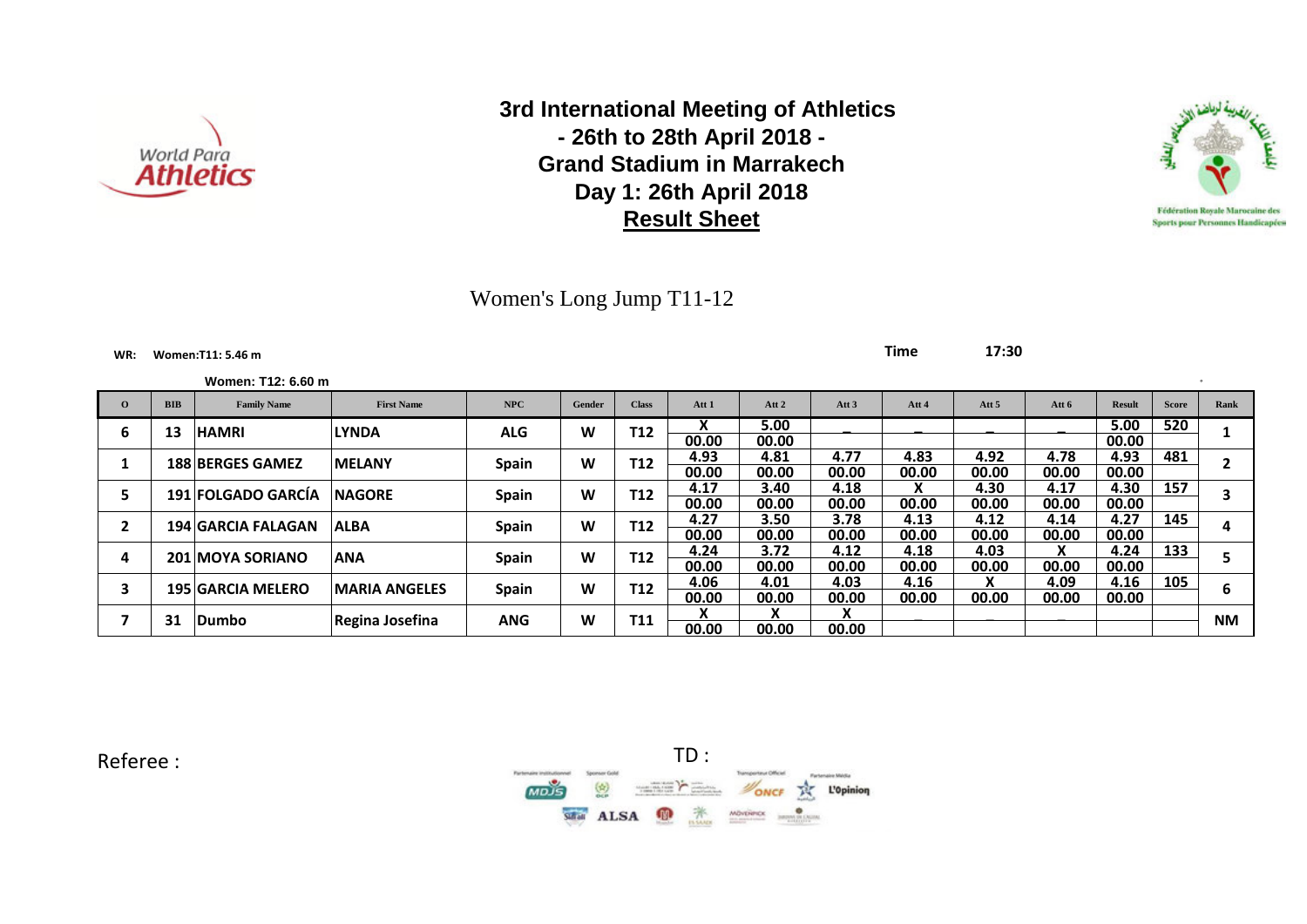

Women's Long Jump T11-12

#### **WR: Women:T11: 5.46 m Time 17:30**

| Women: T12: 6.60 m |  |
|--------------------|--|
|--------------------|--|

|              |            | Women: T12: 6.60 m        |                       |              |        |              |                   |       |                  |       |                  |       |               |              |           |
|--------------|------------|---------------------------|-----------------------|--------------|--------|--------------|-------------------|-------|------------------|-------|------------------|-------|---------------|--------------|-----------|
| $\mathbf{o}$ | <b>BIB</b> | <b>Family Name</b>        | <b>First Name</b>     | <b>NPC</b>   | Gender | <b>Class</b> | Att 1             | Att 2 | Att <sub>3</sub> | Att 4 | Att <sub>5</sub> | Att 6 | <b>Result</b> | <b>Score</b> | Rank      |
| ь            | 13         | <b>HAMRI</b>              | <b>LYNDA</b>          | <b>ALG</b>   | W      | <b>T12</b>   | v<br>$\mathbf{v}$ | 5.00  |                  |       |                  |       | 5.00          | 520          |           |
|              |            |                           |                       |              |        |              | 00.00             | 00.00 |                  |       |                  |       | 00.00         |              |           |
|              |            | <b>188 BERGES GAMEZ</b>   | <b>MELANY</b>         |              | W      | <b>T12</b>   | 4.93              | 4.81  | 4.77             | 4.83  | 4.92             | 4.78  | 4.93          | 481          |           |
|              |            |                           |                       | <b>Spain</b> |        |              | 00.00             | 00.00 | 00.00            | 00.00 | 00.00            | 00.00 | 00.00         |              |           |
|              |            | 191 FOLGADO GARCÍA        | <b>NAGORE</b>         |              | W      | <b>T12</b>   | 4.17              | 3.40  | 4.18             |       | 4.30             | 4.17  | 4.30          | 157          |           |
| э            |            |                           |                       | Spain        |        |              | 00.00             | 00.00 | 00.00            | 00.00 | 00.00            | 00.00 | 00.00         |              |           |
| 2            |            | <b>194 GARCIA FALAGAN</b> | <b>ALBA</b>           |              | W      | <b>T12</b>   | 4.27              | 3.50  | 3.78             | 4.13  | 4.12             | 4.14  | 4.27          | 145          |           |
|              |            |                           |                       | Spain        |        |              | 00.00             | 00.00 | 00.00            | 00.00 | 00.00            | 00.00 | 00.00         |              | 4         |
|              |            | <b>201 MOYA SORIANO</b>   |                       |              | W      | <b>T12</b>   | 4.24              | 3.72  | 4.12             | 4.18  | 4.03             | X     | 4.24          | 133          |           |
| 4            |            |                           | <b>ANA</b>            | Spain        |        |              | 00.00             | 00.00 | 00.00            | 00.00 | 00.00            | 00.00 | 00.00         |              |           |
|              |            |                           |                       |              |        |              | 4.06              | 4.01  | 4.03             | 4.16  | v                | 4.09  | 4.16          | 105          |           |
|              |            | <b>195 GARCIA MELERO</b>  | <b>IMARIA ANGELES</b> | <b>Spain</b> | W      | <b>T12</b>   | 00.00             | 00.00 | 00.00            | 00.00 | 00.00            | 00.00 | 00.00         |              |           |
|              | 31         |                           |                       |              | W      | <b>T11</b>   | $\mathbf{v}$      |       | X                |       |                  |       |               |              | <b>NM</b> |
|              |            | Dumbo                     | Regina Josefina       | <b>ANG</b>   |        |              | 00.00             | 00.00 | 00.00            |       |                  |       |               |              |           |



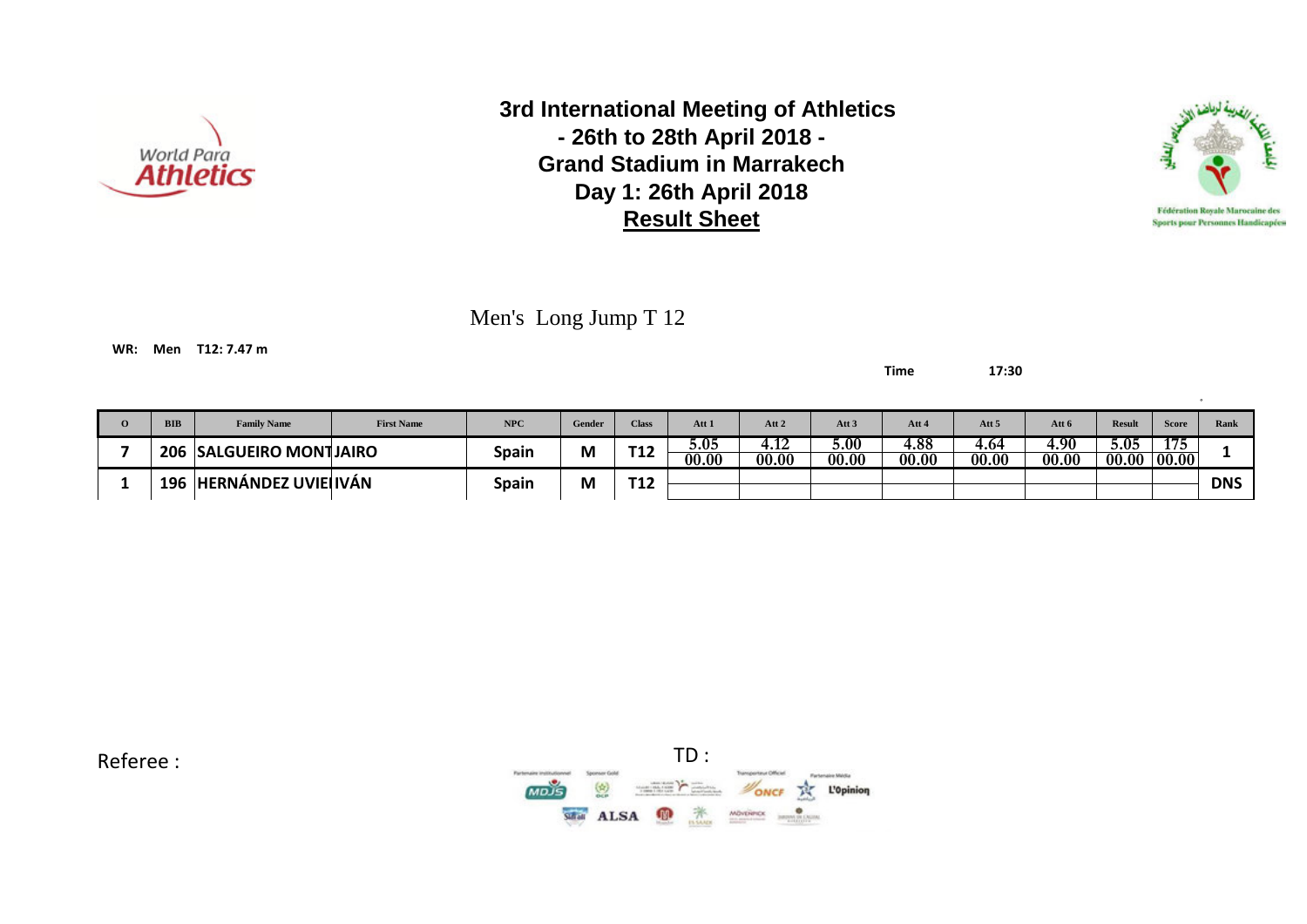



Men's Long Jump T 12

**WR: Men T12: 7.47 m**

**Time 17:30**

| <b>BIB</b> | <b>Family Name</b>         | <b>First Name</b> | NPC          | Gender | <b>Class</b>      | Att 1         | Att 2                   | Att 3         | Att 4         | Att <sub>5</sub> | Att 6         | <b>Result</b> | <b>Score</b>           | Rank       |
|------------|----------------------------|-------------------|--------------|--------|-------------------|---------------|-------------------------|---------------|---------------|------------------|---------------|---------------|------------------------|------------|
| 206        | <b>SALGUEIRO MONTJAIRO</b> |                   | Spain        | М      | <b>тая</b><br>▎よ∠ | 5.05<br>00.00 | $\sim$<br>4.IZ<br>00.00 | 5.00<br>00.00 | 4.88<br>00.00 | 4.64<br>00.00    | 4.90<br>00.00 | 5.05<br>00.00 | 175<br>$\boxed{00.00}$ |            |
| 196        | <b>HERNÁNDEZ UVIEHVÁN</b>  |                   | <b>Spain</b> | M      | <b>тая</b><br>∸∸  |               |                         |               |               |                  |               |               |                        | <b>DNS</b> |

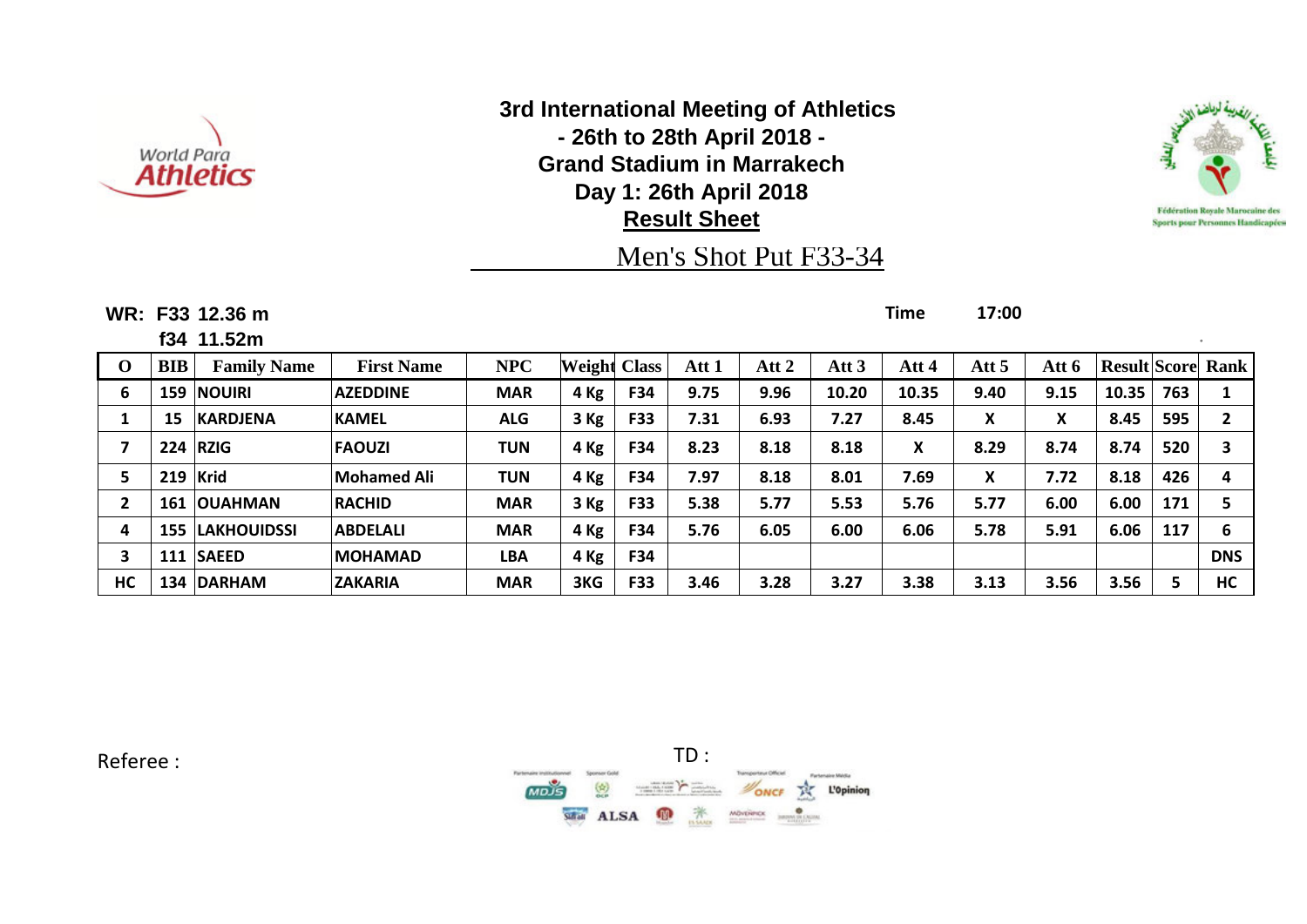



# Men's Shot Put F33-34

**WR: F33 12.36 m Time 17:00**

**f34 11.52m** °

**O BIB Family Name First Name NPC Weight Class Att 1 Att 2 Att 3 Att 4 Att 5 Att 6 Result Score Rank 159 NOUIRI AZEDDINE MAR 4 Kg F34 9.75 9.96 10.20 10.35 9.40 9.15 10.35 763 1 15 KARDJENA KAMEL ALG 3 Kg F33 7.31 6.93 7.27 8.45 X X 8.45 595 2 224 RZIG FAOUZI TUN 4 Kg F34 8.23 8.18 8.18 X 8.29 8.74 8.74 520 3 219 Krid Mohamed Ali TUN 4 Kg F34 7.97 8.18 8.01 7.69 X 7.72 8.18 426 4 161 OUAHMAN RACHID MAR 3 Kg F33 5.38 5.77 5.53 5.76 5.77 6.00 6.00 171 5 155 LAKHOUIDSSI ABDELALI MAR 4 Kg F34 5.76 6.05 6.00 6.06 5.78 5.91 6.06 117 6 111 SAEED MOHAMAD LBA 4 Kg F34 DNS HC 134 DARHAM ZAKARIA MAR 3KG F33 3.46 3.28 3.27 3.38 3.13 3.56 3.56 5 HC**

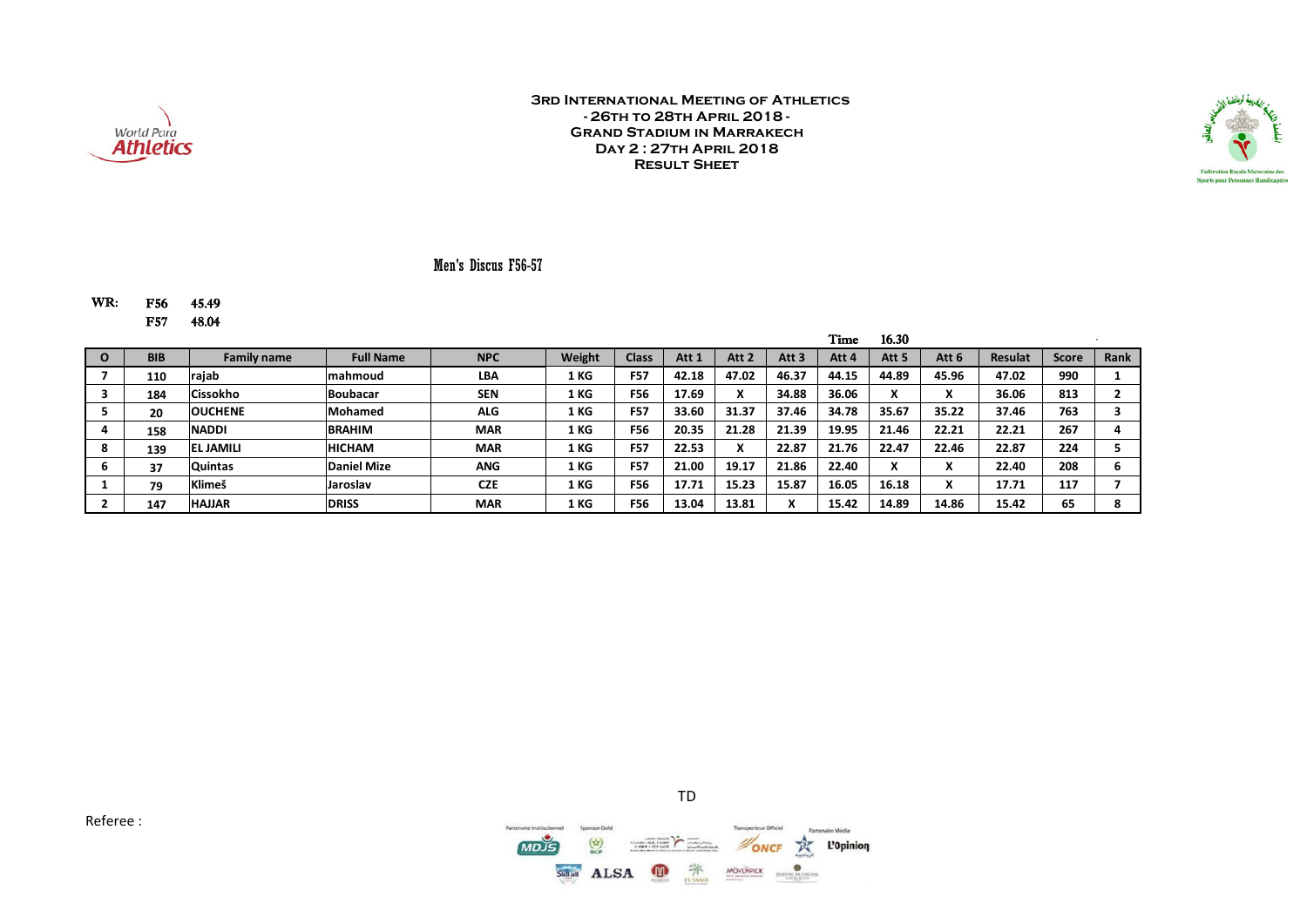

TD

 $Q_1$ 

Teaconomy Official

MÖVENPICK

ONCF

TR.

L'Opinion



### Men's Discus F56-57

#### WR: F56 45.49 F57 48.04

|            |                    |                    |            |        |              |       |                  |                           | Time  | 16.30                         |       |                |              |      |
|------------|--------------------|--------------------|------------|--------|--------------|-------|------------------|---------------------------|-------|-------------------------------|-------|----------------|--------------|------|
| <b>BIB</b> | <b>Family name</b> | <b>Full Name</b>   | <b>NPC</b> | Weight | <b>Class</b> | Att 1 | Att <sub>2</sub> | Att 3                     | Att 4 | Att <sub>5</sub>              | Att 6 | <b>Resulat</b> | <b>Score</b> | Rank |
| 110        | rajab              | mahmoud            | <b>LBA</b> | 1 KG   | <b>F57</b>   | 42.18 | 47.02            | 46.37                     | 44.15 | 44.89                         | 45.96 | 47.02          | 990          |      |
| 184        | Cissokho           | <b>Boubacar</b>    | <b>SEN</b> | 1 KG   | <b>F56</b>   | 17.69 | v<br>$\lambda$   | 34.88                     | 36.06 | $\bullet$<br>Λ                |       | 36.06          | 813          |      |
| 20         | <b>OUCHENE</b>     | <b>Mohamed</b>     | <b>ALG</b> | 1 KG   | <b>F57</b>   | 33.60 | 31.37            | 37.46                     | 34.78 | 35.67                         | 35.22 | 37.46          | 763          |      |
| 158        | <b>NADDI</b>       | <b>BRAHIM</b>      | <b>MAR</b> | 1 KG   | <b>F56</b>   | 20.35 | 21.28            | 21.39                     | 19.95 | 21.46                         | 22.21 | 22.21          | 267          |      |
| 139        | <b>EL JAMILI</b>   | <b>HICHAM</b>      | <b>MAR</b> | 1 KG   | <b>F57</b>   | 22.53 | v<br>л           | 22.87                     | 21.76 | 22.47                         | 22.46 | 22.87          | 224          |      |
| 37         | <b>Quintas</b>     | <b>Daniel Mize</b> | <b>ANG</b> | 1 KG   | <b>F57</b>   | 21.00 | 19.17            | 21.86                     | 22.40 | $\overline{\phantom{a}}$<br>^ |       | 22.40          | 208          |      |
| 79         | <b>Klimeš</b>      | Jaroslav           | <b>CZE</b> | 1 KG   | <b>F56</b>   | 17.71 | 15.23            | 15.87                     | 16.05 | 16.18                         |       | 17.71          | 117          |      |
| 147        | <b>HAJJAR</b>      | <b>DRISS</b>       | <b>MAR</b> | 1 KG   | <b>F56</b>   | 13.04 | 13.81            | $\mathbf{v}$<br>$\lambda$ | 15.42 | 14.89                         | 14.86 | 15.42          | 65           |      |



Sidioli ALSA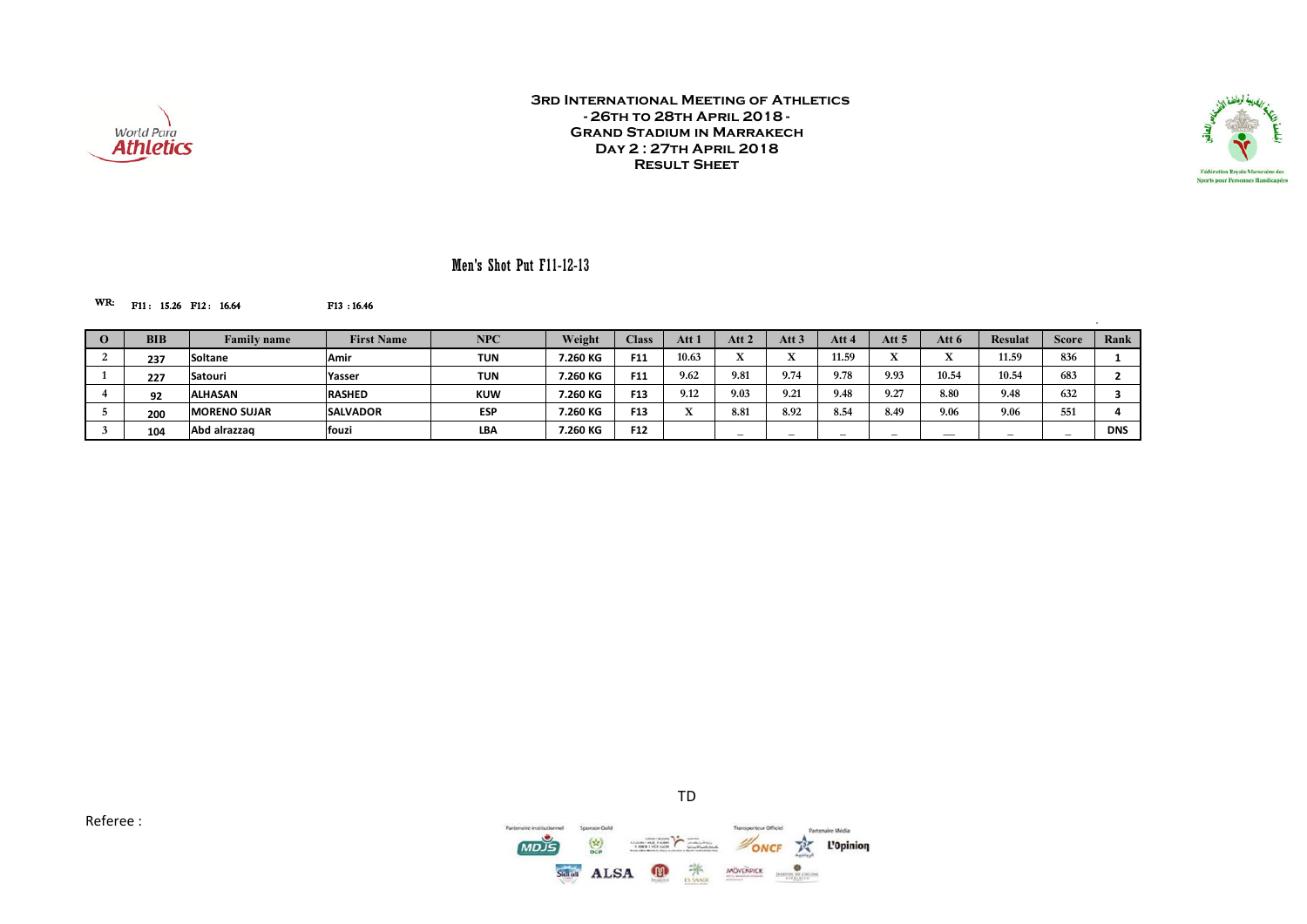



### Men's Shot Put F11-12-13

#### WR: F11: 15.26 F12: 16.64 F13:16.46

| <b>BIB</b> | <b>Family name</b>  | <b>First Name</b> | <b>NPC</b> | Weight   | <b>Class</b>    | Att   | Att 2                    | Att $3$ | Att                      | Att 5                   | Att 6 | Resulat | <b>Score</b> | Rank       |
|------------|---------------------|-------------------|------------|----------|-----------------|-------|--------------------------|---------|--------------------------|-------------------------|-------|---------|--------------|------------|
| 237        | <b>Soltane</b>      | Amir              | <b>TUN</b> | 7.260 KG | F11             | 10.63 | -43                      |         | 11.59                    | $\overline{\mathbf{r}}$ |       | 11.59   | 836          |            |
| 227        | Satouri             | Yasser            | TUN        | 7.260 KG | F11             | 9.62  | 9.81                     | 9.74    | 9.78                     | 9.93                    | 10.54 | 10.54   | 683          |            |
| 92         | <b>ALHASAN</b>      | <b>RASHED</b>     | <b>KUW</b> | 7.260 KG | F <sub>13</sub> | 9.12  | 9.03                     | 9.21    | 9.48                     | 9.27                    | 8.80  | 9.48    | 632          |            |
| 200        | <b>MORENO SUJAR</b> | <b>SALVADOR</b>   | <b>ESP</b> | 7.260 KG | F <sub>13</sub> |       | 8.81                     | 8.92    | 8.54                     | 8.49                    | 9.06  | 9.06    | 551          |            |
| 104        | Abd alrazzag        | fouzi             | <b>LBA</b> | 7.260 KG | F <sub>12</sub> |       | $\overline{\phantom{a}}$ | -       | $\overline{\phantom{a}}$ | $\sim$                  | ___   | $\sim$  | $\sim$       | <b>DNS</b> |

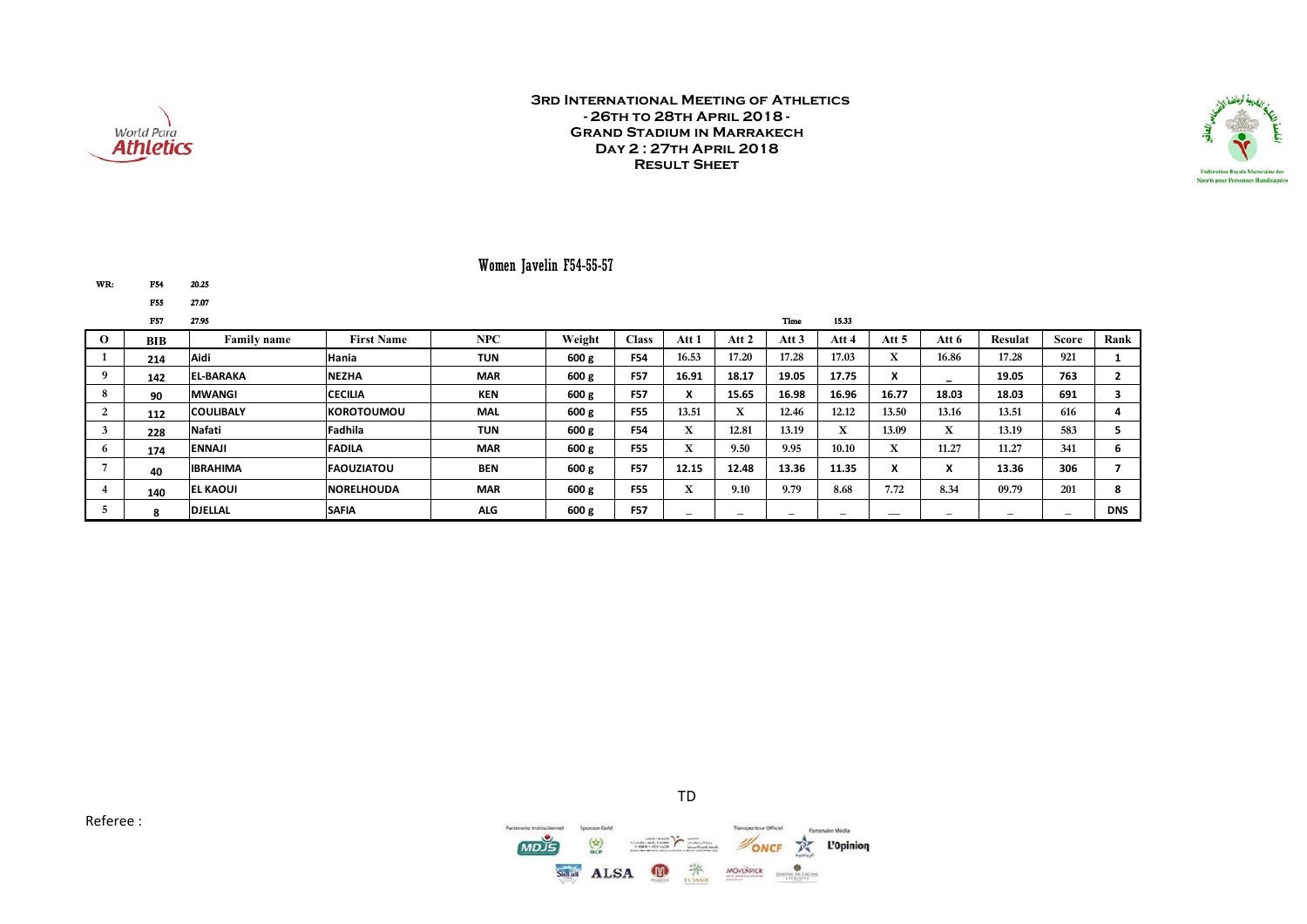



### Women Javelin F54-55-57

| WR: | F54 | 20.25 |
|-----|-----|-------|
|     | F55 | 27.07 |

|              | <b>F57</b> | 27.95              |                    |            |        |              |                          |                           | Time                     | 15.33                              |                           |                                         |                          |        |            |
|--------------|------------|--------------------|--------------------|------------|--------|--------------|--------------------------|---------------------------|--------------------------|------------------------------------|---------------------------|-----------------------------------------|--------------------------|--------|------------|
| $\Omega$     | <b>BIB</b> | <b>Family name</b> | <b>First Name</b>  | NPC        | Weight | <b>Class</b> | Att 1                    | Att 2                     | Att 3                    | Att 4                              | Att $5$                   | Att 6                                   | <b>Resulat</b>           | Score  | Rank       |
|              | 214        | Aidi               | Hania              | <b>TUN</b> | 600 g  | <b>F54</b>   | 16.53                    | 17.20                     | 17.28                    | 17.03                              | $\mathbf{v}$<br>$\Lambda$ | 16.86                                   | 17.28                    | 921    |            |
|              | 142        | <b>EL-BARAKA</b>   | <b>NEZHA</b>       | <b>MAR</b> | 600 g  | <b>F57</b>   | 16.91                    | 18.17                     | 19.05                    | 17.75                              | $\cdot$<br>$\mathbf{v}$   |                                         | 19.05                    | 763    |            |
| 8            | 90         | <b>MWANGI</b>      | <b>CECILIA</b>     | <b>KEN</b> | 600 g  | <b>F57</b>   |                          | 15.65                     | 16.98                    | 16.96                              | 16.77                     | 18.03                                   | 18.03                    | 691    |            |
|              | 112        | <b>COULIBALY</b>   | <b>IKOROTOUMOU</b> | MAL        | 600 g  | <b>F55</b>   | 13.51                    | $\mathbf{v}$<br>$\Lambda$ | 12.46                    | 12.12                              | 13.50                     | 13.16                                   | 13.51                    | 616    |            |
|              | 228        | <b>Nafati</b>      | Fadhila            | <b>TUN</b> | 600 g  | <b>F54</b>   | <b>XT</b><br>л.          | 12.81                     | 13.19                    | $\mathbf{r}$<br>$\mathbf{\Lambda}$ | 13.09                     | $\overline{\mathbf{x}}$<br>$\mathbf{x}$ | 13.19                    | 583    |            |
| <sub>0</sub> | 174        | <b>ENNAJI</b>      | <b>FADILA</b>      | <b>MAR</b> | 600 g  | <b>F55</b>   | $\mathbf{r}$<br>л.       | 9.50                      | 9.95                     | 10.10                              | $\mathbf{v}$<br>л         | 11.27                                   | 11.27                    | 341    | ь          |
|              | 40         | <b>IBRAHIMA</b>    | <b>FAQUZIATOU</b>  | <b>BEN</b> | 600 g  | <b>F57</b>   | 12.15                    | 12.48                     | 13.36                    | 11.35                              | $\boldsymbol{\lambda}$    | $\overline{\phantom{a}}$<br>л           | 13.36                    | 306    |            |
|              | 140        | <b>EL KAOUI</b>    | <b>NORELHOUDA</b>  | <b>MAR</b> | 600 g  | <b>F55</b>   | $\overline{r}$<br>л.     | 9.10                      | 9.79                     | 8.68                               | 7.72                      | 8.34                                    | 09.79                    | 201    | 8          |
|              |            | <b>DJELLAL</b>     | <b>SAFIA</b>       | <b>ALG</b> | 600 g  | <b>F57</b>   | $\overline{\phantom{a}}$ |                           | $\overline{\phantom{0}}$ | -                                  |                           | $\overline{\phantom{a}}$                | $\overline{\phantom{a}}$ | $\sim$ | <b>DNS</b> |



TD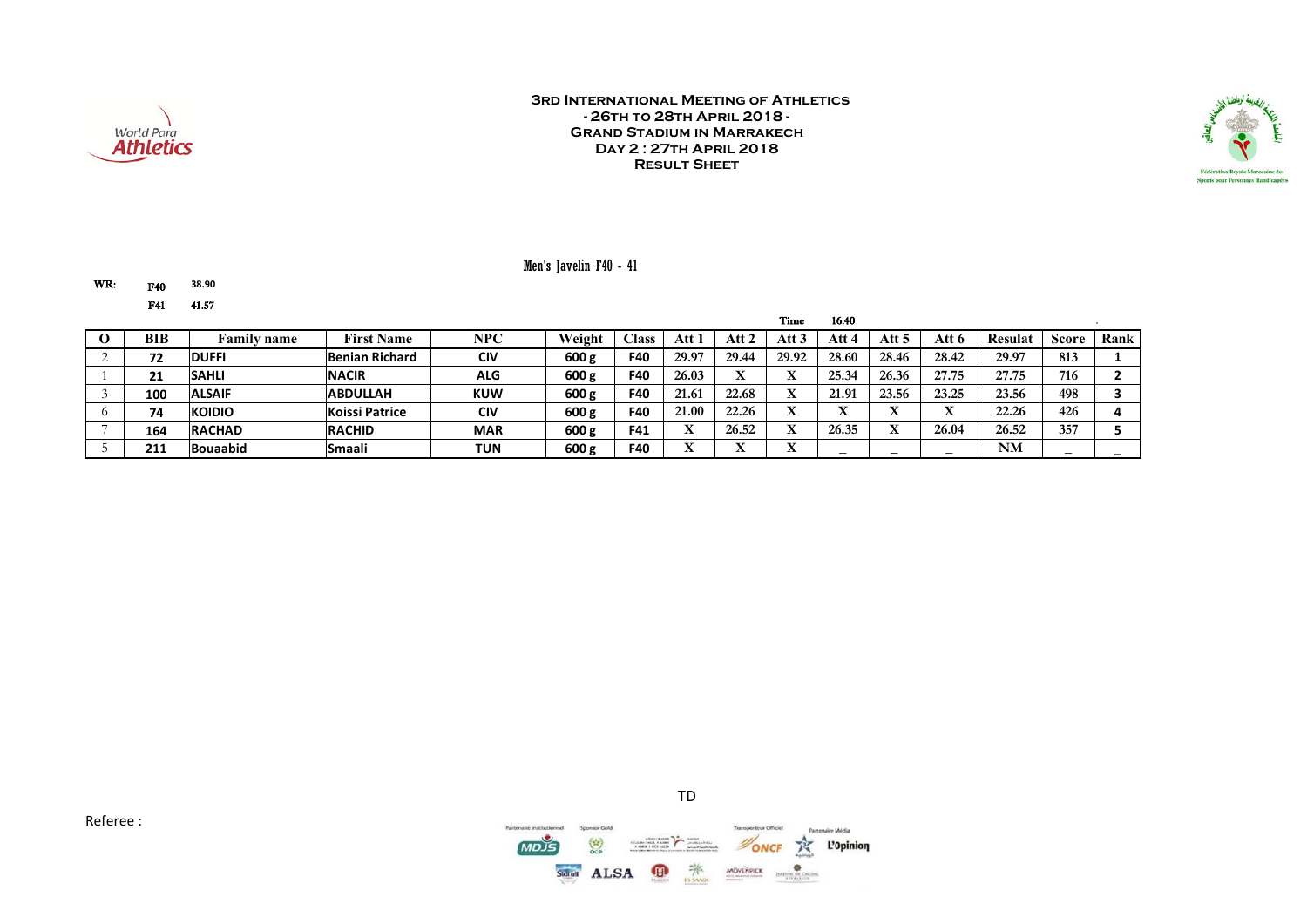



#### Men's Javelin F40 - 41

WR: F40 **38.90** F41 41.57

|            |                 |                       |            |        |                |           |       | Time     | 16.40        |       |              |                |       |      |
|------------|-----------------|-----------------------|------------|--------|----------------|-----------|-------|----------|--------------|-------|--------------|----------------|-------|------|
| <b>BIB</b> | Family name     | <b>First Name</b>     | <b>NPC</b> | Weight | $\text{Class}$ | Att       | Att 2 | Att 3    | Att 4        | Att 5 | Att 6        | <b>Resulat</b> | Score | Rank |
| 72         | <b>DUFFI</b>    | Benian Richard        | <b>CIV</b> | 600 g  | <b>F40</b>     | 29.97     | 29.44 | 29.92    | 28.60        | 28.46 | 28.42        | 29.97          | 813   |      |
| 94<br>ᅩ    | <b>SAHLI</b>    | <b>NACIR</b>          | <b>ALG</b> | 600 g  | F40            | 26.03     | ́△    | v.       | 25.34        | 26.36 | 27.75        | 27.75          | 716   |      |
| 100        | <b>ALSAIF</b>   | <b>ABDULLAH</b>       | <b>KUW</b> | 600 g  | <b>F40</b>     | 21.61     | 22.68 | л        | 21.91        | 23.56 | 23.25        | 23.56          | 498   |      |
| 74         | <b>KOIDIO</b>   | <b>Koissi Patrice</b> | <b>CIV</b> | 600 g  | F40            | 21.00     | 22.26 | v.       | $\mathbf{v}$ |       | $\mathbf{r}$ | 22.26          | 426   |      |
| 164        | <b>RACHAD</b>   | <b>RACHID</b>         | <b>MAR</b> | 600 g  | F41            |           | 26.52 | TT.<br>л | 26.35        |       | 26.04        | 26.52          | 357   |      |
| 211        | <b>Bouaabid</b> | <b>Smaali</b>         | TUN        | 600 g  | F40            | <b>xr</b> |       | v.<br>∸  |              | –     | –            | NM             | -     |      |



TD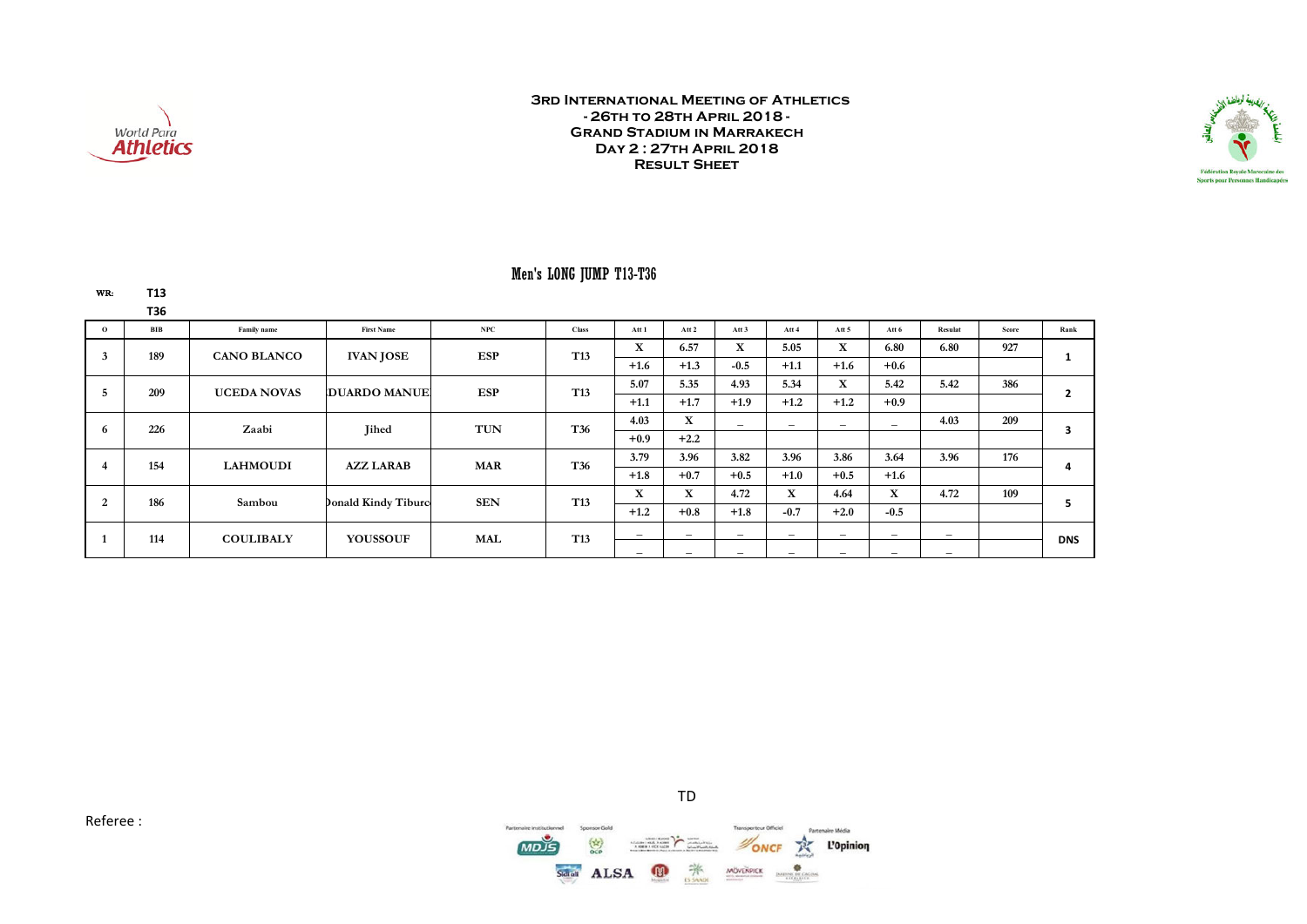

WR: **T13**

#### **3rd International Meeting of Athletics - 26th to 28th April 2018 - Grand Stadium in Marrakech Day 2 : 27th April 2018 Result Sheet**



### Men's LONG JUMP T13-T36

|          | <b>T36</b> |                    |                            |              |                 |                          |                          |                          |                          |                          |                          |                          |       |            |
|----------|------------|--------------------|----------------------------|--------------|-----------------|--------------------------|--------------------------|--------------------------|--------------------------|--------------------------|--------------------------|--------------------------|-------|------------|
| $\Omega$ | BIB        | Family name        | <b>First Name</b>          | $_{\rm NPC}$ | <b>Class</b>    | Att 1                    | Att 2                    | Att 3                    | Att 4                    | Att 5                    | Att 6                    | Resulat                  | Score | Rank       |
| 3        | 189        | <b>CANO BLANCO</b> | <b>IVAN JOSE</b>           | <b>ESP</b>   | T <sub>13</sub> | X                        | 6.57                     | X                        | 5.05                     | X                        | 6.80                     | 6.80                     | 927   |            |
|          |            |                    |                            |              |                 | $+1.6$                   | $+1.3$                   | $-0.5$                   | $+1.1$                   | $+1.6$                   | $+0.6$                   |                          |       |            |
|          | 209        | <b>UCEDA NOVAS</b> | <b>IDUARDO MANUE</b>       | <b>ESP</b>   | T <sub>13</sub> | 5.07                     | 5.35                     | 4.93                     | 5.34                     | $\mathbf X$              | 5.42                     | 5.42                     | 386   |            |
|          |            |                    |                            |              |                 | $+1.1$                   | $+1.7$                   | $+1.9$                   | $+1.2$                   | $+1.2$                   | $+0.9$                   |                          |       |            |
|          | 226        | Zaabi              | <b>Jihed</b>               | <b>TUN</b>   | T36             | 4.03                     | $\mathbf{X}$             | $\overline{\phantom{a}}$ | $\overline{\phantom{0}}$ | $\overline{\phantom{0}}$ | $\overline{\phantom{0}}$ | 4.03                     | 209   |            |
| 6        |            |                    |                            |              |                 | $+0.9$                   | $+2.2$                   |                          |                          |                          |                          |                          |       |            |
|          | 154        | <b>LAHMOUDI</b>    | <b>AZZ LARAB</b>           | <b>MAR</b>   | T36             | 3.79                     | 3.96                     | 3.82                     | 3.96                     | 3.86                     | 3.64                     | 3.96                     | 176   |            |
| 4        |            |                    |                            |              |                 | $+1.8$                   | $+0.7$                   | $+0.5$                   | $+1.0$                   | $+0.5$                   | $+1.6$                   |                          |       | 4          |
| 2        | 186        | Sambou             | <b>Donald Kindy Tiburc</b> | <b>SEN</b>   | T <sub>13</sub> | X                        | $\mathbf{X}$             | 4.72                     | X                        | 4.64                     | X                        | 4.72                     | 109   |            |
|          |            |                    |                            |              |                 | $+1.2$                   | $+0.8$                   | $+1.8$                   | $-0.7$                   | $+2.0$                   | $-0.5$                   |                          |       |            |
|          | 114        | <b>COULIBALY</b>   | <b>YOUSSOUF</b>            | MAL          | T <sub>13</sub> | $\overline{\phantom{a}}$ | $\overline{\phantom{0}}$ | $\overline{\phantom{a}}$ | $\overline{\phantom{0}}$ | $\overline{\phantom{0}}$ | $-$                      | $\overline{\phantom{a}}$ |       |            |
|          |            |                    |                            |              |                 | $\overline{\phantom{0}}$ | $\overline{\phantom{0}}$ | $\overline{\phantom{a}}$ | $\overline{\phantom{0}}$ | $-$                      | $\overline{\phantom{0}}$ | $\overline{\phantom{0}}$ |       | <b>DNS</b> |



TD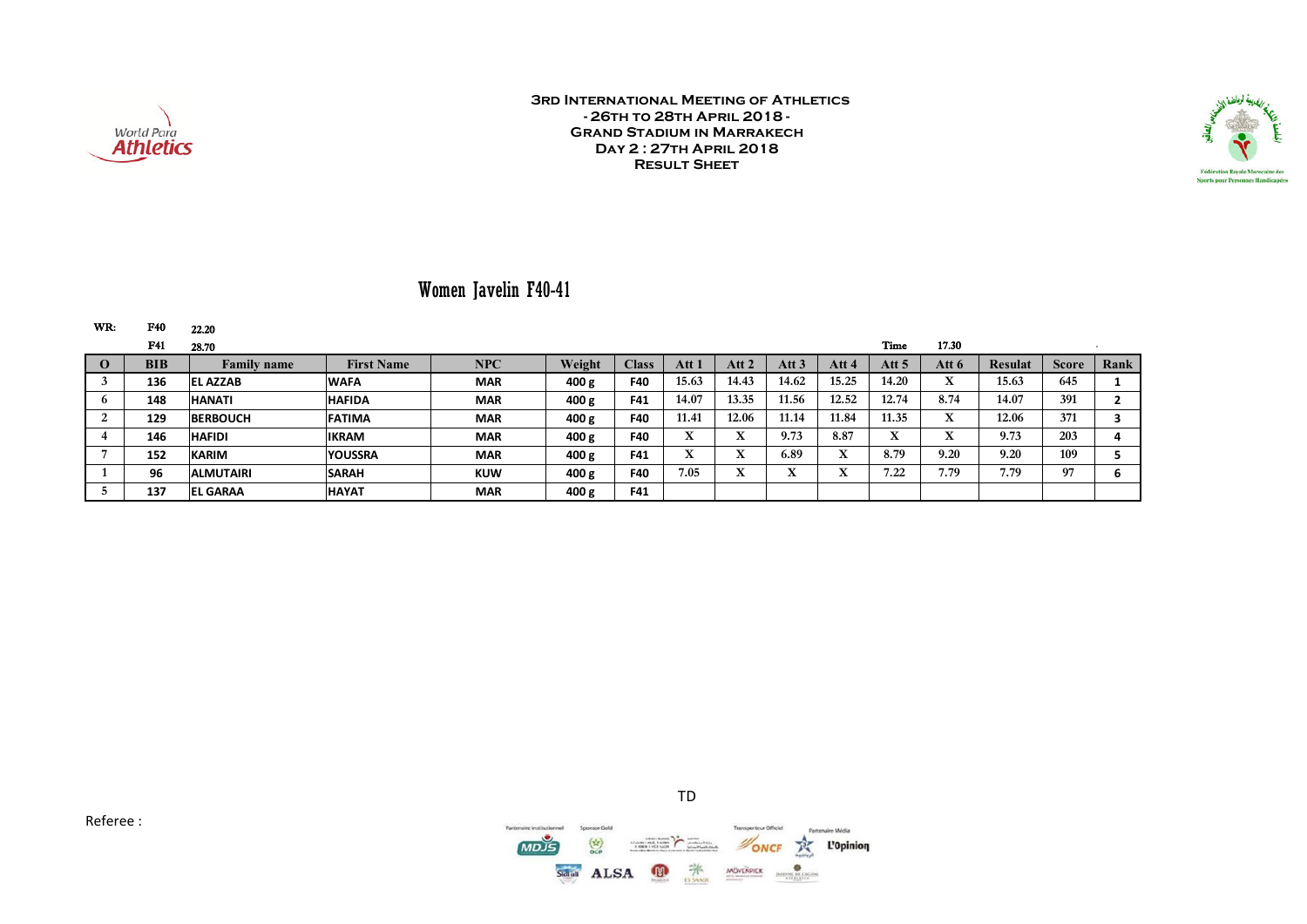



# Women Javelin F40-41

| WR:      | F40        | 22.20              |                   |            |        |              |              |                                    |                   |       |        |        |                |              |      |
|----------|------------|--------------------|-------------------|------------|--------|--------------|--------------|------------------------------------|-------------------|-------|--------|--------|----------------|--------------|------|
|          | F41        | 28.70              |                   |            |        |              |              |                                    |                   |       | Time   | 17.30  |                |              |      |
| $\Omega$ | <b>BIB</b> | <b>Family name</b> | <b>First Name</b> | <b>NPC</b> | Weight | <b>Class</b> | Att 1        | Att 2                              | Att <sub>3</sub>  | Att 4 | Att 5  | Att 6  | <b>Resulat</b> | <b>Score</b> | Rank |
|          | 136        | <b>EL AZZAB</b>    | <b>WAFA</b>       | <b>MAR</b> | 400 g  | F40          | 15.63        | 14.43                              | 14.62             | 15.25 | 14.20  | T<br>л | 15.63          | 645          |      |
|          | 148        | <b>HANATI</b>      | <b>HAFIDA</b>     | <b>MAR</b> | 400 g  | F41          | 14.07        | 13.35                              | 11.56             | 12.52 | 12.74  | 8.74   | 14.07          | 391          |      |
|          | 129        | <b>BERBOUCH</b>    | <b>FATIMA</b>     | <b>MAR</b> | 400 g  | F40          | 11.41        | 12.06                              | 11.14             | 11.84 | 11.35  | T<br>л | 12.06          | 371          |      |
|          | 146        | <b>HAFIDI</b>      | <b>IKRAM</b>      | <b>MAR</b> | 400 g  | F40          | $\mathbf{r}$ | л                                  | 9.73              | 8.87  | T<br>л | T<br>́ | 9.73           | 203          |      |
|          | 152        | <b>KARIM</b>       | <b>YOUSSRA</b>    | <b>MAR</b> | 400 g  | F41          | $\mathbf{r}$ | $\Delta$                           | 6.89              | л     | 8.79   | 9.20   | 9.20           | 109          |      |
|          | 96         | <b>ALMUTAIRI</b>   | <b>SARAH</b>      | <b>KUW</b> | 400 g  | F40          | 7.05         | $\mathbf{v}$<br>$\mathbf{\Lambda}$ | $\mathbf{v}$<br>л |       | 7.22   | 7.79   | 7.79           | 97           |      |
|          | 137        | <b>EL GARAA</b>    | <b>HAYAT</b>      | <b>MAR</b> | 400 g  | F41          |              |                                    |                   |       |        |        |                |              |      |





TD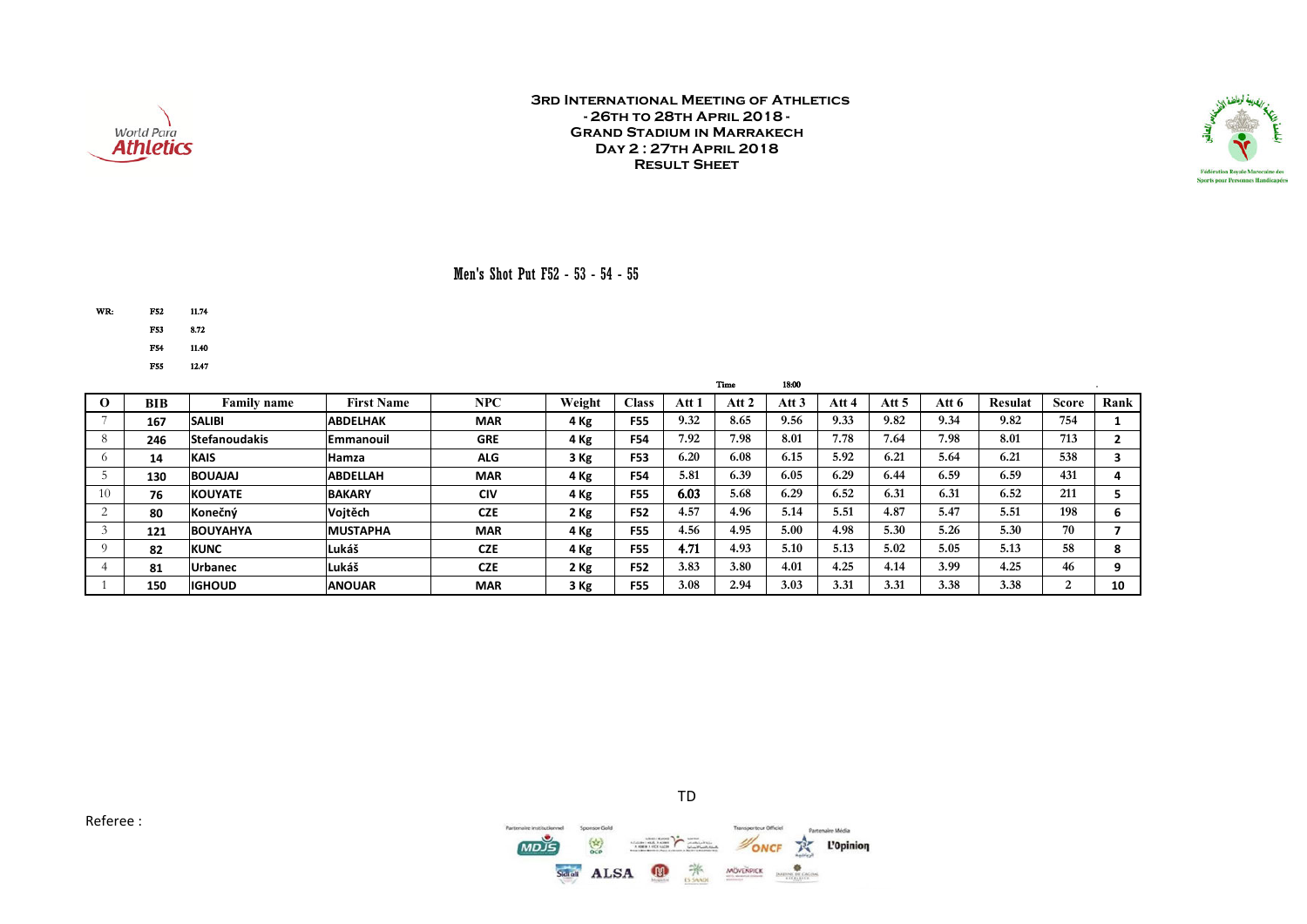



### Men's Shot Put F52 - 53 - 54 - 55

WR: F52 11.74

F53 8.72

F54 11.40

F55 12.47

|          |            |                      |                   |            |        |              |       | <b>Time</b> | 18:00 |       |       |       |                |       |      |
|----------|------------|----------------------|-------------------|------------|--------|--------------|-------|-------------|-------|-------|-------|-------|----------------|-------|------|
| $\Omega$ | <b>BIB</b> | <b>Family name</b>   | <b>First Name</b> | NPC        | Weight | <b>Class</b> | Att 1 | Att 2       | Att 3 | Att 4 | Att 5 | Att 6 | <b>Resulat</b> | Score | Rank |
|          | 167        | <b>SALIBI</b>        | <b>ABDELHAK</b>   | <b>MAR</b> | 4 Kg   | <b>F55</b>   | 9.32  | 8.65        | 9.56  | 9.33  | 9.82  | 9.34  | 9.82           | 754   |      |
| 8        | 246        | <b>Stefanoudakis</b> | <b>IEmmanouil</b> | <b>GRE</b> | 4 Kg   | <b>F54</b>   | 7.92  | 7.98        | 8.01  | 7.78  | 7.64  | 7.98  | 8.01           | 713   |      |
|          | 14         | <b>KAIS</b>          | <b>Hamza</b>      | <b>ALG</b> | 3 Kg   | F53          | 6.20  | 6.08        | 6.15  | 5.92  | 6.21  | 5.64  | 6.21           | 538   |      |
|          | 130        | <b>BOUAJAJ</b>       | <b>ABDELLAH</b>   | <b>MAR</b> | 4 Kg   | <b>F54</b>   | 5.81  | 6.39        | 6.05  | 6.29  | 6.44  | 6.59  | 6.59           | 431   |      |
| 10       | 76         | <b>KOUYATE</b>       | <b>BAKARY</b>     | <b>CIV</b> | 4 Kg   | <b>F55</b>   | 6.03  | 5.68        | 6.29  | 6.52  | 6.31  | 6.31  | 6.52           | 211   |      |
|          | 80         | Konečný              | Vojtěch           | <b>CZE</b> | 2 Kg   | F52          | 4.57  | 4.96        | 5.14  | 5.51  | 4.87  | 5.47  | 5.51           | 198   |      |
|          | 121        | <b>BOUYAHYA</b>      | <b>MUSTAPHA</b>   | <b>MAR</b> | 4 Kg   | <b>F55</b>   | 4.56  | 4.95        | 5.00  | 4.98  | 5.30  | 5.26  | 5.30           | 70    |      |
|          | 82         | <b>KUNC</b>          | Lukáš             | <b>CZE</b> | 4 Kg   | <b>F55</b>   | 4.71  | 4.93        | 5.10  | 5.13  | 5.02  | 5.05  | 5.13           | 58    | ۰    |
|          | 81         | <b>Urbanec</b>       | Lukáš             | <b>CZE</b> | 2 Kg   | F52          | 3.83  | 3.80        | 4.01  | 4.25  | 4.14  | 3.99  | 4.25           | 46    | Ω    |
|          | 150        | <b>IIGHOUD</b>       | <b>ANOUAR</b>     | <b>MAR</b> | 3 Kg   | <b>F55</b>   | 3.08  | 2.94        | 3.03  | 3.31  | 3.31  | 3.38  | 3.38           | ∠     | 10   |



TD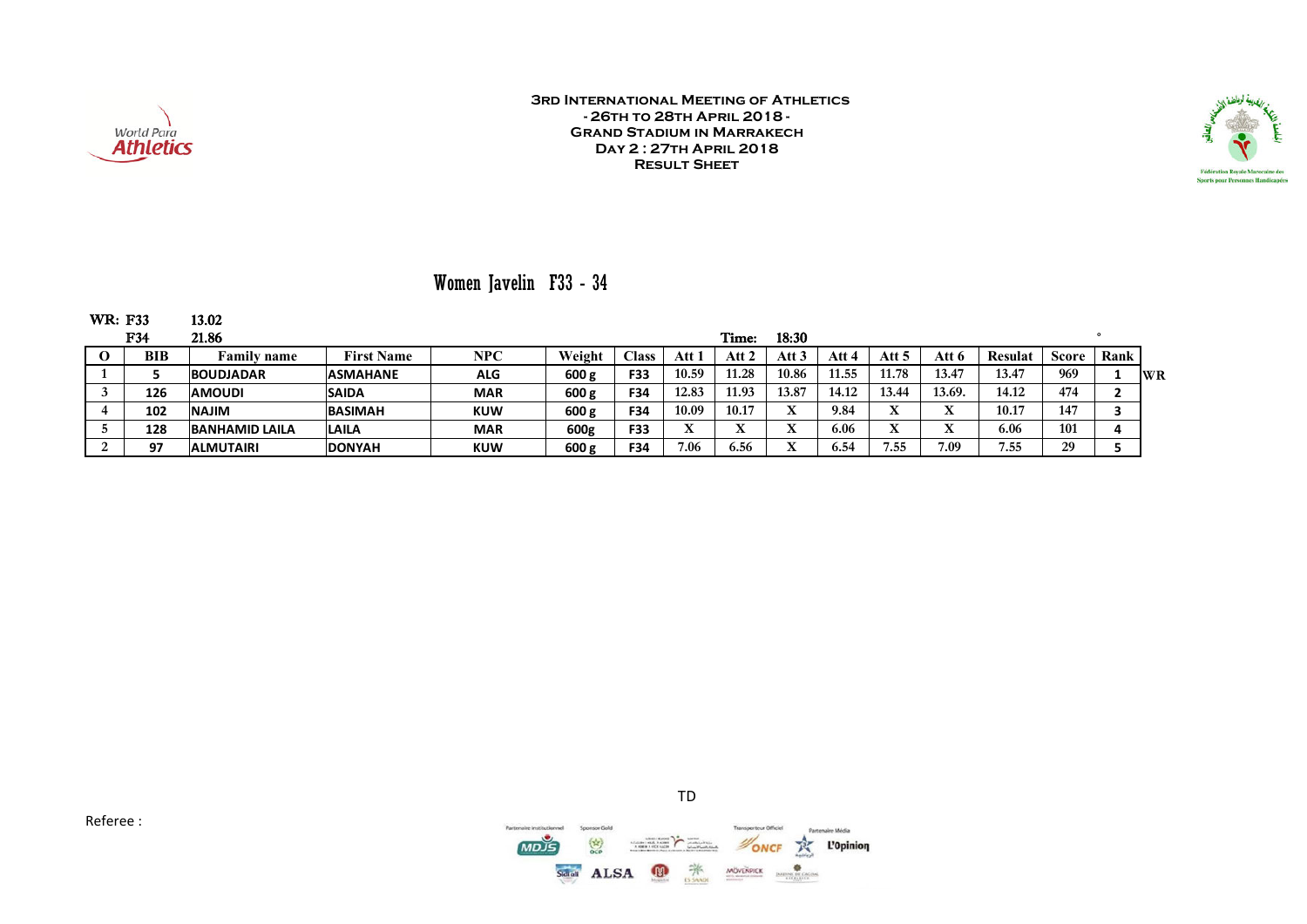



## Women Javelin F33 - 34

| <b>WR: F33</b> |     | 13.02                 |                   |            |        |               |       |       |           |       |          |        |                |       |      |    |
|----------------|-----|-----------------------|-------------------|------------|--------|---------------|-------|-------|-----------|-------|----------|--------|----------------|-------|------|----|
|                | F34 | 21.86                 |                   |            |        |               |       | Time: | 18:30     |       |          |        |                |       |      |    |
|                | BIB | Family name           | <b>First Name</b> | <b>NPC</b> | Weight | $\bigcap$ ass | Att 1 | Att 2 | Att 3     | Att 4 | Att 5    | Att 6  | <b>Resulat</b> | Score | Rank |    |
|                |     | <b>BOUDJADAR</b>      | <b>ASMAHANE</b>   | <b>ALG</b> | 600 g  | F33           | 10.59 | 11.28 | 10.86     | 11.55 | 11.78    | 13.47  | 13.47          | 969   |      | WR |
|                | 126 | <b>AMOUDI</b>         | <b>SAIDA</b>      | <b>MAR</b> | 600 g  | F34           | 12.83 | 11.93 | 13.87     | 14.12 | 13.44    | 13.69. | 14.12          | 474   |      |    |
|                | 102 | <b>NILAN</b>          | <b>BASIMAH</b>    | <b>KUW</b> | 600 g  | F34           | 10.09 | 10.17 |           | 9.84  | TT.<br>л |        | 10.17          | 147   |      |    |
|                | 128 | <b>BANHAMID LAILA</b> | <b>LAILA</b>      | <b>MAR</b> | 600g   | F33           |       |       |           | 6.06  | TT.      |        | 6.06           | 101   |      |    |
|                | 97  | <b>ALMUTAIRI</b>      | <b>DONYAH</b>     | <b>KUW</b> | 600 g  | <b>F34</b>    | 7.06  | 6.56  | $\Lambda$ | 6.54  | 7.55     | 7.09   | 7.55           | 29    |      |    |



TD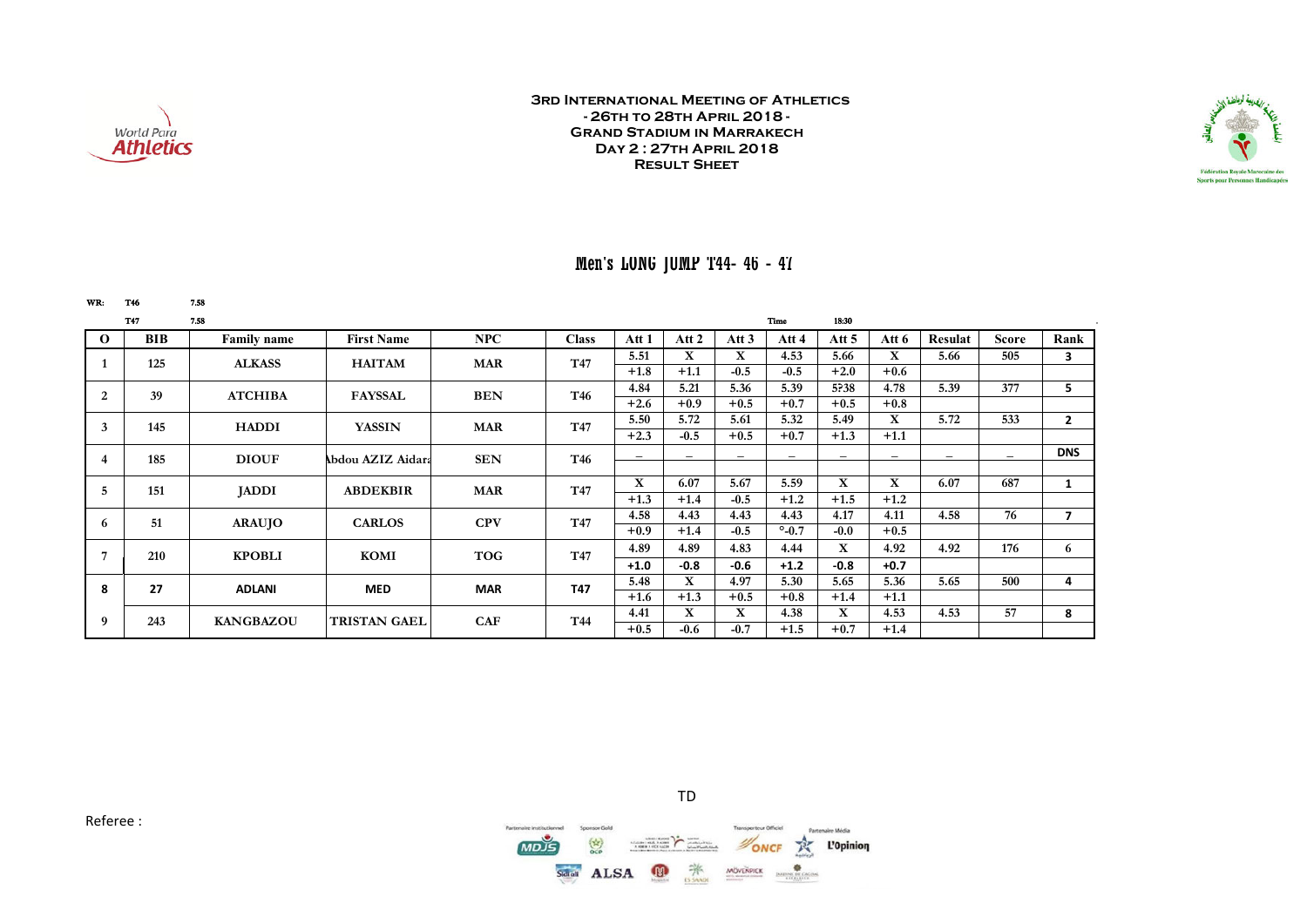



### Men's LONG JUMP T44- 46 - 47

| WR:      | <b>T46</b> | 7.58               |                     |            |              |             |                          |        |                 |                          |                          |                          |              |                |
|----------|------------|--------------------|---------------------|------------|--------------|-------------|--------------------------|--------|-----------------|--------------------------|--------------------------|--------------------------|--------------|----------------|
|          | <b>T47</b> | 7.58               |                     |            |              |             |                          |        | Time            | 18:30                    |                          |                          |              |                |
| $\Omega$ | BIB        | <b>Family name</b> | <b>First Name</b>   | NPC        | <b>Class</b> | Att 1       | Att 2                    | Att 3  | Att 4           | Att 5                    | Att 6                    | Resulat                  | <b>Score</b> | Rank           |
|          | 125        | <b>ALKASS</b>      | <b>HAITAM</b>       | <b>MAR</b> | T47          | 5.51        | X                        | X      | 4.53            | 5.66                     | $\mathbf X$              | 5.66                     | 505          | 3              |
|          |            |                    |                     |            |              | $+1.8$      | $+1.1$                   | $-0.5$ | $-0.5$          | $+2.0$                   | $+0.6$                   |                          |              |                |
| 2        | 39         | <b>ATCHIBA</b>     | <b>FAYSSAL</b>      | <b>BEN</b> | T46          | 4.84        | 5.21                     | 5.36   | 5.39            | 5?38                     | 4.78                     | 5.39                     | 377          | 5              |
|          |            |                    |                     |            |              | $+2.6$      | $+0.9$                   | $+0.5$ | $+0.7$          | $+0.5$                   | $+0.8$                   |                          |              |                |
| 3        | 145        | <b>HADDI</b>       | <b>YASSIN</b>       | <b>MAR</b> | T47          | 5.50        | 5.72                     | 5.61   | 5.32            | 5.49                     | X                        | 5.72                     | 533          | $\overline{2}$ |
|          |            |                    |                     |            |              | $+2.3$      | $-0.5$                   | $+0.5$ | $+0.7$          | $+1.3$                   | $+1.1$                   |                          |              |                |
| 4        | 185        | <b>DIOUF</b>       | Abdou AZIZ Aidara   | <b>SEN</b> | T46          |             | $\overline{\phantom{0}}$ |        |                 | $\overline{\phantom{0}}$ | $\overline{\phantom{0}}$ | $\overline{\phantom{0}}$ |              | <b>DNS</b>     |
|          |            |                    |                     |            |              |             |                          |        |                 |                          |                          |                          |              |                |
| 5        | 151        | <b>JADDI</b>       | <b>ABDEKBIR</b>     | <b>MAR</b> | T47          | $\mathbf X$ | 6.07                     | 5.67   | 5.59            | $\mathbf{X}$             | X                        | 6.07                     | 687          | $\mathbf{1}$   |
|          |            |                    |                     |            |              | $+1.3$      | $+1.4$                   | $-0.5$ | $+1.2$          | $+1.5$                   | $+1.2$                   |                          |              |                |
| 6        | 51         | <b>ARAUJO</b>      | <b>CARLOS</b>       | <b>CPV</b> | T47          | 4.58        | 4.43                     | 4.43   | 4.43            | 4.17                     | 4.11                     | 4.58                     | 76           | $\overline{ }$ |
|          |            |                    |                     |            |              | $+0.9$      | $+1.4$                   | $-0.5$ | $^{\circ}$ -0.7 | $-0.0$                   | $+0.5$                   |                          |              |                |
| 7        | 210        | <b>KPOBLI</b>      | KOMI                | <b>TOG</b> | T47          | 4.89        | 4.89                     | 4.83   | 4.44            | X                        | 4.92                     | 4.92                     | 176          | 6              |
|          |            |                    |                     |            |              | $+1.0$      | $-0.8$                   | $-0.6$ | $+1.2$          | $-0.8$                   | $+0.7$                   |                          |              |                |
| 8        | 27         |                    | <b>MED</b>          | <b>MAR</b> | <b>T47</b>   | 5.48        | X                        | 4.97   | 5.30            | 5.65                     | 5.36                     | 5.65                     | 500          | 4              |
|          |            | <b>ADLANI</b>      |                     |            |              | $+1.6$      | $+1.3$                   | $+0.5$ | $+0.8$          | $+1.4$                   | $+1.1$                   |                          |              |                |
| 9        | 243        | <b>KANGBAZOU</b>   | <b>TRISTAN GAEL</b> | <b>CAF</b> | T44          | 4.41        | X                        | X      | 4.38            | X                        | 4.53                     | 4.53                     | 57           | 8              |
|          |            |                    |                     |            |              | $+0.5$      | $-0.6$                   | $-0.7$ | $+1.5$          | $+0.7$                   | $+1.4$                   |                          |              |                |





TD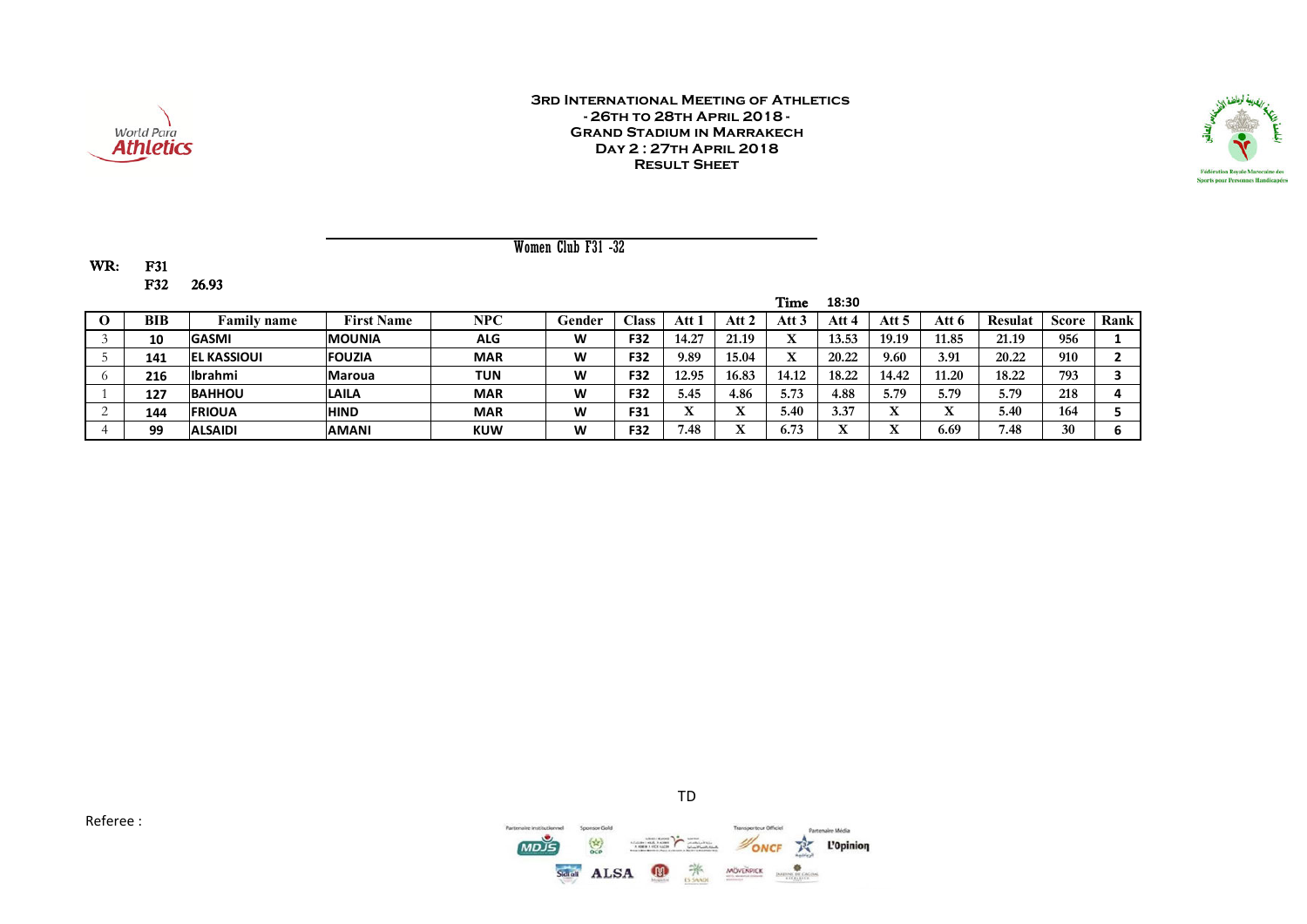



Women Club F31 -32

WR: F31 F32 26.93

|     |                    |                   |            |        |              |       |         | Time              | 18:30   |       |       |         |              |      |
|-----|--------------------|-------------------|------------|--------|--------------|-------|---------|-------------------|---------|-------|-------|---------|--------------|------|
| BIB | <b>Family name</b> | <b>First Name</b> | NPC        | Gender | <b>Class</b> | Att   | Att 2   | Att $3$           | Att 4   | Att 5 | Att 6 | Resulat | <b>Score</b> | Rank |
| 10  | <b>GASMI</b>       | <b>MOUNIA</b>     | <b>ALG</b> | W      | F32          | 14.27 | 21.19   | XZ.<br>л          | 13.53   | 19.19 | 1.85  | 21.19   | 956          |      |
| 141 | <b>EL KASSIOUI</b> | <b>FOUZIA</b>     | <b>MAR</b> | W      | F32          | 9.89  | 15.04   | $\mathbf{v}$<br>л | 20.22   | 9.60  | 3.91  | 20.22   | 910          |      |
| 216 | <b>Ibrahmi</b>     | <b>Maroua</b>     | TUN        | W      | F32          | 12.95 | 16.83   | 14.12             | 18.22   | 14.42 | 11.20 | 18.22   | 793          |      |
| 127 | <b>BAHHOU</b>      | <b>LAILA</b>      | <b>MAR</b> | W      | F32          | 5.45  | 4.86    | 5.73              | 4.88    | 5.79  | 5.79  | 5.79    | 218          |      |
| 144 | <b>IFRIOUA</b>     | <b>HIND</b>       | <b>MAR</b> | W      | F31          |       | v,<br>△ | 5.40              | 3.37    | л     | TT.   | 5.40    | 164          |      |
| 99  | <b>ALSAIDI</b>     | <b>AMANI</b>      | <b>KUW</b> | W      | F32          | 7.48  | ۳z<br>△ | 6.73              | ۳Z<br>∡ |       | 6.69  | 7.48    | 30           |      |

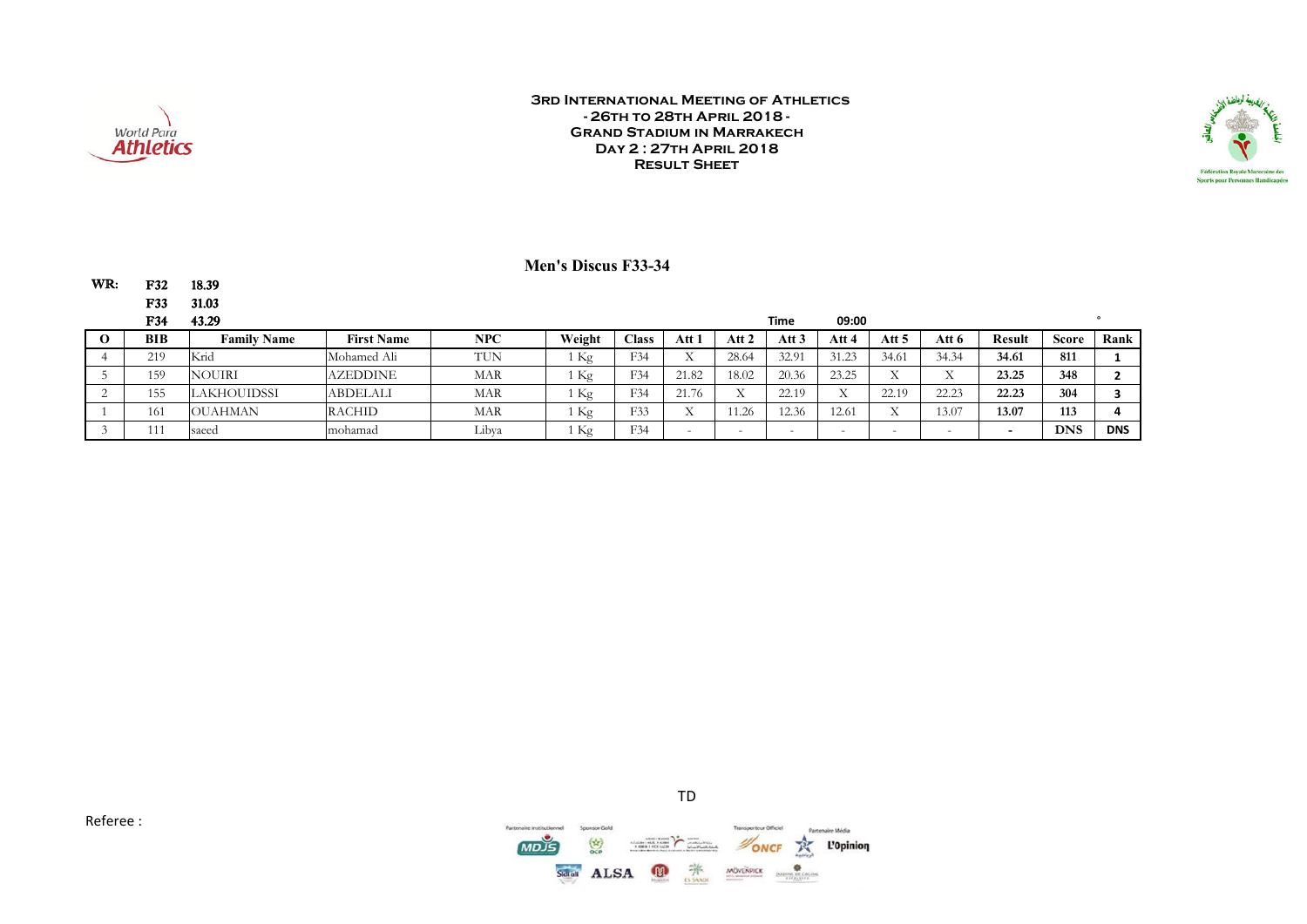

WR: F32 18.39

#### **3rd International Meeting of Athletics - 26th to 28th April 2018 - Grand Stadium in Marrakech Day 2 : 27th April 2018 Result Sheet**



### **Men's Discus F33-34**

|   | <b>F33</b> | 31.03              |                   |            |                 |                |           |                          |        |                        |                       |                          |        |              |            |
|---|------------|--------------------|-------------------|------------|-----------------|----------------|-----------|--------------------------|--------|------------------------|-----------------------|--------------------------|--------|--------------|------------|
|   | <b>F34</b> | 43.29              |                   |            |                 |                |           |                          | Time   | 09:00                  |                       |                          |        |              |            |
| v | <b>BIB</b> | <b>Family Name</b> | <b>First Name</b> | <b>NPC</b> | Weight          | $\text{Class}$ | Att 1     | Att 2                    | Att 3  | Att 4                  | Att 5                 | Att 6                    | Result | <b>Score</b> | Rank       |
|   | 219        | Knd                | Mohamed Ali       | TUN.       | 1 Kg            | F34            |           | 28.64                    | 32.91  | 31.23                  | 34.61                 | 34.34                    | 34.61  | 811          |            |
|   | 159        | <b>NOUIRI</b>      | <b>AZEDDINE</b>   | MAR        | <sub>1</sub> Kg | F34            | 21.82     | 18.02                    | 20.36  | 23.25                  | <b>TT</b><br>$\Delta$ | <b>TT</b>                | 23.25  | 348          |            |
|   | 155        | <b>LAKHOUIDSSI</b> | <b>ABDELALI</b>   | MAR        | 1 Kg            | F34            | 21.76     | $\tau$<br>$\Lambda$      | 22.19  | <b>TT</b><br>$\Lambda$ | 22.19                 | 22.23                    | 22.23  | 304          |            |
|   | 161        | <b>OUAHMAN</b>     | <b>RACHID</b>     | <b>MAR</b> | 1 Kg            | F33            | <b>TT</b> | 1.26                     | 12.36  | 12.61                  | T                     | 13.07                    | 13.07  | 113          |            |
|   | 111        | saeed              | mohamad           | Libva      | 1 Kg            | F34            |           | $\overline{\phantom{0}}$ | $\sim$ | <b>.</b>               | $-$                   | $\overline{\phantom{0}}$ | -      | <b>DNS</b>   | <b>DNS</b> |

Referee :



TD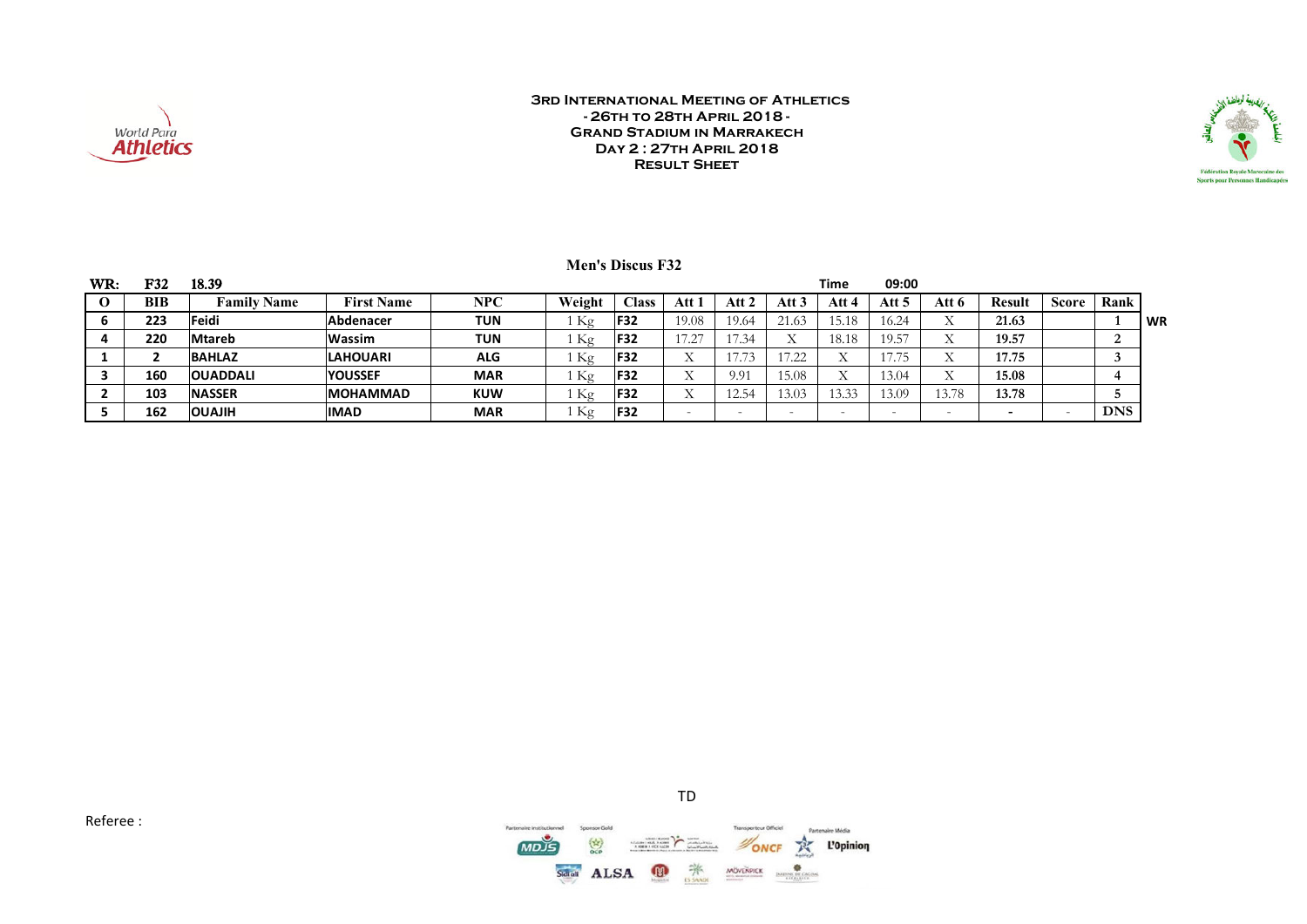



|  | <b>Men's Discus F32</b> |  |
|--|-------------------------|--|
|--|-------------------------|--|

| WR: | F32 | 18.39                 |                   |            |        |                 |                       |                                                   |       | <b>Time</b> | 09:00          |                          |        |       |            |      |
|-----|-----|-----------------------|-------------------|------------|--------|-----------------|-----------------------|---------------------------------------------------|-------|-------------|----------------|--------------------------|--------|-------|------------|------|
|     | BIB | <b>Name</b><br>Family | <b>First Name</b> | NPC        | Weight | $\text{Class}$  | Att 1                 | Att                                               | Att   | Att         | Att 5          | Att 6                    | Result | Score | Rank       |      |
|     | 223 | Feidi                 | Abdenacer         | <b>TUN</b> | Kg     | <b>IF32</b>     | 19.08                 | 19.64                                             | 21.63 | 15.18       | 16.24          | ∡⊾                       | 21.63  |       |            | l WR |
|     | 220 | Mtareb                | <b>Wassim</b>     | TUN        | Κg     | <b>F32</b>      | 17.27<br>. <i>.</i> . |                                                   |       | 18.18       | 19.57          | x z                      | 19.57  |       |            |      |
|     |     | <b>BAHLAZ</b>         | <b>LAHOUARI</b>   | <b>ALG</b> | Κg     | <b>IF32</b>     |                       | $- - -$<br>$\mathbf{1}$ $\mathbf{1}$ $\mathbf{1}$ | ے۔ ا  | ∡⊾          | 775<br>17. I J |                          | 17.75  |       |            |      |
|     | 160 | <b>OUADDALI</b>       | <b>YOUSSEF</b>    | <b>MAR</b> | Κg     | F <sub>32</sub> |                       | 9.91                                              | 15.08 | ∡⊾          | 13.04          |                          | 15.08  |       |            |      |
|     | 103 | <b>NASSER</b>         | <b>MOHAMMAD</b>   | <b>KUW</b> | Kφ     | <b>F32</b>      |                       |                                                   | 13.03 | 13.33       | 13.09          | 13.78                    | 13.78  |       |            |      |
|     | 162 | <b>HILAUO</b>         | <b>IMAD</b>       | <b>MAR</b> | Κg     | F32             |                       |                                                   |       |             |                | $\overline{\phantom{0}}$ |        |       | <b>DNS</b> |      |

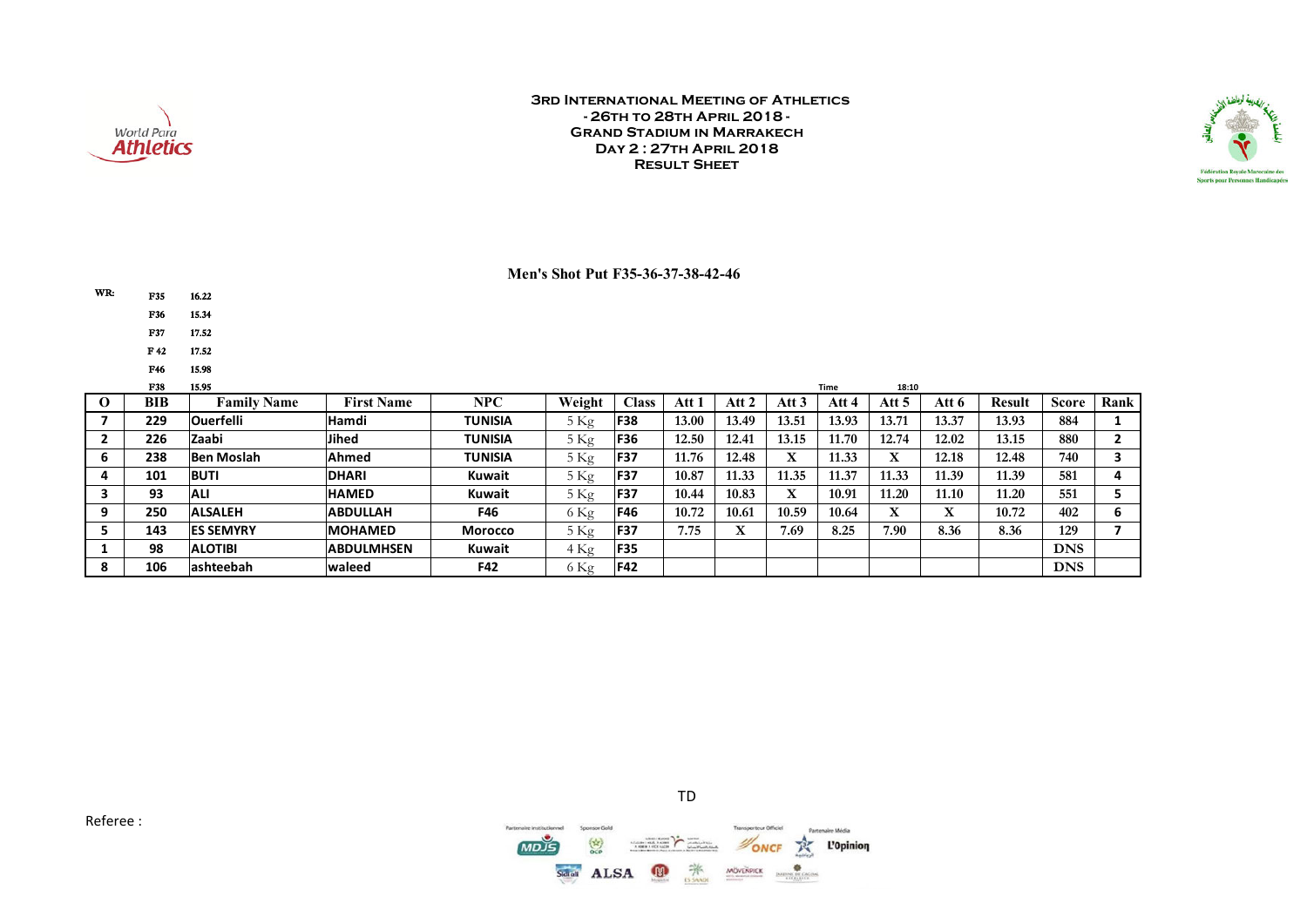



#### **Men's Shot Put F35-36-37-38-42-46**

| WR: | F35 |
|-----|-----|
|-----|-----|

- F36 15.34
- F37 17.52

16.22

- F 42 17.52
- F46 15.98

| F38 | 15.95              |                   |                |                |              |       |                    |           | <b>Time</b> | 18:10          |       |               |              |      |
|-----|--------------------|-------------------|----------------|----------------|--------------|-------|--------------------|-----------|-------------|----------------|-------|---------------|--------------|------|
| BIB | <b>Family Name</b> | <b>First Name</b> | NPC            | Weight         | <b>Class</b> | Att i | Att                | Att 3     | Att 4       | Att 5          | Att 6 | <b>Result</b> | <b>Score</b> | Rank |
| 229 | <b>Ouerfelli</b>   | <b>Hamdi</b>      | <b>TUNISIA</b> | $5 \text{Kg}$  | <b>F38</b>   | 13.00 | 13.49              | 13.51     | 13.93       | $13.7^{\circ}$ | 13.37 | 13.93         | 884          |      |
| 226 | Zaabi              | <b>Jihed</b>      | <b>TUNISIA</b> | 5Kg            | <b>F36</b>   | 12.50 | 12.41              | 13.15     | 11.70       | 12.74          | 12.02 | 13.15         | 880          |      |
| 238 | <b>Ben Moslah</b>  | Ahmed             | <b>TUNISIA</b> | 5 Kg           | <b>F37</b>   | 11.76 | 12.48              | TT.<br>л  | 11.33       |                | 12.18 | 12.48         | 740          |      |
| 101 | <b>BUTI</b>        | <b>DHARI</b>      | <b>Kuwait</b>  | 5Kg            | <b>F37</b>   | 10.87 | 11.33              | 11.35     | 1.37        | 1.33           | 11.39 | 1.39          | 581          |      |
| 93  | <b>ALI</b>         | <b>HAMED</b>      | <b>Kuwait</b>  | 5Kg            | <b>F37</b>   | 10.44 | 10.83              | $\lambda$ | 10.91       | 1.20           | 11.10 | 11.20         | 551          |      |
| 250 | <b>ALSALEH</b>     | <b>ABDULLAH</b>   | F46            | $6 \text{ kg}$ | <b>F46</b>   | 10.72 | 10.61              | 10.59     | 10.64       | ́△             |       | 10.72         | 402          |      |
| 143 | <b>ES SEMYRY</b>   | <b>MOHAMED</b>    | <b>Morocco</b> | $5 \text{Kg}$  | <b>F37</b>   | 7.75  | $\mathbf{v}$<br>́△ | /0.69     | 8.25        | 7.90           | 8.36  | 8.36          | 129          |      |
| 98  | <b>ALOTIBI</b>     | <b>ABDULMHSEN</b> | <b>Kuwait</b>  | 4 Kg           | <b>F35</b>   |       |                    |           |             |                |       |               | <b>DNS</b>   |      |
| 106 | lashteebah         | lwaleed           | F42            | o Kg           | <b>F42</b>   |       |                    |           |             |                |       |               | <b>DNS</b>   |      |



TD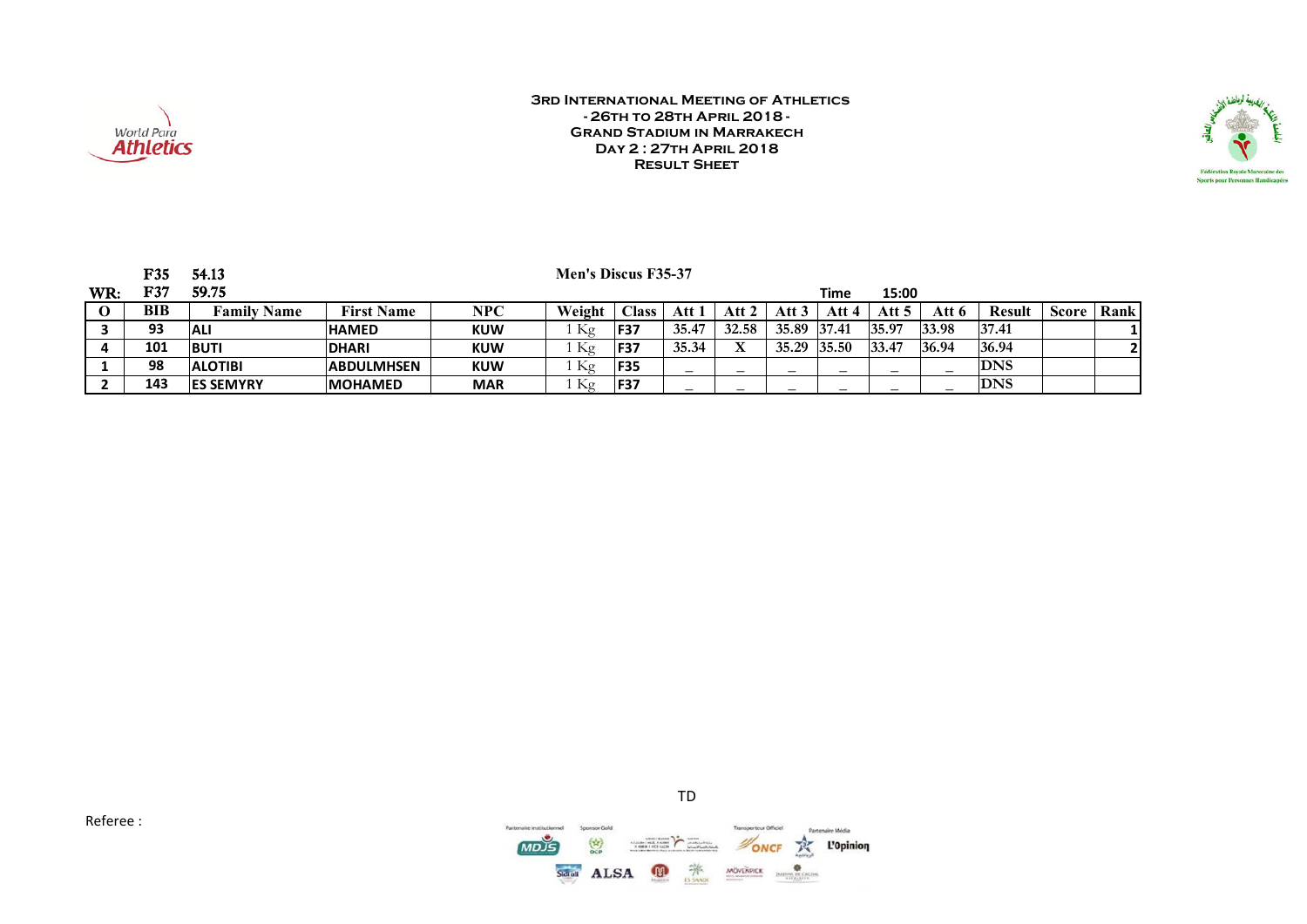



|     | F35 | 54.13              |                   |            | Men's Discus F35-37 |                |                          |                          |       |       |       |       |               |              |      |
|-----|-----|--------------------|-------------------|------------|---------------------|----------------|--------------------------|--------------------------|-------|-------|-------|-------|---------------|--------------|------|
| WR: | F37 | 59.75              |                   |            |                     |                |                          |                          |       | Time  | 15:00 |       |               |              |      |
|     | BIB | <b>Family Name</b> | <b>First Name</b> | NPC        | Weight              | $\text{Class}$ | Att 1                    | Att 2                    | Att 3 | Att 4 | Att 5 | Att 6 | <b>Result</b> | <b>Score</b> | Rank |
|     | 93  | <b>ALI</b>         | <b>HAMED</b>      | <b>KUW</b> | Kg                  | <b>F37</b>     | 35.47                    | 32.58                    | 35.89 | 37.41 | 35.97 | 33.98 | 37.41         |              |      |
|     | 101 | <b>BUTI</b>        | <b>DHARI</b>      | <b>KUW</b> | Kg                  | <b>F37</b>     | 35.34                    | x                        | 35.29 | 35.50 | 33.47 | 36.94 | 36.94         |              |      |
|     | 98  | <b>ALOTIBI</b>     | <b>ABDULMHSEN</b> | <b>KUW</b> | Κg                  | <b>F35</b>     |                          | —                        |       |       |       |       | <b>DNS</b>    |              |      |
|     | 143 | <b>IES SEMYRY</b>  | <b>MOHAMED</b>    | <b>MAR</b> | Κg                  | <b>F37</b>     | $\overline{\phantom{0}}$ | $\overline{\phantom{0}}$ | —     |       |       | –     | <b>DNS</b>    |              |      |

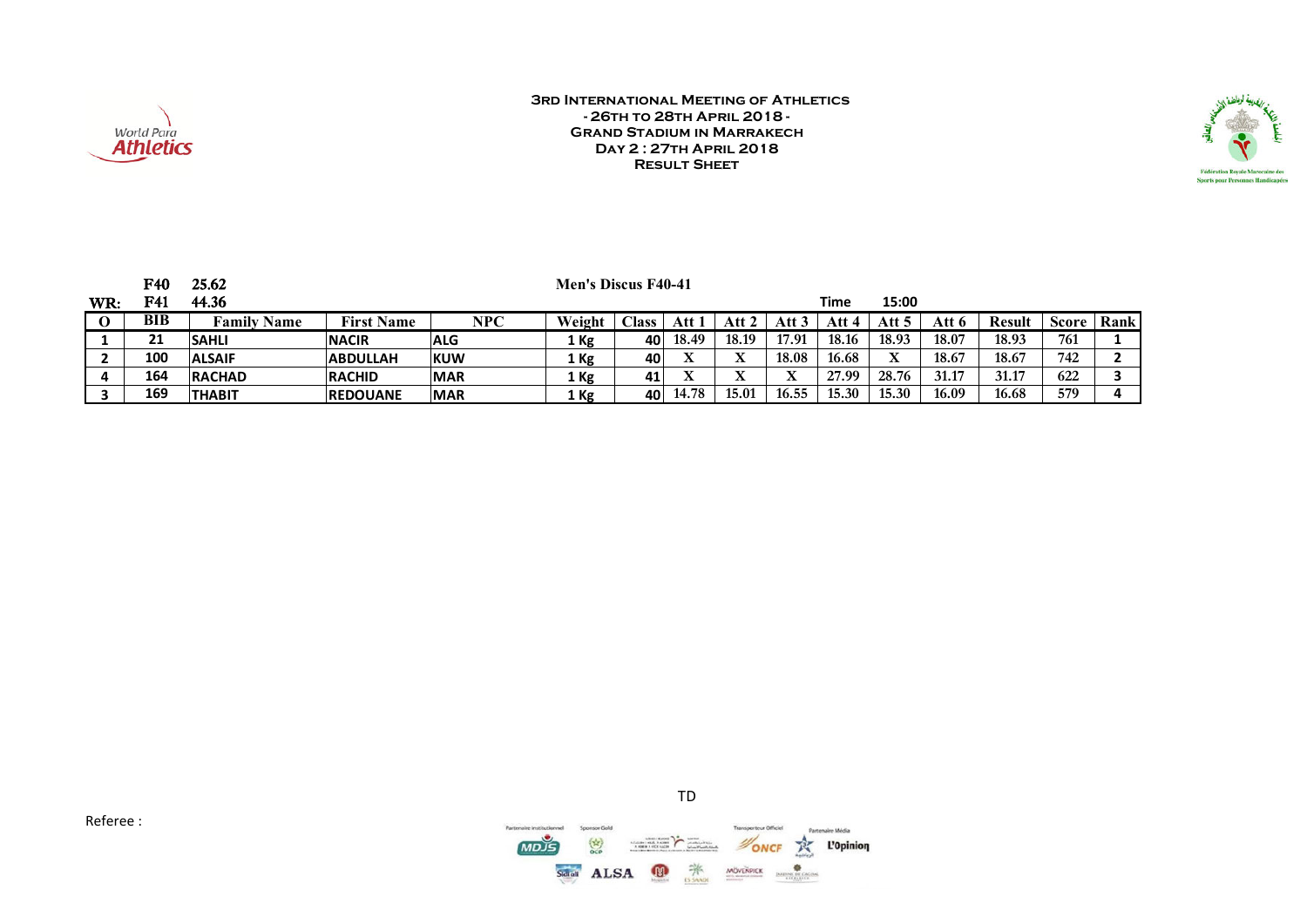



|                          | F40 | 25.62              |                   |            | <b>Men's Discus F40-41</b> |                 |       |       |       |       |       |       |               |       |      |
|--------------------------|-----|--------------------|-------------------|------------|----------------------------|-----------------|-------|-------|-------|-------|-------|-------|---------------|-------|------|
| $\mathbf{W}\mathbf{R}$ : | F41 | 44.36              |                   |            |                            |                 |       |       |       | Time  | 15:00 |       |               |       |      |
|                          | BIB | <b>Family Name</b> | <b>First Name</b> | NPC        | Weight                     | $\bigcap$ ass   | Att   | Att 2 | Att 3 | Att 4 | Att 5 | Att 6 | <b>Result</b> | Score | Rank |
|                          | 21  | <b>SAHLI</b>       | <b>INACIR</b>     | <b>ALG</b> | 1 Kg                       | 40              | 18.49 | 18.19 | 17.91 | 18.16 | 18.93 | 18.07 | 18.93         | 761   |      |
| $\epsilon$               | 100 | <b>ALSAIF</b>      | <b>ABDULLAH</b>   | <b>KUW</b> | 1 Kg                       | 401             | л     | л     | 18.08 | 16.68 |       | 18.67 | 18.67         | 742   |      |
| 4                        | 164 | <b>RACHAD</b>      | <b>IRACHID</b>    | <b>MAR</b> | 1 Kg                       | 41 <sub>1</sub> | △     | л     |       | 27.99 | 28.76 | 31.17 | 31.17         | 622   |      |
|                          | 169 | <b>THABIT</b>      | <b>IREDOUANE</b>  | <b>MAR</b> | 1 Kg                       | 40              | 14.78 | 15.01 | 16.55 | 15.30 | 15.30 | 16.09 | 16.68         | 579   |      |

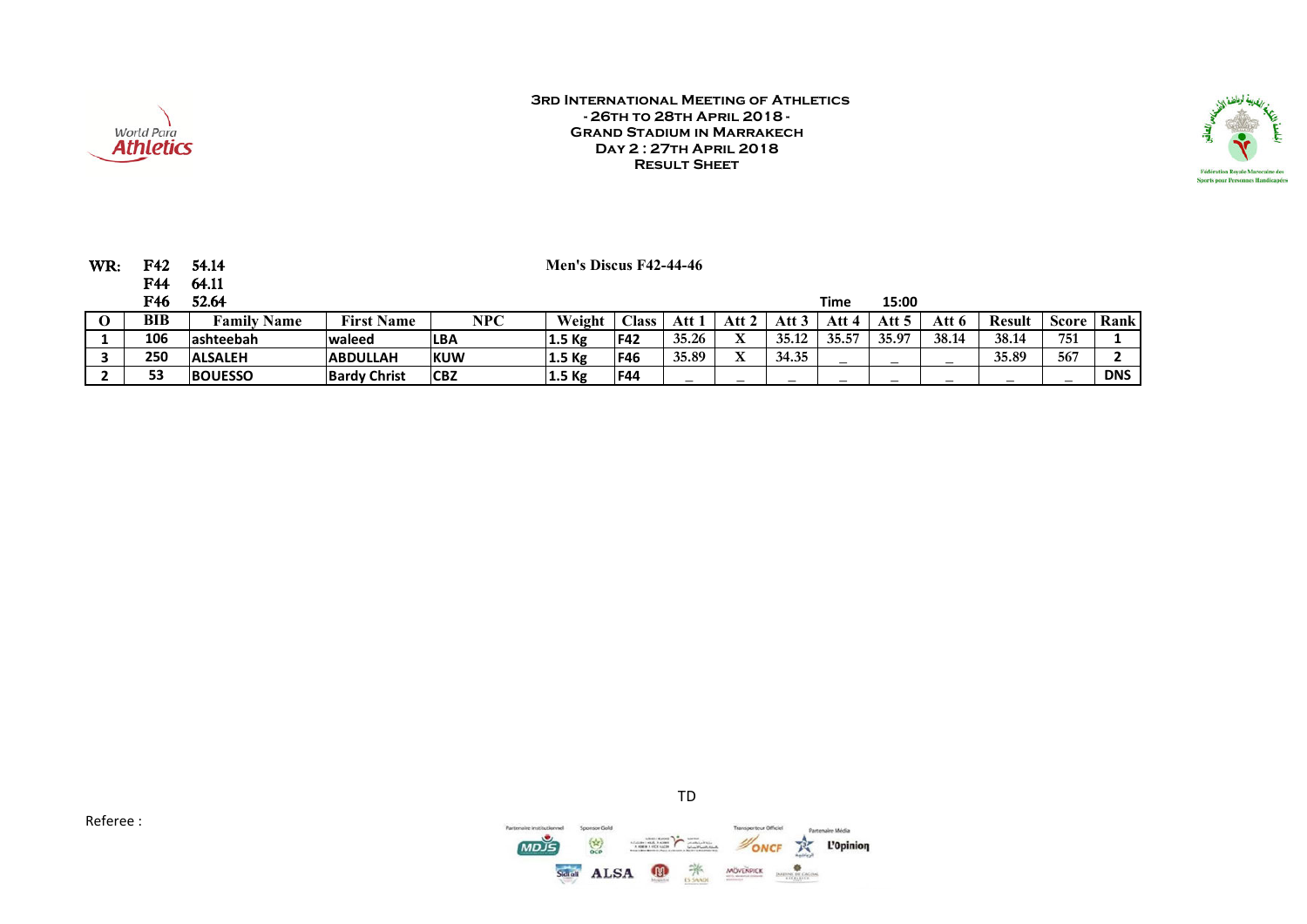



| WR: | F42 | 54.14              |                     |             | Men's Discus F42-44-46 |              |        |                                       |       |       |         |       |        |       |            |
|-----|-----|--------------------|---------------------|-------------|------------------------|--------------|--------|---------------------------------------|-------|-------|---------|-------|--------|-------|------------|
|     | F44 | 64.11              |                     |             |                        |              |        |                                       |       |       |         |       |        |       |            |
|     | F46 | 52.64              |                     |             |                        |              |        |                                       |       | Time  | 15:00   |       |        |       |            |
|     | BIB | <b>Family Name</b> | <b>First Name</b>   | NPC         | Weight                 | <b>Class</b> | Att 1  | Att 2                                 | Att 3 | Att 4 | Att $5$ | Att 6 | Result | Score | Rank       |
|     | 106 | lashteebah         | <b>waleed</b>       | <b>ILBA</b> | 1.5 <sub>kg</sub>      | <b>F42</b>   | 35.26  | $\mathbf v$<br>$\boldsymbol{\Lambda}$ | 35.12 | 35.57 | 35.97   | 38.14 | 38.14  | 751   |            |
|     | 250 | <b>ALSALEH</b>     | <b>ABDULLAH</b>     | <b>IKUW</b> | 1.5 <sub>kg</sub>      | <b>F46</b>   | 35.89  | X                                     | 34.35 |       | —       |       | 35.89  | 567   |            |
|     | 53  | <b>BOUESSO</b>     | <b>Bardy Christ</b> | <b>CBZ</b>  | 1.5 <sub>kg</sub>      | <b>F44</b>   | $\sim$ | -                                     |       |       |         |       |        |       | <b>DNS</b> |

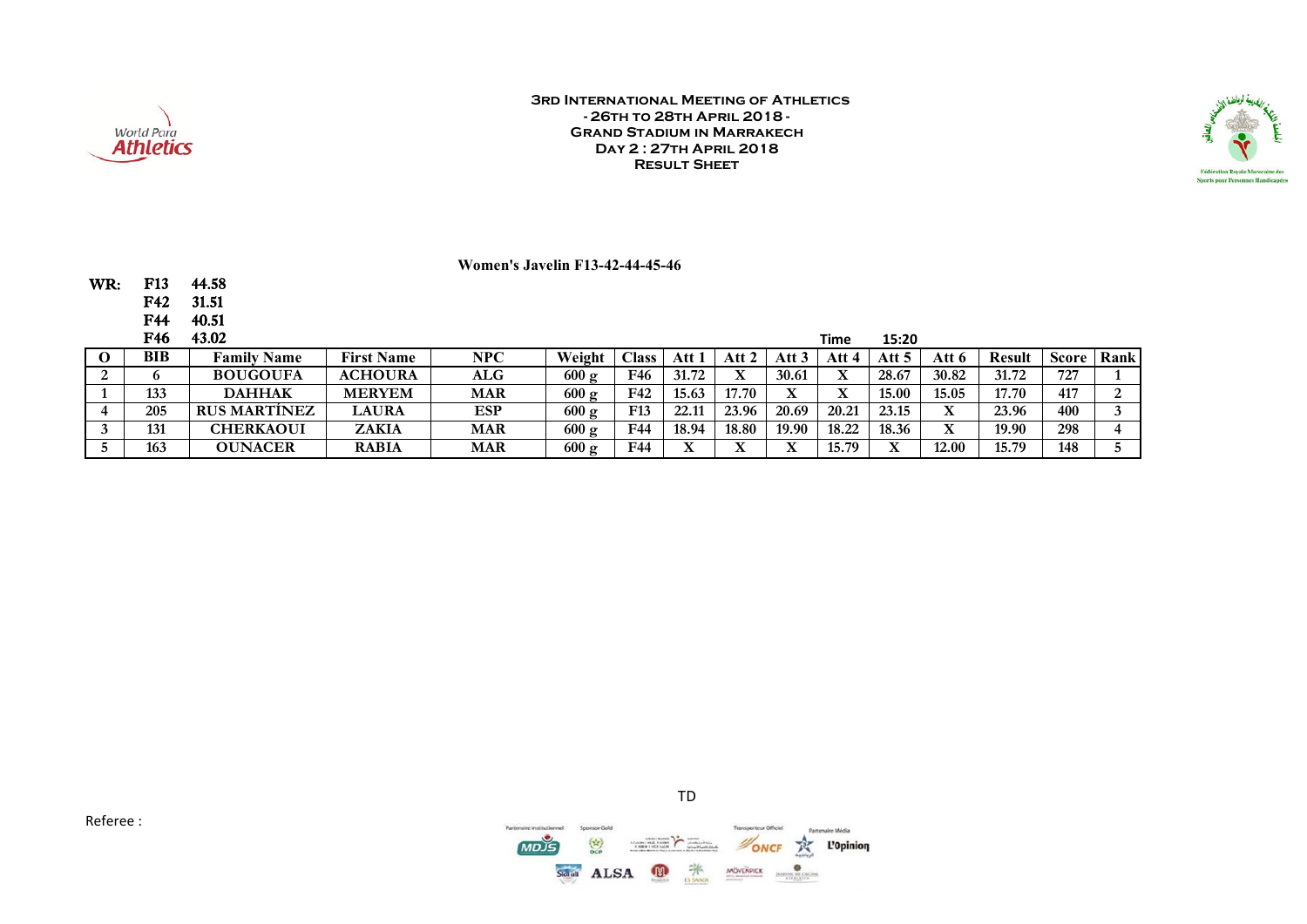



#### **Women's Javelin F13-42-44-45-46**

WR: F13 44.58<br>F42 31.51

F42<br>F44

**40.51** 

| F46 | 43.02               |                   |            |                 |                 |       |       |                  | Time  | 15:20 |         |               |       |      |
|-----|---------------------|-------------------|------------|-----------------|-----------------|-------|-------|------------------|-------|-------|---------|---------------|-------|------|
| BIB | <b>Family Name</b>  | <b>First Name</b> | NPC        | Weight          | $\text{Class}$  | Att   | Att   | Att <sup>-</sup> | Att 4 | Att 5 | Att 6   | <b>Result</b> | Score | Rank |
|     | <b>BOUGOUFA</b>     | <b>ACHOURA</b>    | ALG        | $600 \text{ g}$ | F46             | 31.72 |       | 30.61            | л     | 28.67 | 30.82   | 31.72         | 727   |      |
| 133 | <b>DAHHAK</b>       | <b>MERYEM</b>     | <b>MAR</b> | $600 \text{ g}$ | F42             | 15.63 | 17.70 | v                |       | 15.00 | 15.05   | 17.70         | 417   |      |
| 205 | <b>RUS MARTÍNEZ</b> | <b>LAURA</b>      | ESP        | $600 \text{ g}$ | F <sub>13</sub> | 22.11 | 23.96 | 20.69            | 20.21 | 23.15 | △       | 23.96         | 400   |      |
| 131 | <b>CHERKAOUI</b>    | <b>ZAKIA</b>      | <b>MAR</b> | $600 \text{ g}$ | F44             | 18.94 | 18.80 | 19.90            | 18.22 | 18.36 | T7<br>△ | 19.90         | 298   |      |
| 163 | <b>OUNACER</b>      | <b>RABIA</b>      | <b>MAR</b> | 600 g           | F44             |       |       | v                | 15.79 |       | 12.00   | 15.79         | 148   |      |



TD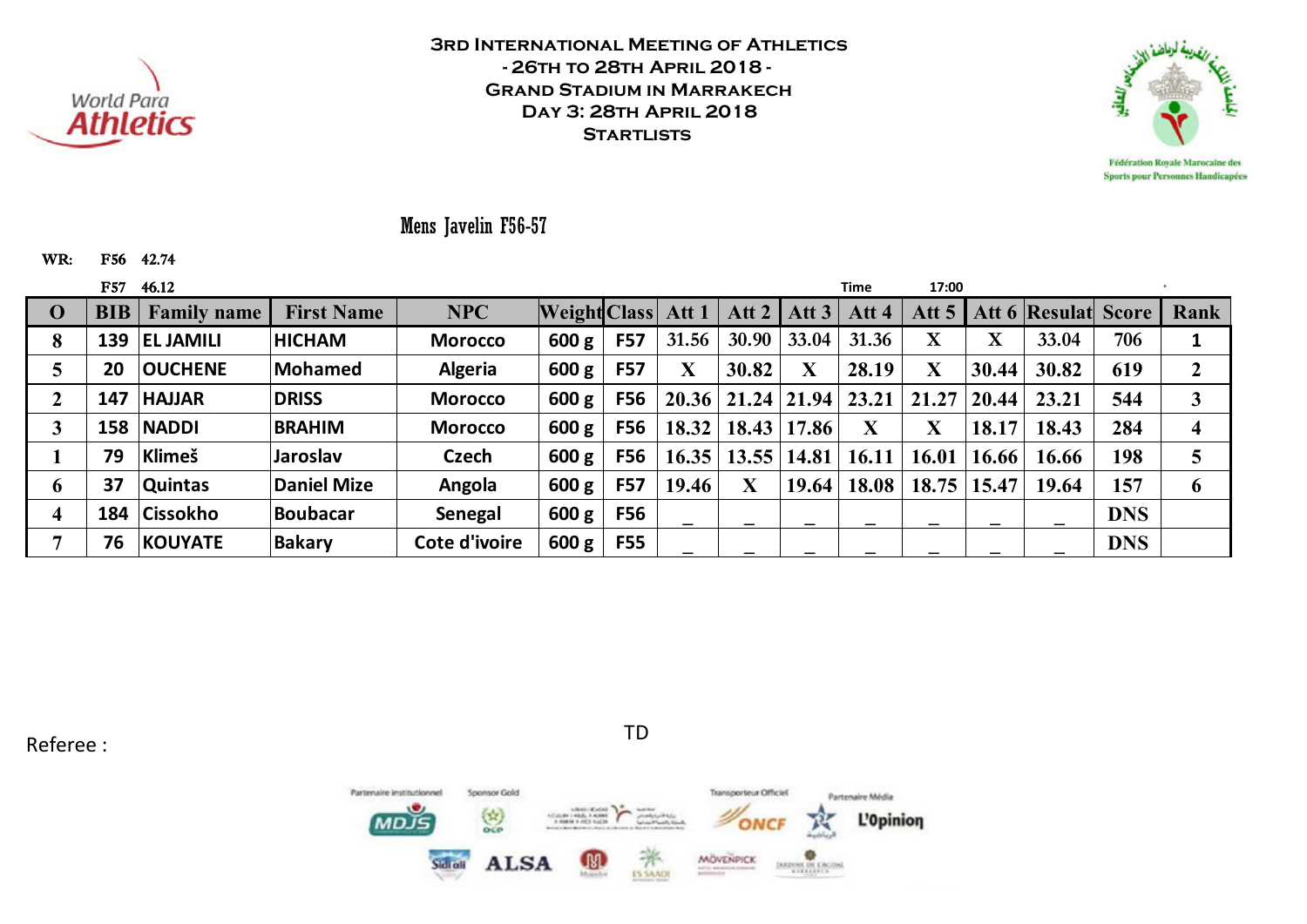



Mens Javelin F56-57

WR: F56 42.74

|                         | F57        | 46.12              |                    |                |                    |            |                         |                       |                    | Time                    | 17:00       |                         |                                 |            |      |
|-------------------------|------------|--------------------|--------------------|----------------|--------------------|------------|-------------------------|-----------------------|--------------------|-------------------------|-------------|-------------------------|---------------------------------|------------|------|
| $\bf{0}$                | <b>BIB</b> | <b>Family name</b> | <b>First Name</b>  | <b>NPC</b>     | Weight Class Att 1 |            |                         |                       | Att 2   Att $3$    | Att 4                   |             |                         | Att 5   Att 6   Resulat   Score |            | Rank |
| 8                       | 139        | <b>EL JAMILI</b>   | <b>HICHAM</b>      | <b>Morocco</b> | 600 g              | <b>F57</b> | 31.56                   | 30.90                 | 33.04              | 31.36                   | $\mathbf X$ | $\overline{\mathbf{X}}$ | 33.04                           | 706        |      |
|                         | 20         | <b>OUCHENE</b>     | Mohamed            | <b>Algeria</b> | 600 g              | <b>F57</b> | $\overline{\textbf{X}}$ | 30.82                 | X                  | 28.19                   | X           | 30.44                   | 30.82                           | 619        |      |
|                         | 147        | <b>HAJJAR</b>      | <b>DRISS</b>       | <b>Morocco</b> | 600 g              | <b>F56</b> |                         | 20.36   21.24   21.94 |                    | 23.21                   | 21.27       | 20.44                   | 23.21                           | 544        |      |
| 3                       | 158        | <b>NADDI</b>       | <b>BRAHIM</b>      | <b>Morocco</b> | 600 g              | <b>F56</b> | 18.32                   |                       | 18.43   17.86      | $\overline{\textbf{X}}$ | $\mathbf X$ | 18.17                   | 18.43                           | 284        | 4    |
|                         | 79         | Klimeš             | <b>Jaroslav</b>    | Czech          | 600 g              | <b>F56</b> | 16.35                   |                       | $13.55 \mid 14.81$ | 16.11                   | 16.01       | 16.66                   | 16.66                           | 198        |      |
| 6                       | 37         | <b>Quintas</b>     | <b>Daniel Mize</b> | Angola         | 600 g              | <b>F57</b> | 19.46                   |                       | 19.64              | 18.08                   | 18.75       | 15.47                   | 19.64                           | 157        | 6    |
| $\overline{\mathbf{4}}$ | 184        | <b>Cissokho</b>    | Boubacar           | Senegal        | 600 g              | <b>F56</b> |                         |                       |                    |                         |             |                         |                                 | <b>DNS</b> |      |
|                         | 76         | <b>KOUYATE</b>     | <b>Bakary</b>      | Cote d'ivoire  | 600 g              | <b>F55</b> | _                       |                       |                    |                         |             |                         |                                 | <b>DNS</b> |      |

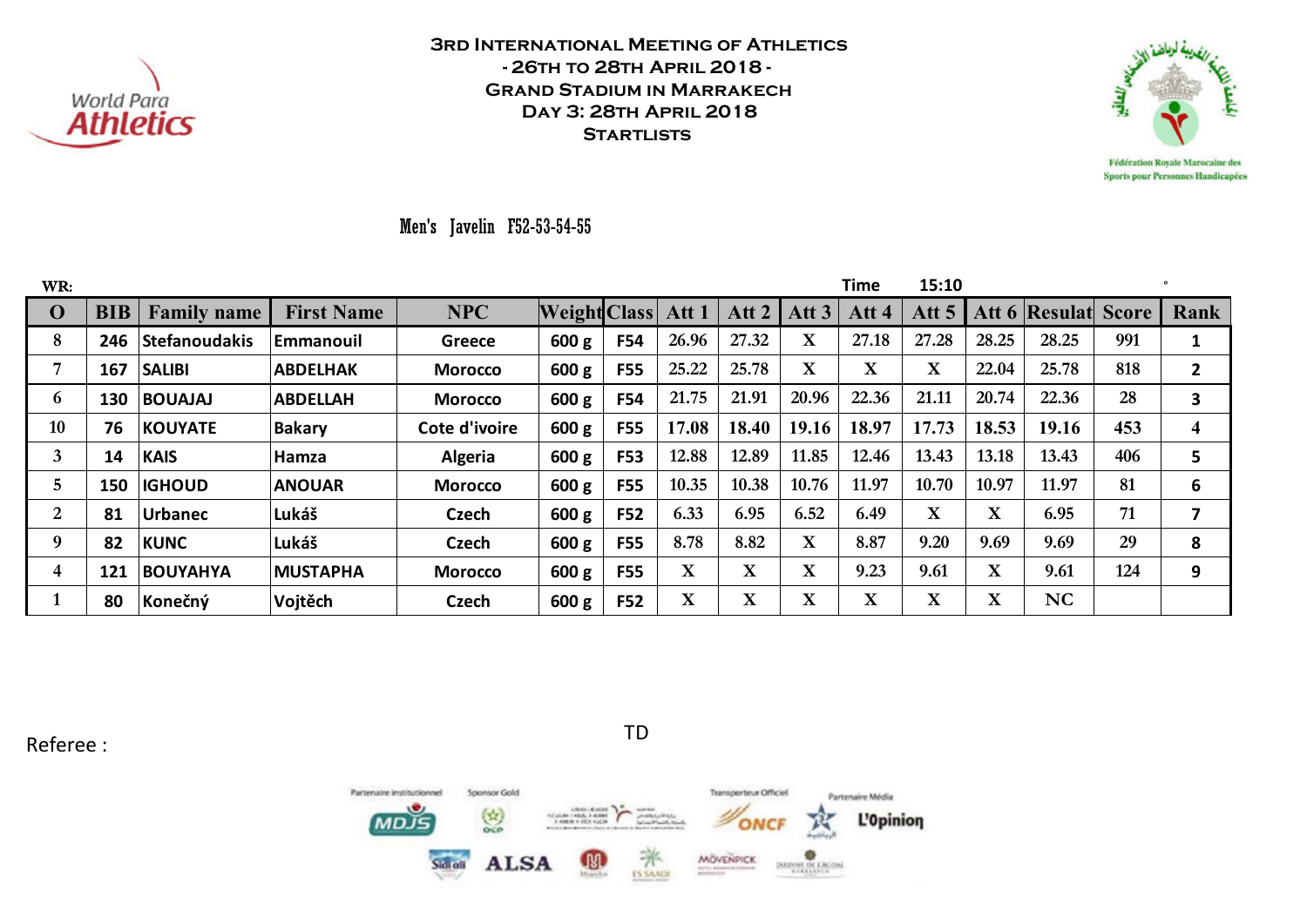



Men's Javelin F52-53-54-55

| WR:            |            |                      |                   |                |                     |            |              |             |                  | <b>Time</b> | 15:10       |             |               |              |                |
|----------------|------------|----------------------|-------------------|----------------|---------------------|------------|--------------|-------------|------------------|-------------|-------------|-------------|---------------|--------------|----------------|
| $\bf{0}$       | <b>BIB</b> | <b>Family name</b>   | <b>First Name</b> | <b>NPC</b>     | <b>Weight Class</b> |            | Att 1        | Att 2       | Att <sub>3</sub> | Att 4       | Att 5       |             | Att 6 Resulat | <b>Score</b> | Rank           |
| 8              | 246        | <b>Stefanoudakis</b> | <b>Emmanouil</b>  | <b>Greece</b>  | 600 g               | <b>F54</b> | 26.96        | 27.32       | X                | 27.18       | 27.28       | 28.25       | 28.25         | 991          | 1              |
| 7              | 167        | <b>SALIBI</b>        | <b>ABDELHAK</b>   | <b>Morocco</b> | 600 g               | <b>F55</b> | 25.22        | 25.78       | $\mathbf X$      | $\mathbf X$ | $\mathbf X$ | 22.04       | 25.78         | 818          | $\overline{2}$ |
| 6              | 130        | <b>BOUAJAJ</b>       | <b>ABDELLAH</b>   | <b>Morocco</b> | 600 g               | <b>F54</b> | 21.75        | 21.91       | 20.96            | 22.36       | 21.11       | 20.74       | 22.36         | 28           | 3              |
| 10             | 76         | <b>KOUYATE</b>       | <b>Bakary</b>     | Cote d'ivoire  | 600 g               | <b>F55</b> | 17.08        | 18.40       | 19.16            | 18.97       | 17.73       | 18.53       | 19.16         | 453          | 4              |
| 3              | 14         | <b>KAIS</b>          | Hamza             | <b>Algeria</b> | 600 g               | <b>F53</b> | 12.88        | 12.89       | 11.85            | 12.46       | 13.43       | 13.18       | 13.43         | 406          | 5              |
| 5              | 150        | <b>IGHOUD</b>        | <b>ANOUAR</b>     | <b>Morocco</b> | 600 g               | <b>F55</b> | 10.35        | 10.38       | 10.76            | 11.97       | 10.70       | 10.97       | 11.97         | 81           | 6              |
| $\overline{2}$ | 81         | <b>Urbanec</b>       | Lukáš             | <b>Czech</b>   | 600 g               | F52        | 6.33         | 6.95        | 6.52             | 6.49        | $\mathbf X$ | $\mathbf X$ | 6.95          | 71           | 7              |
| 9              | 82         | <b>KUNC</b>          | Lukáš             | Czech          | 600 g               | <b>F55</b> | 8.78         | 8.82        | $\mathbf X$      | 8.87        | 9.20        | 9.69        | 9.69          | 29           | 8              |
| 4              | 121        | <b>BOUYAHYA</b>      | <b>MUSTAPHA</b>   | <b>Morocco</b> | 600 g               | <b>F55</b> | $\mathbf{X}$ | $\mathbf X$ | X                | 9.23        | 9.61        | $\mathbf X$ | 9.61          | 124          | 9              |
|                | 80         | Konečný              | Vojtěch           | Czech          | 600 g               | <b>F52</b> | $\mathbf X$  | $\mathbf X$ | X                | $\mathbf X$ | $\mathbf X$ | $\mathbf X$ | NC            |              |                |

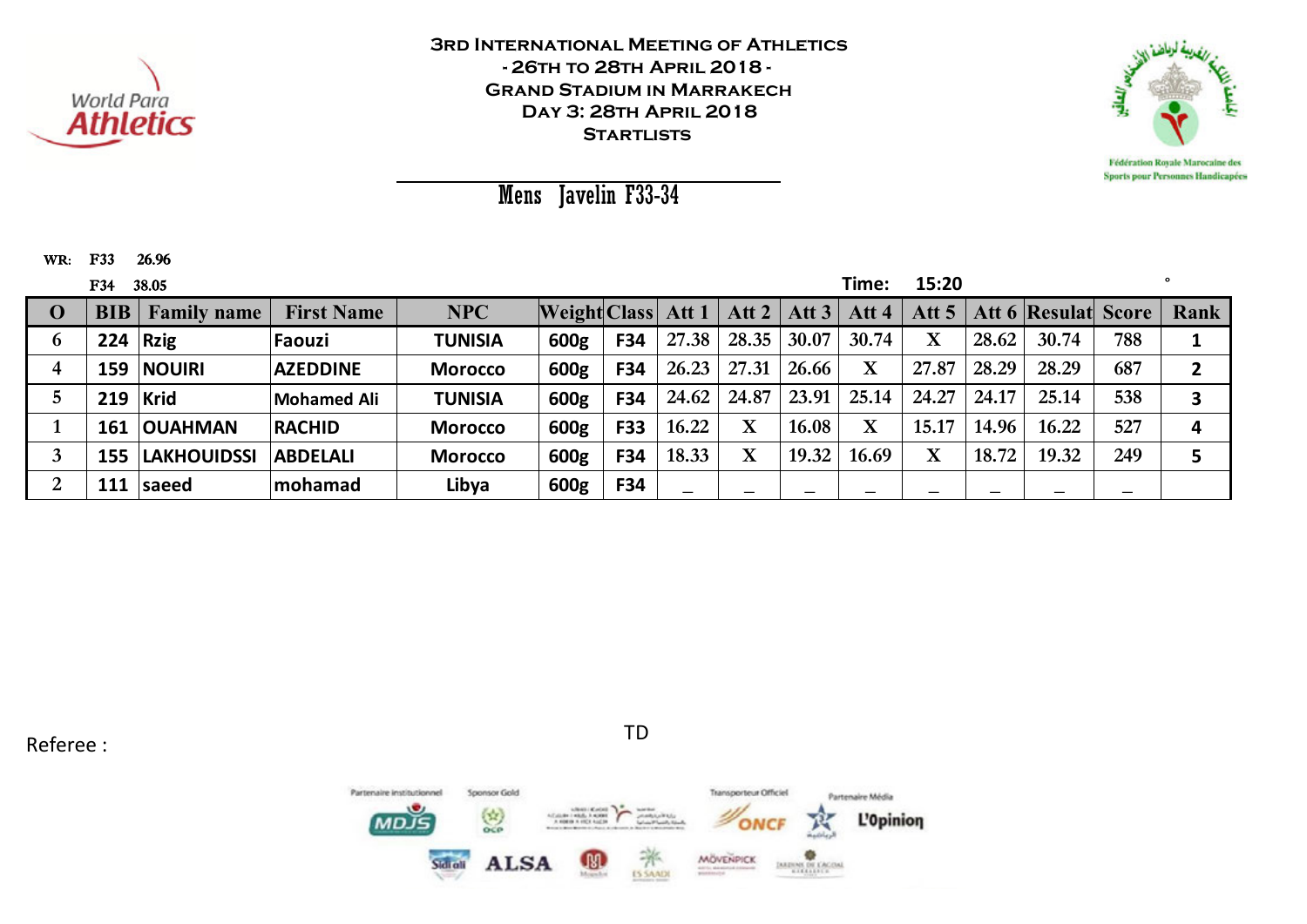



Mens Javelin F33-34

WR: F33 F33 26.96

|             | <b>F34</b> | 38.05              |                   |                |                           |            |       |             |                 | Time:       | 15:20        |       |                            |     |      |
|-------------|------------|--------------------|-------------------|----------------|---------------------------|------------|-------|-------------|-----------------|-------------|--------------|-------|----------------------------|-----|------|
| $\mathbf 0$ | BIB        | <b>Family name</b> | <b>First Name</b> | <b>NPC</b>     | <b>Weight Class Att 1</b> |            |       |             | Att 2   Att $3$ | Att 4       | Att $5 \mid$ |       | <b>Att 6 Resulat Score</b> |     | Rank |
| 6           | 224        | $\vert$ Rzig       | Faouzi            | <b>TUNISIA</b> | 600g                      | F34        | 27.38 | 28.35       | 30.07           | 30.74       | $\mathbf X$  | 28.62 | 30.74                      | 788 |      |
| 4           | 159        | <b>NOUIRI</b>      | <b>AZEDDINE</b>   | <b>Morocco</b> | 600g                      | <b>F34</b> | 26.23 | 27.31       | 26.66           | $\mathbf X$ | 27.87        | 28.29 | 28.29                      | 687 |      |
|             |            | $219$ Krid         | Mohamed Ali       | <b>TUNISIA</b> | 600g                      | <b>F34</b> | 24.62 | 24.87       | 23.91           | 25.14       | 24.27        | 24.17 | 25.14                      | 538 |      |
|             | 161        | <b>OUAHMAN</b>     | <b>RACHID</b>     | <b>Morocco</b> | 600g                      | <b>F33</b> | 16.22 | $\mathbf X$ | 16.08           | $\mathbf X$ | 15.17        | 14.96 | 16.22                      | 527 | 4    |
|             | 155        | <b>LAKHOUIDSSI</b> | <b>ABDELALI</b>   | <b>Morocco</b> | 600g                      | <b>F34</b> | 18.33 | $\mathbf X$ | 19.32           | 16.69       | $\mathbf X$  | 18.72 | 19.32                      | 249 |      |
| റ<br>∠      |            | 111   saeed        | <b>Imohamad</b>   | Libya          | 600g                      | F34        |       |             |                 |             | —            | –     |                            |     |      |

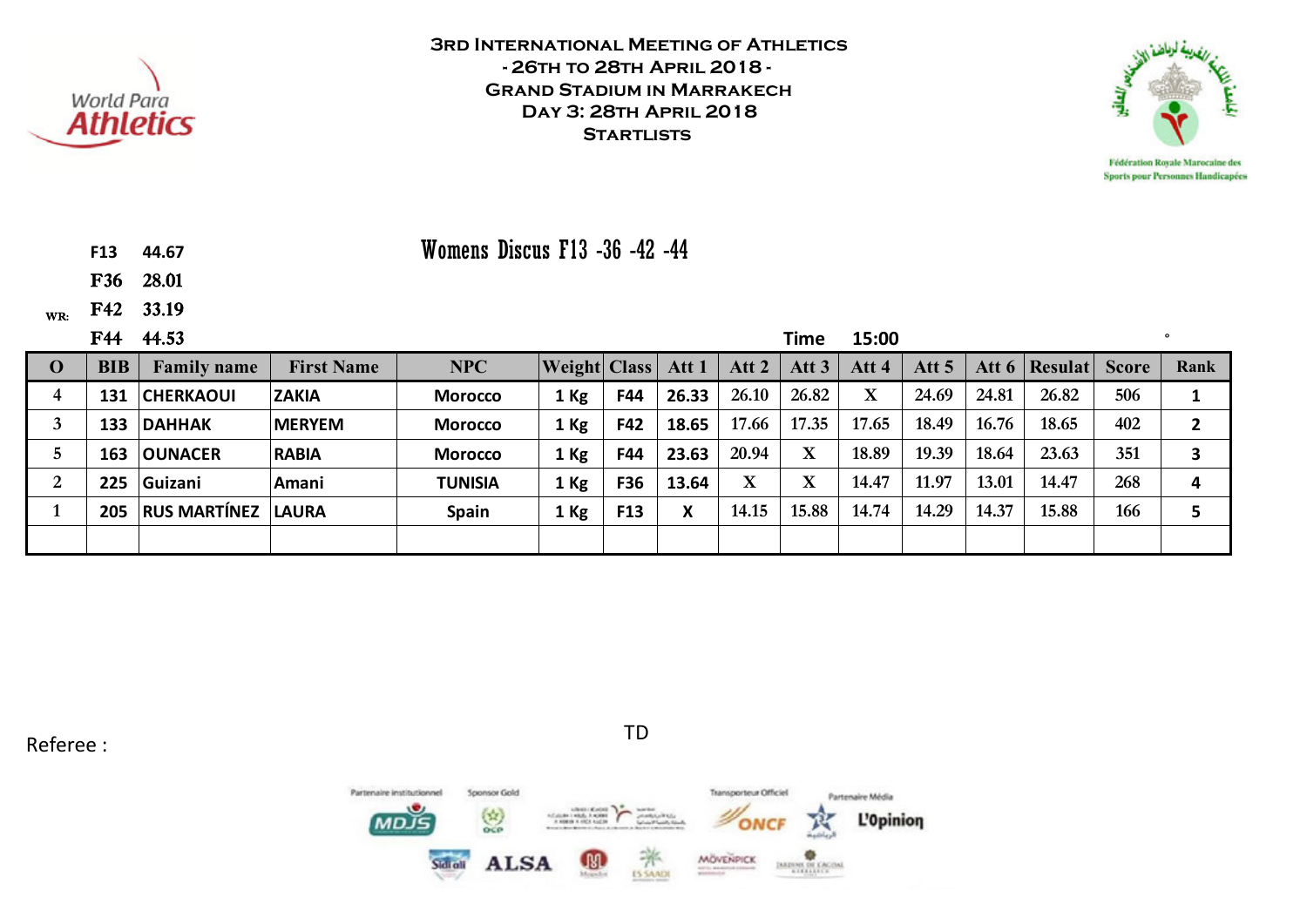



**F13 44.67**

F36 28.01

WR: F42 33.19

|          | F44        | 44.53               |                   |                |                     |     |        |             | Time             | 15:00   |         |       |                 |              |      |
|----------|------------|---------------------|-------------------|----------------|---------------------|-----|--------|-------------|------------------|---------|---------|-------|-----------------|--------------|------|
| $\Omega$ | <b>BIB</b> | <b>Family name</b>  | <b>First Name</b> | <b>NPC</b>     | <b>Weight Class</b> |     | Att 1  | Att 2       | Att <sub>3</sub> | Att 4   | Att $5$ |       | Att 6   Resulat | <b>Score</b> | Rank |
| 4        | 131        | <b>CHERKAOUI</b>    | <b>ZAKIA</b>      | <b>Morocco</b> | $1$ Kg              | F44 | 26.33  | 26.10       | 26.82            | $\bf X$ | 24.69   | 24.81 | 26.82           | 506          |      |
|          | 133        | <b>DAHHAK</b>       | <b>IMERYEM</b>    | <b>Morocco</b> | 1 Kg                | F42 | 18.65  | 17.66       | 17.35            | 17.65   | 18.49   | 16.76 | 18.65           | 402          |      |
|          | 163        | <b>OUNACER</b>      | <b>RABIA</b>      | <b>Morocco</b> | 1 Kg                | F44 | 23.63  | 20.94       | $\mathbf X$      | 18.89   | 19.39   | 18.64 | 23.63           | 351          |      |
| 2        | 225        | Guizani             | Amani             | <b>TUNISIA</b> | 1 Kg                | F36 | 13.64  | $\mathbf X$ | $\mathbf X$      | 14.47   | 11.97   | 13.01 | 14.47           | 268          | Δ    |
|          | 205        | <b>RUS MARTÍNEZ</b> | <b>LAURA</b>      | <b>Spain</b>   | 1 Kg                | F13 | v<br>л | 14.15       | 15.88            | 14.74   | 14.29   | 14.37 | 15.88           | 166          |      |
|          |            |                     |                   |                |                     |     |        |             |                  |         |         |       |                 |              |      |

Womens Discus F13 -36 -42 -44

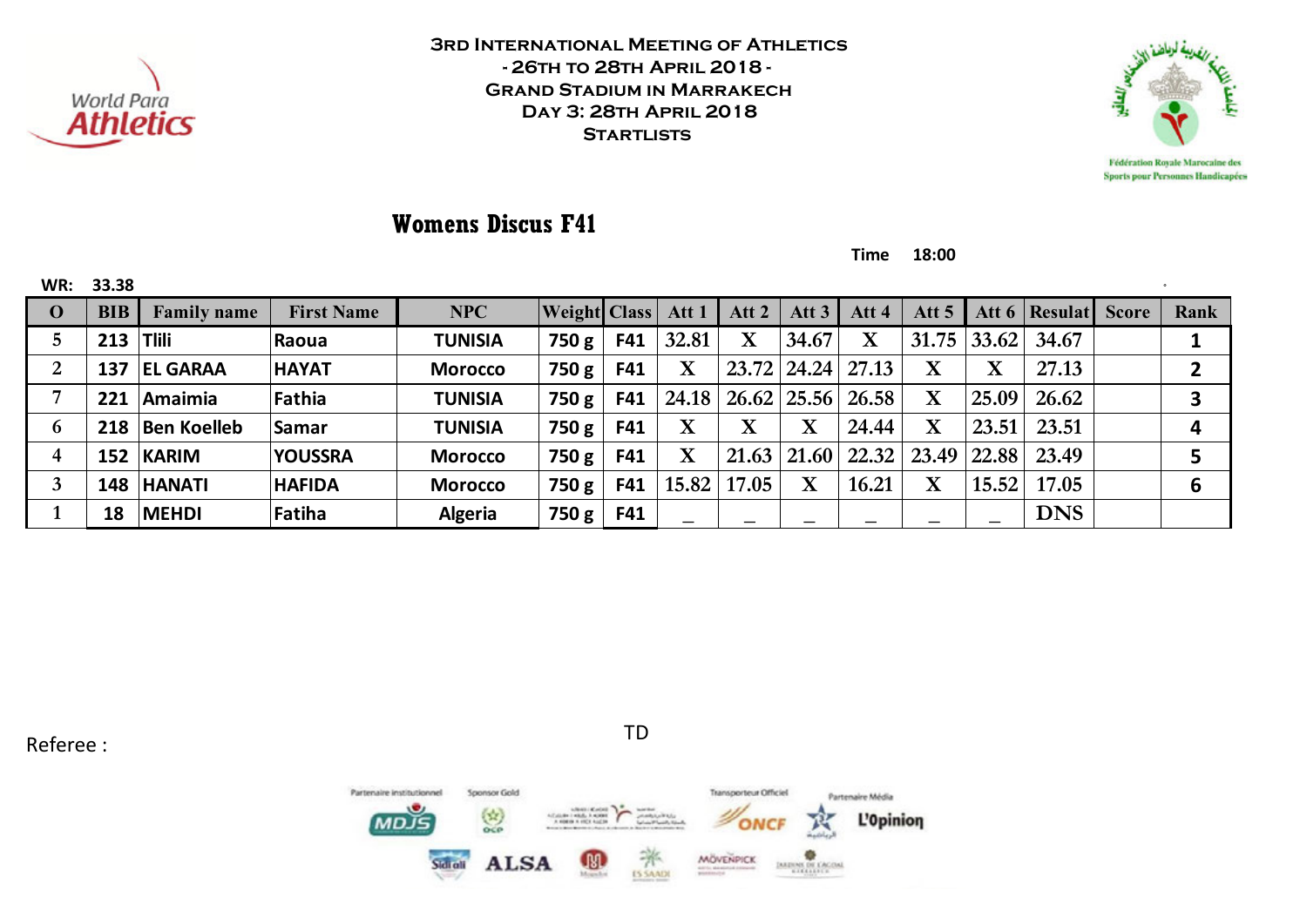



# **Womens Discus F41**

**Time 18:00**

| WR:         | 33.38      |                    |                   |                |                     |            |                         |                    |                    |                         |                         |             |               |      |
|-------------|------------|--------------------|-------------------|----------------|---------------------|------------|-------------------------|--------------------|--------------------|-------------------------|-------------------------|-------------|---------------|------|
| $\mathbf 0$ | <b>BIB</b> | <b>Family name</b> | <b>First Name</b> | <b>NPC</b>     | <b>Weight Class</b> |            | Att 1                   | Att $2$            | Att <sub>3</sub>   | Att 4                   | Att <sub>5</sub>        | Att $6$     | Resulat Score | Rank |
| 5           | 213        | <b>Tlili</b>       | Raoua             | <b>TUNISIA</b> | 750 g               | F41        | 32.81                   | $\mathbf X$        | 34.67              | $\overline{\mathbf{X}}$ | 31.75                   | 33.62       | 34.67         |      |
| 2           | 137        | <b>EL GARAA</b>    | <b>HAYAT</b>      | <b>Morocco</b> | 750 g               | F41        | $\overline{\mathbf{X}}$ |                    | $23.72 \mid 24.24$ | 27.13                   | $\mathbf X$             | $\mathbf X$ | 27.13         |      |
|             | 221        | Amaimia            | Fathia            | <b>TUNISIA</b> | 750 g               | F41        | 24.18                   |                    |                    | 26.62 25.56 26.58       | $\overline{\mathbf{X}}$ | 25.09       | 26.62         |      |
| 6           | 218        | <b>Ben Koelleb</b> | Samar             | <b>TUNISIA</b> | 750 g               | F41        | $\mathbf X$             | v                  | $\mathbf{v}$       | 24.44                   | $\mathbf X$             | 23.51       | 23.51         |      |
| 4           | 152        | <b>KARIM</b>       | <b>YOUSSRA</b>    | <b>Morocco</b> | 750 g               | F41        | $\overline{\mathbf{X}}$ | $21.63 \mid 21.60$ |                    | 22.32                   | 23.49                   | 22.88       | 23.49         |      |
| 3           | 148        | <b>HANATI</b>      | <b>HAFIDA</b>     | <b>Morocco</b> | 750 g               | F41        | 15.82                   | 17.05              | $\mathbf X$        | 16.21                   | $\mathbf X$             | 15.52       | 17.05         | 6    |
|             | 18         | <b>MEHDI</b>       | Fatiha            | <b>Algeria</b> | 750 g               | <b>F41</b> |                         |                    |                    |                         |                         |             | <b>DNS</b>    |      |

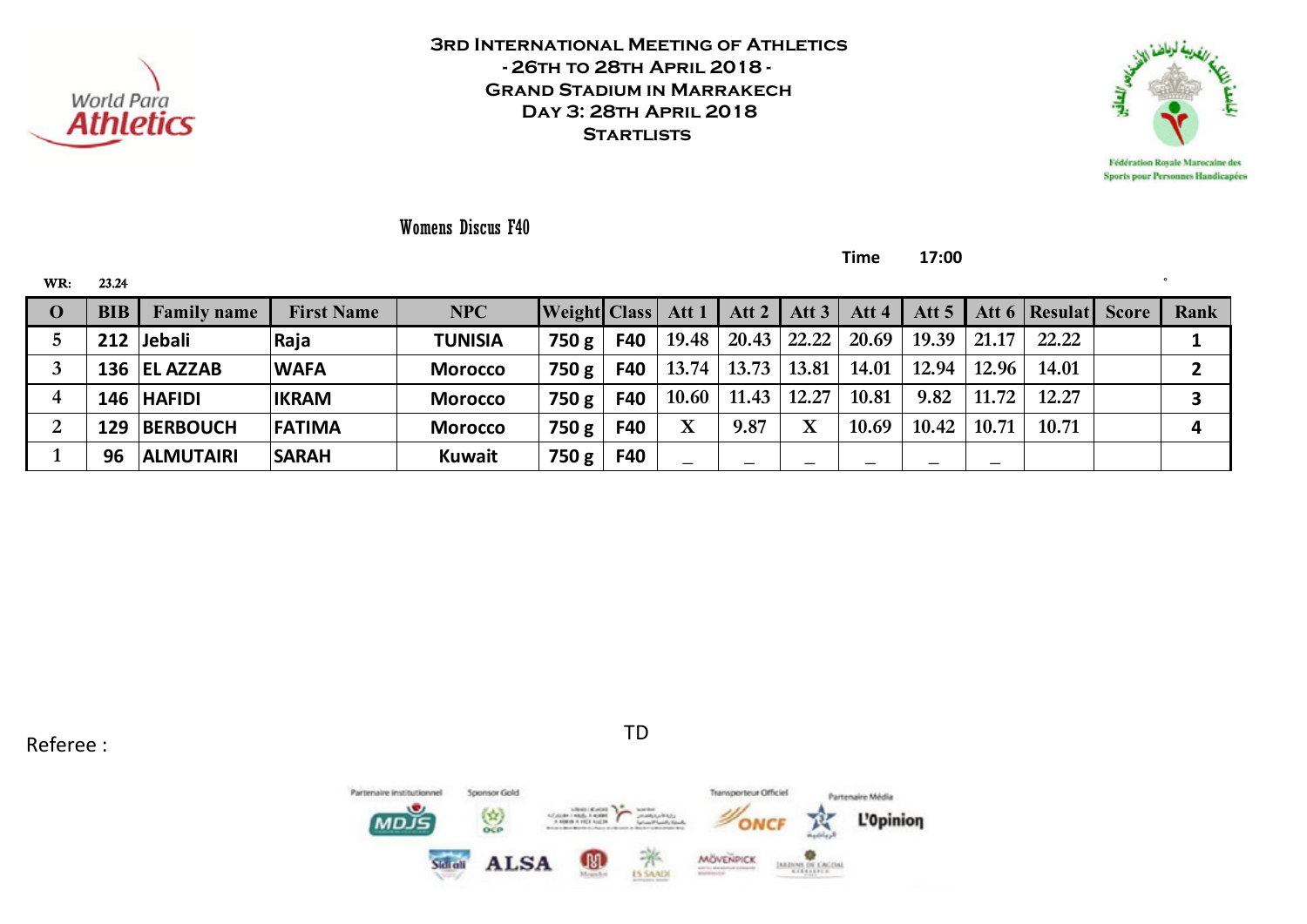



Womens Discus F40

**Time 17:00**

| WR:      | 23.24      |                    |                   |                |                           |            |             |       |                 |                          |       |       |                                 |      |
|----------|------------|--------------------|-------------------|----------------|---------------------------|------------|-------------|-------|-----------------|--------------------------|-------|-------|---------------------------------|------|
| $\bf{0}$ | <b>BIB</b> | <b>Family name</b> | <b>First Name</b> | NPC            | <b>Weight Class</b> Att 1 |            |             |       | Att 2   Att 3   | Att 4                    |       |       | Att 5   Att 6   Resulat   Score | Rank |
|          |            | 212 Jebali         | Raja              | <b>TUNISIA</b> | 750 g                     | <b>F40</b> | 19.48       |       | $20.43$   22.22 | 20.69                    | 19.39 | 21.17 | 22.22                           |      |
|          |            | 136 EL AZZAB       | <b>WAFA</b>       | <b>Morocco</b> | 750 g                     | F40        | 13.74       | 13.73 | 13.81           | 14.01                    | 12.94 | 12.96 | 14.01                           |      |
| 4        |            | 146 HAFIDI         | <b>IKRAM</b>      | <b>Morocco</b> | 750 g                     | F40        | 10.60       | 11.43 | 12.27           | 10.81                    | 9.82  | 11.72 | 12.27                           |      |
| າ<br>∠   |            | 129 BERBOUCH       | <b>FATIMA</b>     | <b>Morocco</b> | 750 g                     | F40        | $\mathbf X$ | 9.87  | $\mathbf X$     | 10.69                    | 10.42 | 10.71 | 10.71                           | 4    |
|          | 96         | <b>ALMUTAIRI</b>   | <b>SARAH</b>      | <b>Kuwait</b>  | 750 g                     | F40        |             |       |                 | $\overline{\phantom{m}}$ |       |       |                                 |      |

Referee : TD

Transporteur Officiel Partenaire institutionnel Sponsor Gold Partenaire Média  $\binom{1}{0}$ L'Opinion MD. **MÖVENPICK ALSA** 71 **IMENS DE CACIN ES SAADI**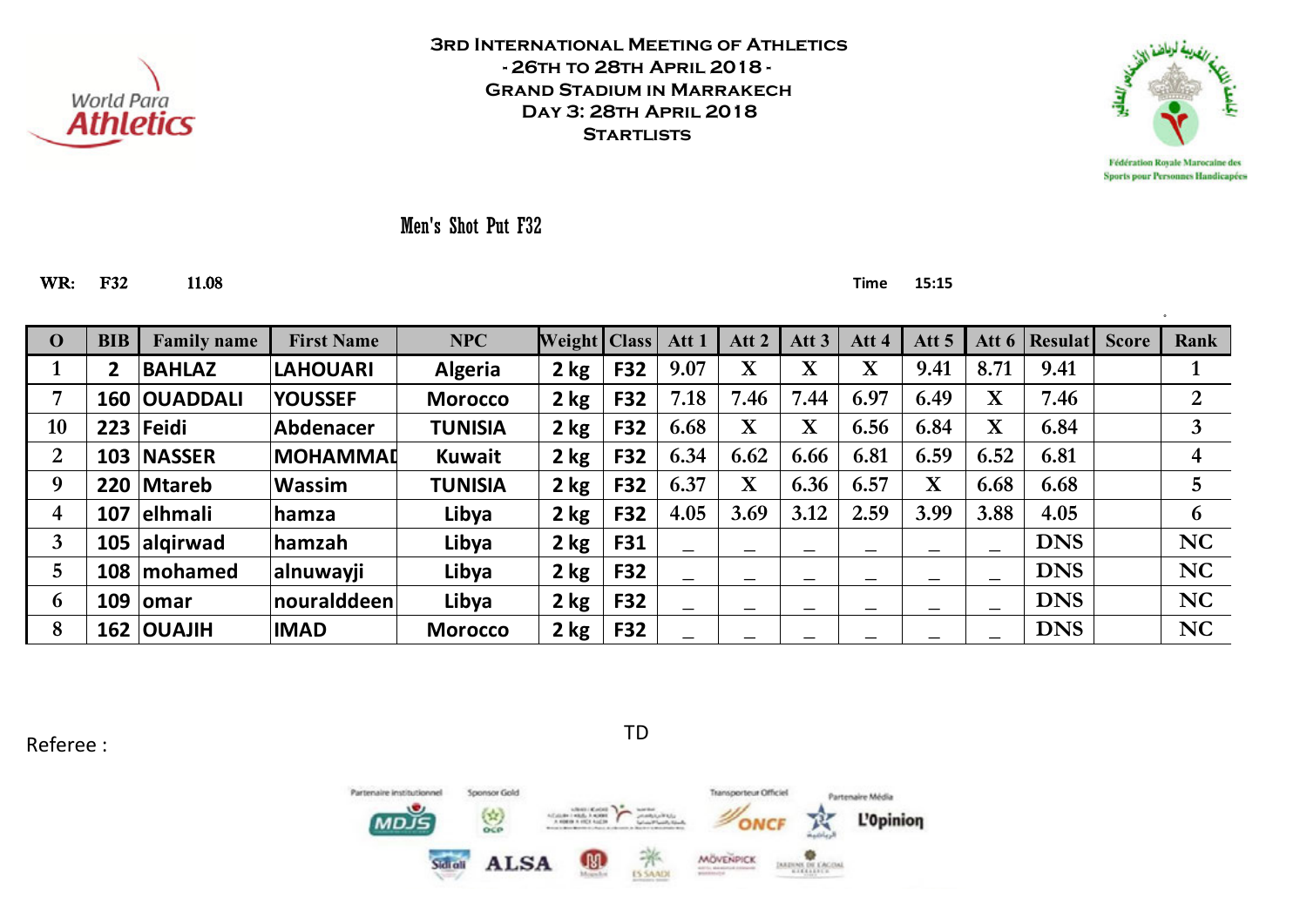



Men's Shot Put F32

#### WR: F32 11.08 **Time 15:15**

| $\mathbf 0$    | <b>BIB</b> | <b>Family name</b> | <b>First Name</b> | NPC            | Weight   Class |            | Att 1 | Att 2                   | Att $3$                 | Att 4 | Att <sub>5</sub>         | Att $6$                  | <b>Resulat</b> | <b>Score</b> | Rank           |
|----------------|------------|--------------------|-------------------|----------------|----------------|------------|-------|-------------------------|-------------------------|-------|--------------------------|--------------------------|----------------|--------------|----------------|
|                | 2          | <b>BAHLAZ</b>      | <b>LAHOUARI</b>   | <b>Algeria</b> | $2$ kg         | <b>F32</b> | 9.07  | $\mathbf X$             | $\overline{\mathbf{X}}$ | X     | 9.41                     | 8.71                     | 9.41           |              |                |
| 7              | 160        | <b>OUADDALI</b>    | <b>YOUSSEF</b>    | <b>Morocco</b> | $2$ kg         | F32        | 7.18  | 7.46                    | 7.44                    | 6.97  | 6.49                     | $\mathbf X$              | 7.46           |              | $\overline{2}$ |
| 10             | 223        | $ Fe$ idi          | Abdenacer         | <b>TUNISIA</b> | 2 kg           | <b>F32</b> | 6.68  | $\overline{\mathbf{X}}$ | $\overline{\textbf{X}}$ | 6.56  | 6.84                     | $\mathbf X$              | 6.84           |              | 3              |
| $\overline{2}$ | 103        | <b>NASSER</b>      | <b>IMOHAMMAD</b>  | <b>Kuwait</b>  | 2 kg           | F32        | 6.34  | 6.62                    | 6.66                    | 6.81  | 6.59                     | 6.52                     | 6.81           |              | 4              |
| 9              | 220        | <b>Mtareb</b>      | <b>Wassim</b>     | <b>TUNISIA</b> | $2$ kg         | F32        | 6.37  | $\overline{\mathbf{X}}$ | 6.36                    | 6.57  | X                        | 6.68                     | 6.68           |              | $\overline{5}$ |
| 4              | 107        | elhmali            | hamza             | Libya          | $2$ kg         | <b>F32</b> | 4.05  | 3.69                    | 3.12                    | 2.59  | 3.99                     | 3.88                     | 4.05           |              | 6              |
| 3              | 105        | algirwad           | <b>hamzah</b>     | Libya          | $2$ kg         | F31        | —     |                         |                         |       | $\overline{\phantom{0}}$ | $\overline{\phantom{0}}$ | <b>DNS</b>     |              | <b>NC</b>      |
| 5              | 108        | mohamed            | <b>alnuwayji</b>  | Libya          | 2 kg           | F32        | —     |                         |                         |       |                          |                          | <b>DNS</b>     |              | <b>NC</b>      |
| 6              | 109        | <b>lomar</b>       | nouralddeen       | Libya          | $2$ kg         | F32        |       |                         |                         |       |                          |                          | <b>DNS</b>     |              | <b>NC</b>      |
| 8              |            | 162   OUAJIH       | <b>IMAD</b>       | <b>Morocco</b> | 2 kg           | F32        |       |                         |                         |       |                          |                          | <b>DNS</b>     |              | <b>NC</b>      |

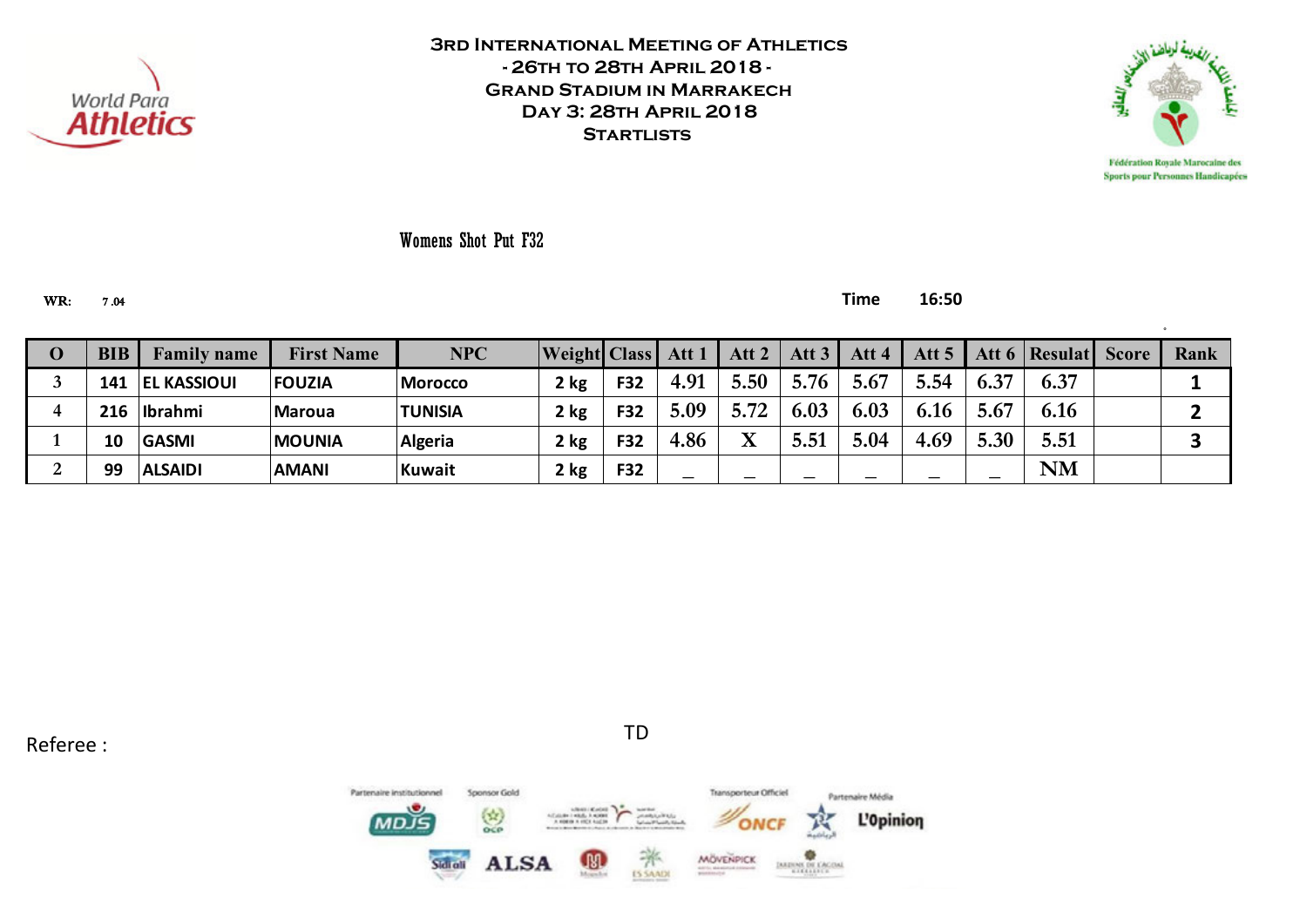



Womens Shot Put F32

WR: 7 .04 **Time 16:50**

| O |    | <b>Family name</b> | <b>First Name</b> | <b>NPC</b>     | <b>Weight Class Att 1</b> |            |      |      | Att 2   Att 3   Att 4 |      | Att 5 |      | Att 6   Resulat   Score | Rank |
|---|----|--------------------|-------------------|----------------|---------------------------|------------|------|------|-----------------------|------|-------|------|-------------------------|------|
|   |    | 141   EL KASSIOUI  | <b>FOUZIA</b>     | <b>Morocco</b> | 2 kg                      | <b>F32</b> | 4.91 | 5.50 | 5.76                  | 5.67 | 5.54  | 6.37 | 6.37                    |      |
|   |    | 216 Ibrahmi        | <b>Maroua</b>     | <b>TUNISIA</b> | 2 kg                      | <b>F32</b> | 5.09 | 5.72 | 6.03                  | 6.03 | 6.16  | 5.67 | 6.16                    |      |
|   | 10 | <b>GASMI</b>       | <b>MOUNIA</b>     | Algeria        | 2 kg                      | F32        | 4.86 |      | 5.51                  | 5.04 | 4.69  | 5.30 | 5.51                    |      |
|   | 99 | <b>ALSAIDI</b>     | <b>AMANI</b>      | Kuwait         | 2 kg                      | F32        | –    | –    |                       |      |       |      | NM                      |      |

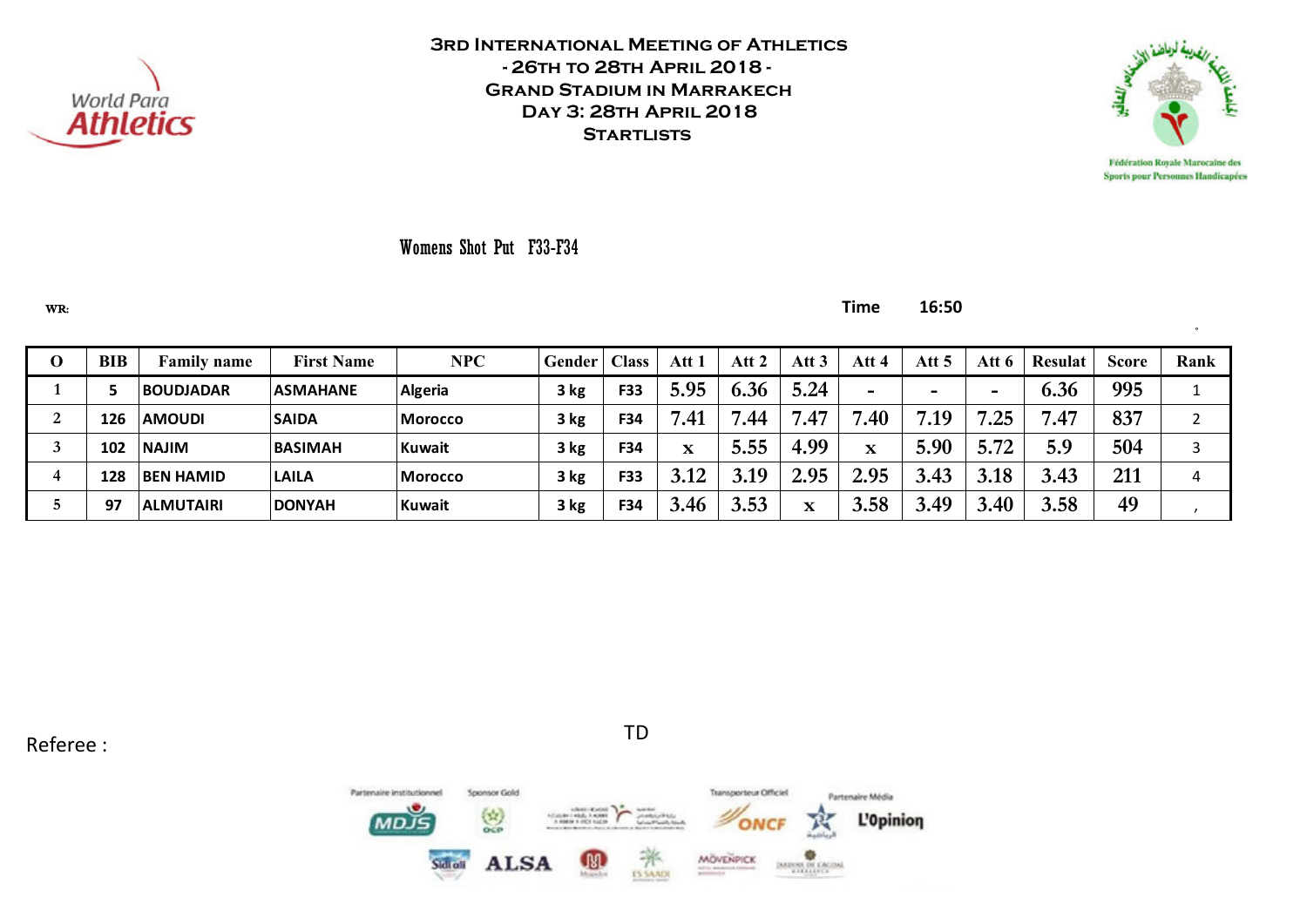



Sports pour Personnes Handicapées

°

### Womens Shot Put F33-F34

WR: **Time 16:50**

| v | <b>BIB</b> | <b>Family name</b> | <b>First Name</b> | <b>NPC</b>     | <b>Gender</b> | <b>Class</b> | Att          | Att 2 | Att 3 | Att 4       | Att 5 | Att 6 | <b>Resulat</b> | <b>Score</b> | Rank |
|---|------------|--------------------|-------------------|----------------|---------------|--------------|--------------|-------|-------|-------------|-------|-------|----------------|--------------|------|
|   |            | <b>BOUDJADAR</b>   | <b>ASMAHANE</b>   | Algeria        | 3 kg          | F33          | 5.95         | 6.36  | 5.24  |             |       | -     | 6.36           | 995          |      |
| ◢ | !26        | <b>AMOUDI</b>      | <b>SAIDA</b>      | <b>Morocco</b> | 3 kg          | F34          | .41          | .44   | .47   | .40         | .19   | .25   | 7.47           | 837          |      |
|   | 102        | <b>NAJIM</b>       | <b>BASIMAH</b>    | <b>Kuwait</b>  | 3 kg          | F34          | $\mathbf{v}$ | 5.55  | 4.99  | $\mathbf x$ | 5.90  | 5.72  | 5.9            | 504          |      |
| 4 | 128        | <b>BEN HAMID</b>   | <b>LAILA</b>      | <b>Morocco</b> | 3 kg          | F33          | 3.12         | 3.19  | 2.95  | 2.95        | 3.43  | 3.18  | 3.43           | 211          | 4    |
|   | 97         | <b>ALMUTAIRI</b>   | <b>DONYAH</b>     | <b>Kuwait</b>  | 3 kg          | F34          | .46<br>J.    | 3.53  | x     | 3.58        | 3.49  | 3.40  | 3.58           | 49           |      |

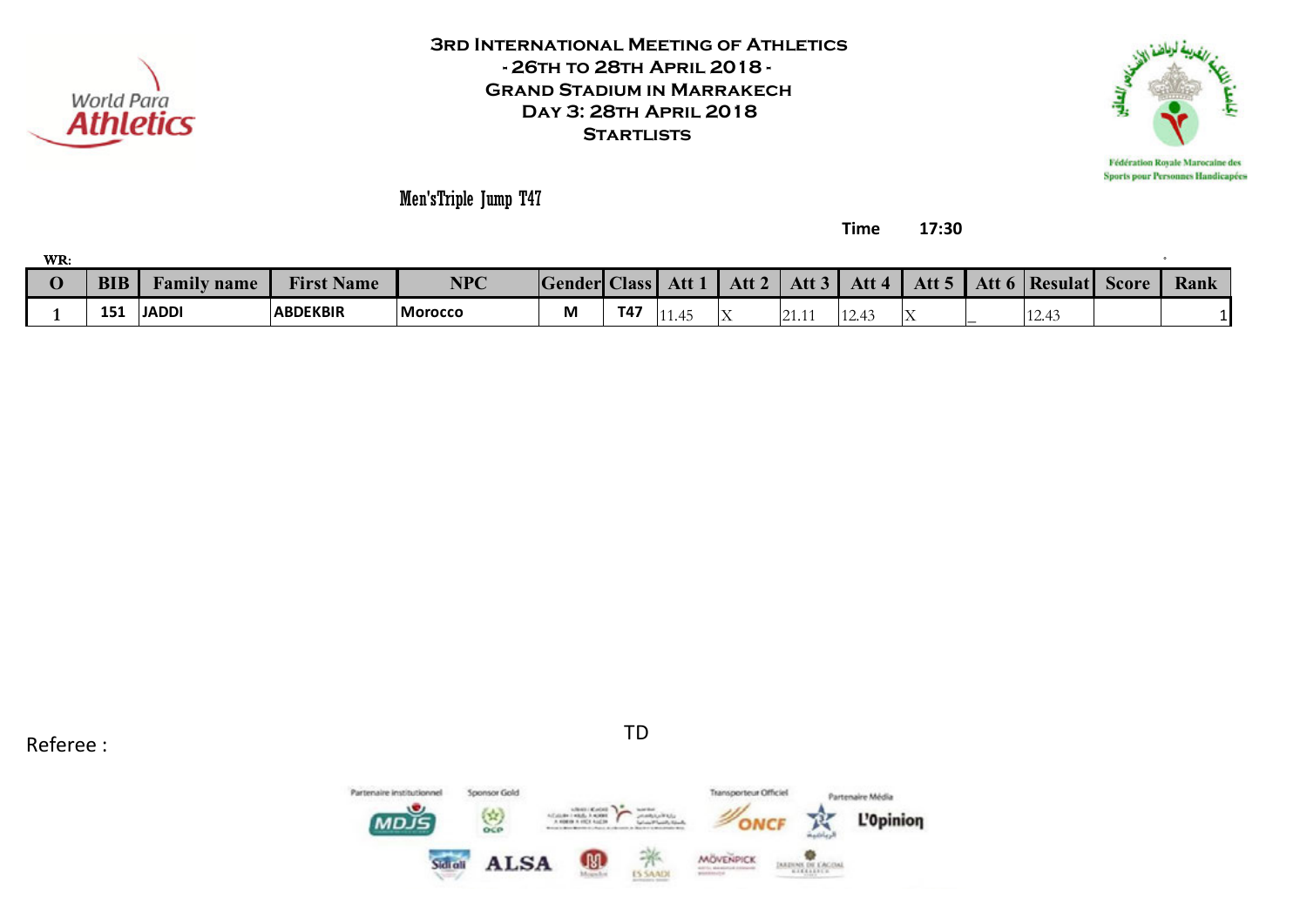



Sports pour Personnes Handicapées

Men'sTriple Jump T47

**Time 17:30**

| WR. |            |                                   |                             |         |                     |     |        |          |                  |       |                  |                 |              |      |
|-----|------------|-----------------------------------|-----------------------------|---------|---------------------|-----|--------|----------|------------------|-------|------------------|-----------------|--------------|------|
|     | <b>BIB</b> | $\bullet$ T<br><b>Family name</b> | <b>THE</b><br>Name<br>Fırst | NPC     | <b>Gender Class</b> |     | Att 1  | Att 2    | Att <sub>3</sub> | Att 4 | Att <sub>5</sub> | Att 6   Resulat | <b>Score</b> | Rank |
|     | 151        | <b>JADDI</b>                      | <b>ABDEKBIR</b>             | Morocco | Μ                   | T47 | 1 1.4J | IT.<br>∸ | 21.11            | 12.49 | .                | 12.43           |              |      |

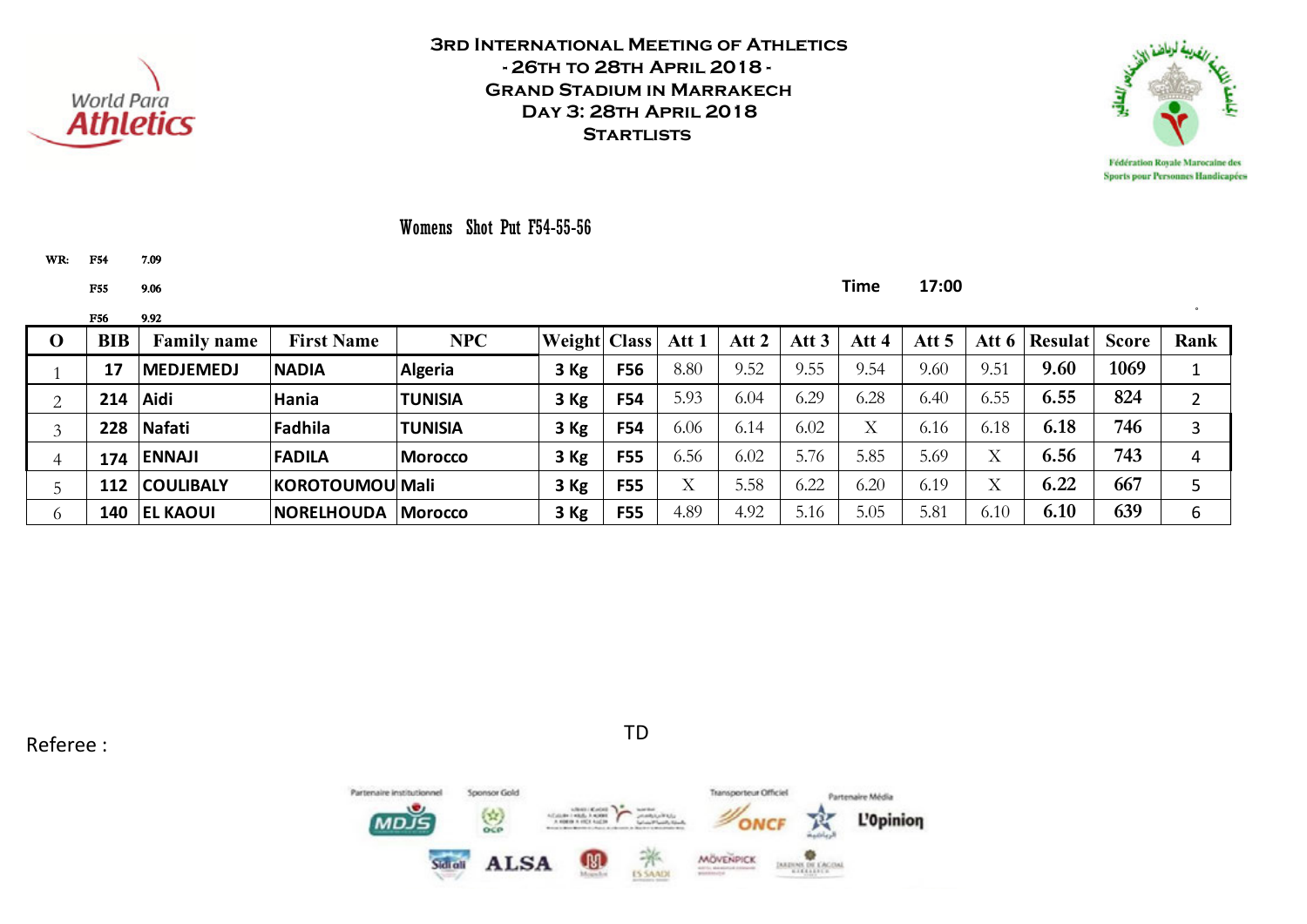



Womens Shot Put F54-55-56

WR: F54 7.09

F55 9.06 **Time 17:00**

|             | <b>F56</b> | 9.92               |                    |                |                     |            |              |       |                  |       |       |                   |                |              |      |
|-------------|------------|--------------------|--------------------|----------------|---------------------|------------|--------------|-------|------------------|-------|-------|-------------------|----------------|--------------|------|
| $\mathbf 0$ | BIB        | <b>Family name</b> | <b>First Name</b>  | <b>NPC</b>     | <b>Weight Class</b> |            | Att 1        | Att 2 | Att <sub>3</sub> | Att 4 | Att 5 | Att $6 \mid$      | <b>Resulat</b> | <b>Score</b> | Rank |
|             | 17         | <b>MEDJEMEDJ</b>   | <b>NADIA</b>       | Algeria        | 3 Kg                | F56        | 8.80         | 9.52  | 9.55             | 9.54  | 9.60  | 9.51              | 9.60           | 1069         |      |
|             | 214        | Aidi               | Hania              | <b>TUNISIA</b> | 3 Kg                | <b>F54</b> | 5.93         | 6.04  | 6.29             | 6.28  | 6.40  | 6.55              | 6.55           | 824          |      |
|             | 228        | Nafati             | Fadhila            | <b>TUNISIA</b> | 3 Kg                | <b>F54</b> | 6.06         | 6.14  | 6.02             | X     | 6.16  | 6.18              | 6.18           | 746          | 3    |
|             | 174        | <b>ENNAJI</b>      | <b>FADILA</b>      | <b>Morocco</b> | 3 Kg                | <b>F55</b> | 6.56         | 6.02  | 5.76             | 5.85  | 5.69  | $\rm\overline{X}$ | 6.56           | 743          | 4    |
|             | 112        | <b>COULIBALY</b>   | KOROTOUMOU Mali    |                | 3 Kg                | <b>F55</b> | $\mathbf{v}$ | 5.58  | 6.22             | 6.20  | 6.19  | $\rm\overline{X}$ | 6.22           | 667          |      |
|             | 140        | <b>EL KAOUI</b>    | <b>INORELHOUDA</b> | <b>Morocco</b> | 3 Kg                | <b>F55</b> | 4.89         | 4.92  | 5.16             | 5.05  | 5.81  | 6.10              | 6.10           | 639          | 6    |

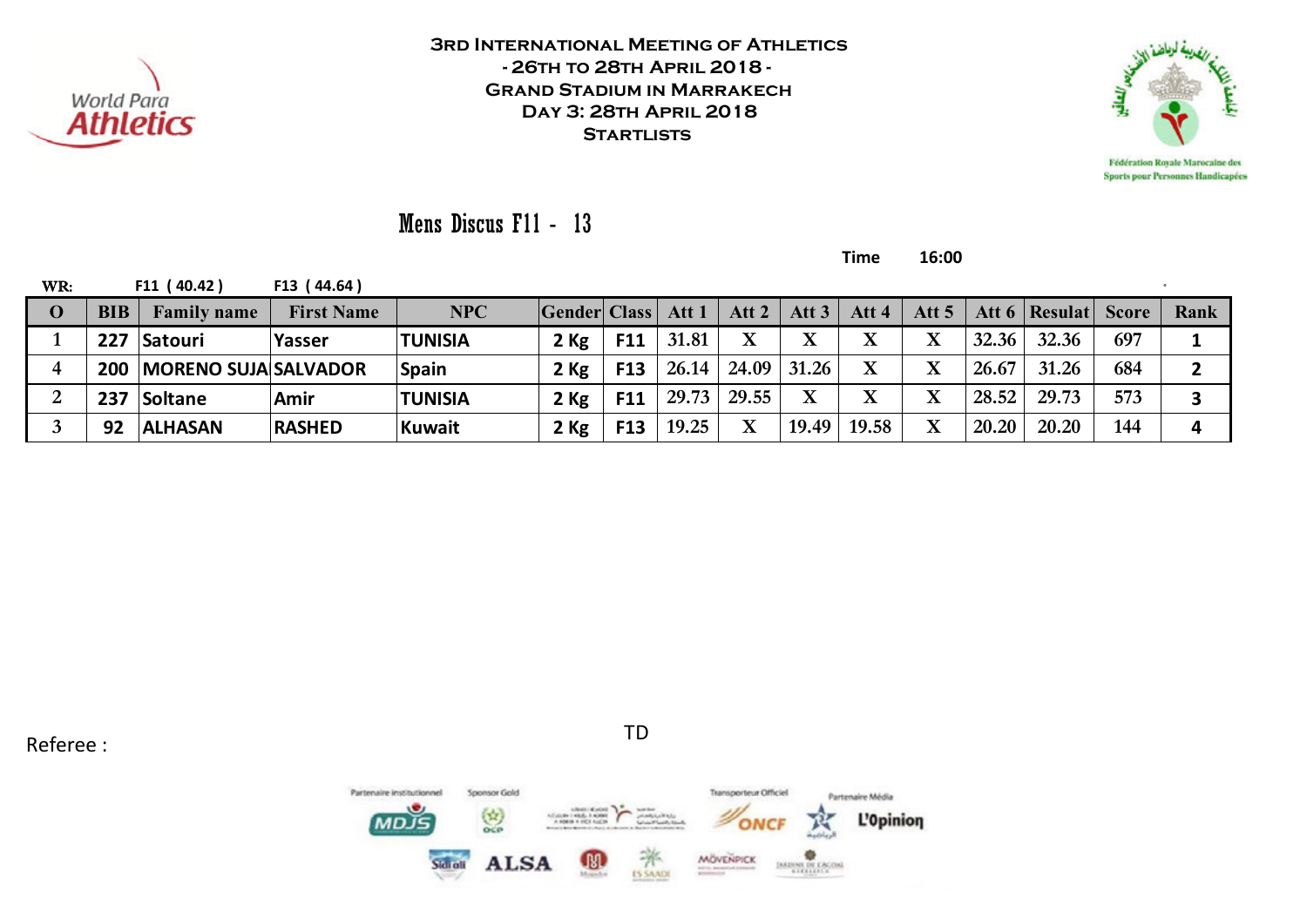



Mens Discus F11 - 13

**Time 16:00**

| WR:          |     | F11 (40.42)                | F13 (44.64)       |                |                     |            |       |       |               |                         |             |       |                         |     |      |
|--------------|-----|----------------------------|-------------------|----------------|---------------------|------------|-------|-------|---------------|-------------------------|-------------|-------|-------------------------|-----|------|
| $\mathbf{0}$ | BIB | <b>Family name</b>         | <b>First Name</b> | <b>NPC</b>     | <b>Gender Class</b> |            | Att 1 | Att 2 | Att $3$       | Att 4                   | Att $51$    |       | Att 6   Resulat   Score |     | Rank |
|              | 227 | Satouri                    | Yasser            | <b>TUNISIA</b> | $2$ Kg              | F11        | 31.81 |       |               | $\mathbf X$             | $\mathbf X$ | 32.36 | 32.36                   | 697 |      |
|              |     | 200   MORENO SUJA SALVADOR |                   | <b>Spain</b>   | $2$ Kg              | <b>F13</b> | 26.14 |       | $24.09$ 31.26 | X                       | $\mathbf X$ | 26.67 | 31.26                   | 684 |      |
|              | 237 | Soltane                    | Amir              | <b>TUNISIA</b> | 2 Kg                | F11        | 29.73 | 29.55 |               | $\overline{\mathbf{X}}$ | $\mathbf X$ | 28.52 | 29.73                   | 573 |      |
|              | 92  | <b>ALHASAN</b>             | <b>RASHED</b>     | Kuwait         | $2$ Kg              | F13        | 19.25 |       | 19.49         | 19.58                   | X           | 20.20 | 20.20                   | 144 | 4    |